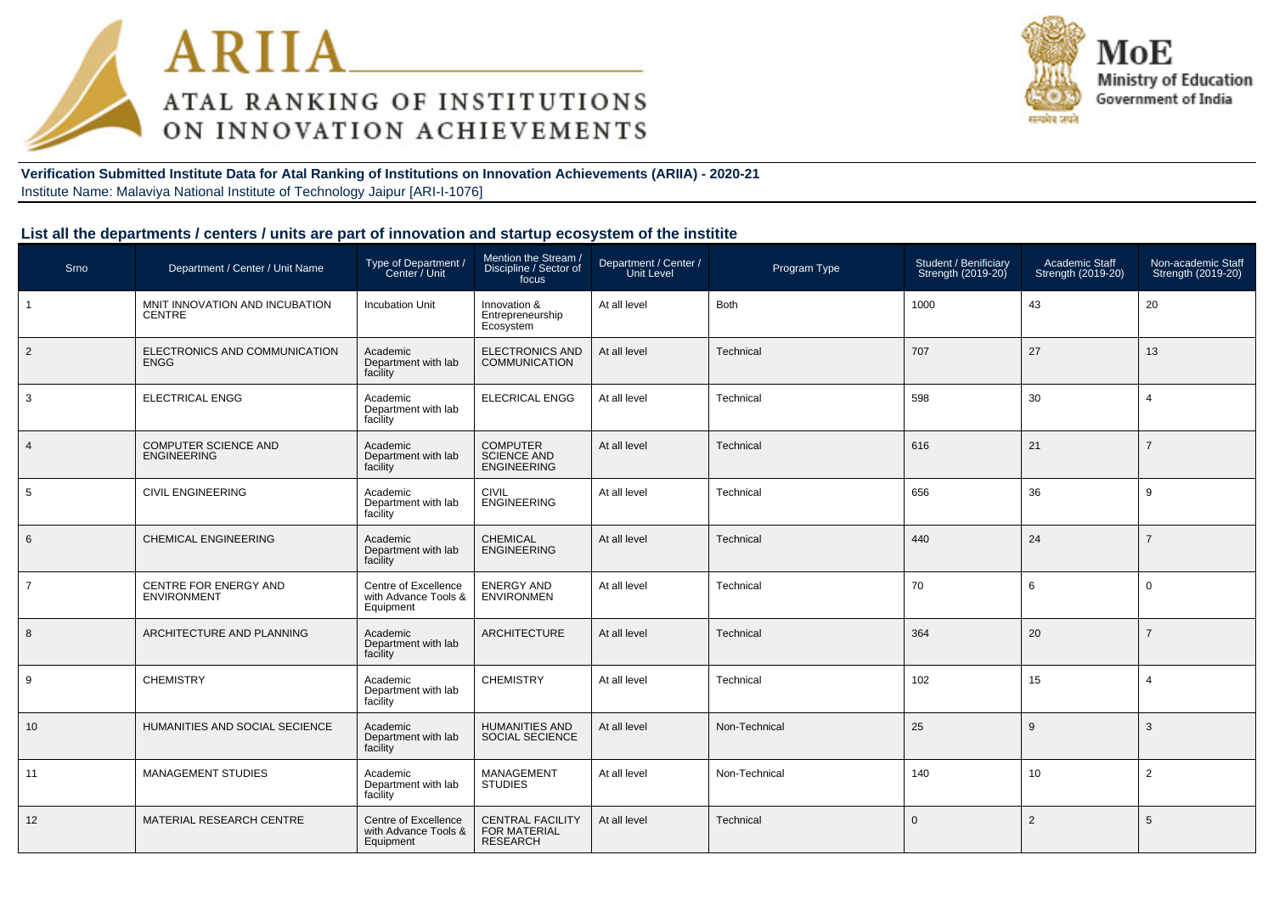



**Verification Submitted Institute Data for Atal Ranking of Institutions on Innovation Achievements (ARIIA) - 2020-21**Institute Name: Malaviya National Institute of Technology Jaipur [ARI-I-1076]

#### **List all the departments / centers / units are part of innovation and startup ecosystem of the institite**

| Srno           | Department / Center / Unit Name                    | Type of Department /<br>Center / Unit                     | Mention the Stream /<br>Discipline / Sector of<br>focus           | Department / Center /<br>Unit Level | Program Type  | Student / Benificiary<br>Strength (2019-20) | Academic Staff<br>Strength (2019-20) | Non-academic Staff<br>Strength (2019-20) |
|----------------|----------------------------------------------------|-----------------------------------------------------------|-------------------------------------------------------------------|-------------------------------------|---------------|---------------------------------------------|--------------------------------------|------------------------------------------|
| $\overline{1}$ | MNIT INNOVATION AND INCUBATION<br><b>CENTRE</b>    | <b>Incubation Unit</b>                                    | Innovation &<br>Entrepreneurship<br>Ecosystem                     | At all level                        | <b>Both</b>   | 1000                                        | 43                                   | 20                                       |
| $\overline{2}$ | ELECTRONICS AND COMMUNICATION<br><b>ENGG</b>       | Academic<br>Department with lab<br>facility               | ELECTRONICS AND<br>COMMUNICATION                                  | At all level                        | Technical     | 707                                         | 27                                   | 13                                       |
| 3              | <b>ELECTRICAL ENGG</b>                             | Academic<br>Department with lab<br>facility               | <b>ELECRICAL ENGG</b>                                             | At all level                        | Technical     | 598                                         | 30                                   | $\overline{4}$                           |
| $\overline{4}$ | <b>COMPUTER SCIENCE AND</b><br><b>ENGINEERING</b>  | Academic<br>Department with lab<br>facility               | <b>COMPUTER</b><br><b>SCIENCE AND</b><br><b>ENGINEERING</b>       | At all level                        | Technical     | 616                                         | 21                                   | $\overline{7}$                           |
| 5              | <b>CIVIL ENGINEERING</b>                           | Academic<br>Department with lab<br>facility               | <b>CIVIL</b><br><b>ENGINEERING</b>                                | At all level                        | Technical     | 656                                         | 36                                   | 9                                        |
| 6              | <b>CHEMICAL ENGINEERING</b>                        | Academic<br>Department with lab<br>facility               | CHEMICAL<br>ENGINEERING                                           | At all level                        | Technical     | 440                                         | 24                                   | $\overline{7}$                           |
| $\overline{7}$ | <b>CENTRE FOR ENERGY AND</b><br><b>ENVIRONMENT</b> | Centre of Excellence<br>with Advance Tools &<br>Equipment | <b>ENERGY AND</b><br><b>ENVIRONMEN</b>                            | At all level                        | Technical     | 70                                          | 6                                    | $\mathbf 0$                              |
| 8              | ARCHITECTURE AND PLANNING                          | Academic<br>Department with lab<br>facility               | <b>ARCHITECTURE</b>                                               | At all level                        | Technical     | 364                                         | 20                                   | $\overline{7}$                           |
| 9              | <b>CHEMISTRY</b>                                   | Academic<br>Department with lab<br>facility               | <b>CHEMISTRY</b>                                                  | At all level                        | Technical     | 102                                         | 15                                   | $\overline{4}$                           |
| 10             | HUMANITIES AND SOCIAL SECIENCE                     | Academic<br>Department with lab<br>facility               | <b>HUMANITIES AND</b><br><b>SOCIAL SECIENCE</b>                   | At all level                        | Non-Technical | 25                                          | 9                                    | 3                                        |
| 11             | <b>MANAGEMENT STUDIES</b>                          | Academic<br>Department with lab<br>facility               | MANAGEMENT<br><b>STUDIES</b>                                      | At all level                        | Non-Technical | 140                                         | 10                                   | 2                                        |
| 12             | MATERIAL RESEARCH CENTRE                           | Centre of Excellence<br>with Advance Tools &<br>Equipment | <b>CENTRAL FACILITY</b><br><b>FOR MATERIAL</b><br><b>RESEARCH</b> | At all level                        | Technical     | $\Omega$                                    | $\overline{2}$                       | 5                                        |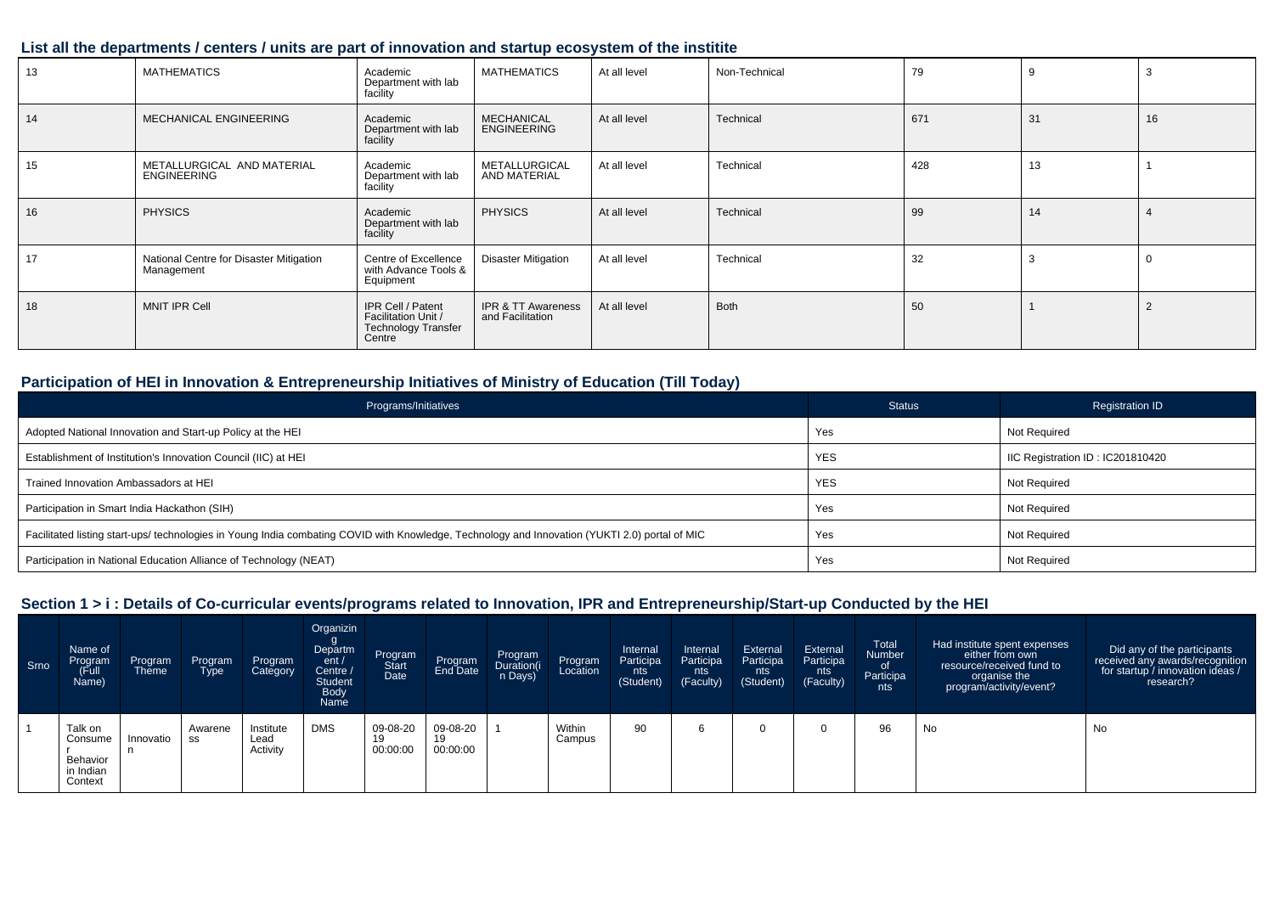### **List all the departments / centers / units are part of innovation and startup ecosystem of the institite**

| 13 | <b>MATHEMATICS</b>                                    | Academic<br>Department with lab<br>facility                                      | <b>MATHEMATICS</b>                                | At all level | Non-Technical | 79  |    |    |
|----|-------------------------------------------------------|----------------------------------------------------------------------------------|---------------------------------------------------|--------------|---------------|-----|----|----|
| 14 | MECHANICAL ENGINEERING                                | Academic<br>Department with lab<br>facility                                      | <b>MECHANICAL</b><br><b>ENGINEERING</b>           | At all level | Technical     | 671 | 31 | 16 |
| 15 | METALLURGICAL AND MATERIAL<br><b>ENGINEERING</b>      | Academic<br>Department with lab<br>facility                                      | METALLURGICAL<br>AND MATERIAL                     | At all level | Technical     | 428 | 13 |    |
| 16 | <b>PHYSICS</b>                                        | Academic<br>Department with lab<br>facility                                      | <b>PHYSICS</b>                                    | At all level | Technical     | 99  | 14 |    |
| 17 | National Centre for Disaster Mitigation<br>Management | Centre of Excellence<br>with Advance Tools &<br>Equipment                        | <b>Disaster Mitigation</b>                        | At all level | Technical     | 32  | 3  |    |
| 18 | <b>MNIT IPR Cell</b>                                  | IPR Cell / Patent<br>Facilitation Unit /<br><b>Technology Transfer</b><br>Centre | <b>IPR &amp; TT Awareness</b><br>and Facilitation | At all level | <b>Both</b>   | 50  |    | ∠  |

### **Participation of HEI in Innovation & Entrepreneurship Initiatives of Ministry of Education (Till Today)**

| Programs/Initiatives                                                                                                                           | <b>Status</b> | <b>Registration ID</b>           |
|------------------------------------------------------------------------------------------------------------------------------------------------|---------------|----------------------------------|
| Adopted National Innovation and Start-up Policy at the HEI                                                                                     | Yes           | Not Required                     |
| Establishment of Institution's Innovation Council (IIC) at HEI                                                                                 | <b>YES</b>    | IIC Registration ID: IC201810420 |
| Trained Innovation Ambassadors at HEI                                                                                                          | <b>YES</b>    | Not Required                     |
| Participation in Smart India Hackathon (SIH)                                                                                                   | Yes           | Not Required                     |
| Facilitated listing start-ups/ technologies in Young India combating COVID with Knowledge, Technology and Innovation (YUKTI 2.0) portal of MIC | Yes           | Not Required                     |
| Participation in National Education Alliance of Technology (NEAT)                                                                              | Yes           | Not Required                     |

| Srno | Name of<br>Program<br>(Full<br>Name)                   | Program<br>Theme | Program<br>Type <sup>1</sup> | Program<br>Category           | Organizin<br>g<br>Departm<br>ent/<br>Centre /<br>Student<br>Body<br>Name | Program<br>Start<br>Date   | Program                    | Program<br>Duration(i<br>n Days) | Program<br>Location | Internal<br>Participa<br>nts<br>(Student) | Internal<br>Participa<br>nts<br>(Faculty) | External<br>Participa<br>nts<br>(Student) | External<br>Participa<br>nts<br>(Faculty) | <b>Total</b><br><b>Number</b><br>of<br>Participa<br>nts | Had institute spent expenses<br>either from own<br>resource/received fund to<br>organise the<br>program/activity/event? | Did any of the participants<br>received any awards/recognition<br>for startup / innovation ideas /<br>research? |
|------|--------------------------------------------------------|------------------|------------------------------|-------------------------------|--------------------------------------------------------------------------|----------------------------|----------------------------|----------------------------------|---------------------|-------------------------------------------|-------------------------------------------|-------------------------------------------|-------------------------------------------|---------------------------------------------------------|-------------------------------------------------------------------------------------------------------------------------|-----------------------------------------------------------------------------------------------------------------|
|      | Talk on<br>Consume<br>Behavior<br>in Indian<br>Context | Innovatio        | Awarene<br>SS                | Institute<br>Lead<br>Activity | <b>DMS</b>                                                               | 09-08-20<br>19<br>00:00:00 | 09-08-20<br>19<br>00:00:00 |                                  | Within<br>Campus    | 90                                        |                                           |                                           | 0                                         | 96                                                      | No                                                                                                                      | No                                                                                                              |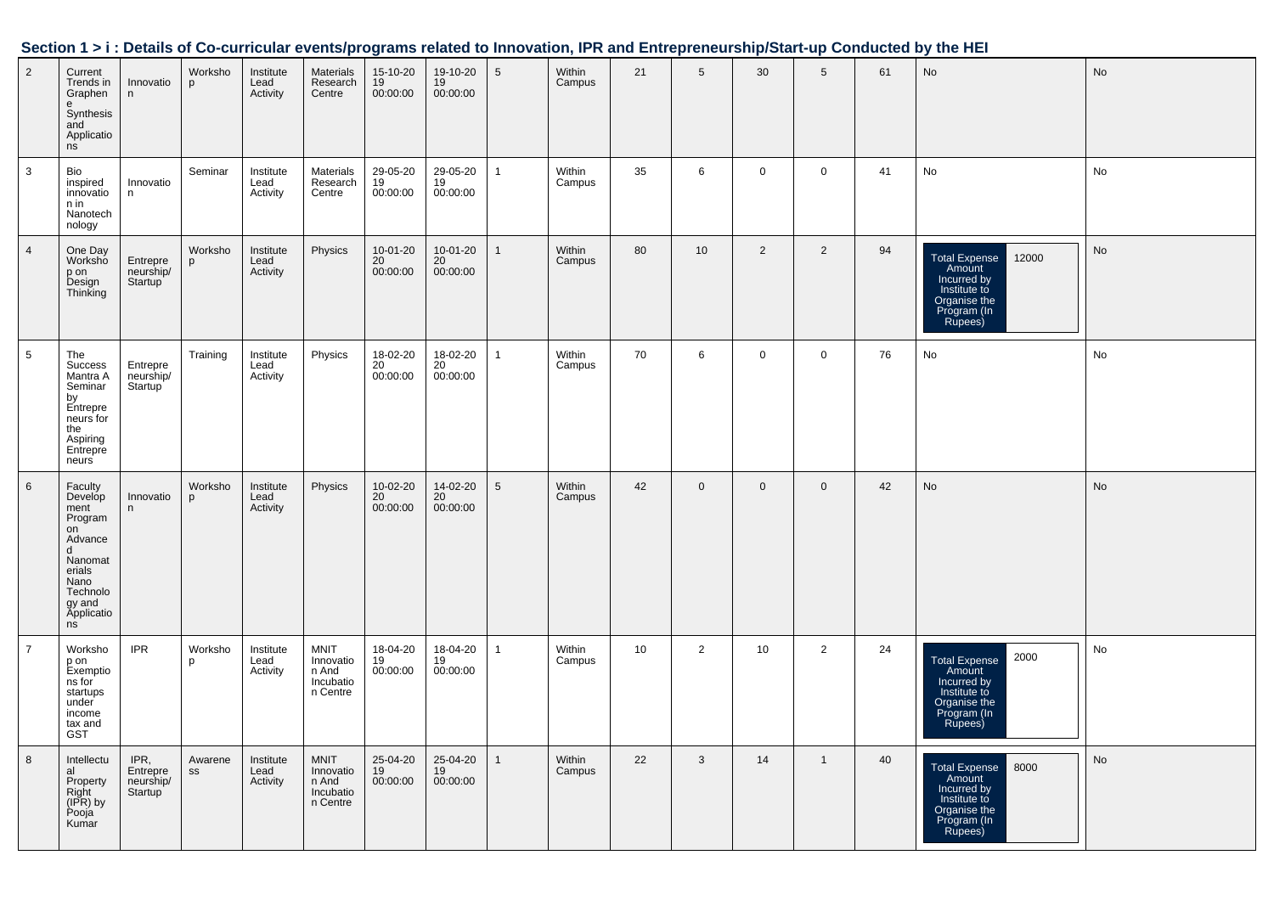|                |                                                                                                                                    |                                          |               |                               |                                                            |                            |                            |                 |                  |    |                 |                 |                |    | Section 1 > i : Details of Co-curricular events/programs related to Innovation, IPR and Entrepreneurship/Start-up Conducted by the HEI |           |
|----------------|------------------------------------------------------------------------------------------------------------------------------------|------------------------------------------|---------------|-------------------------------|------------------------------------------------------------|----------------------------|----------------------------|-----------------|------------------|----|-----------------|-----------------|----------------|----|----------------------------------------------------------------------------------------------------------------------------------------|-----------|
| $\overline{2}$ | Current<br>Trends in<br>Graphen<br>Synthesis<br>and<br>Applicatio<br>ns                                                            | Innovatio<br>n                           | Worksho<br>p  | Institute<br>Lead<br>Activity | Materials<br>Research<br>Centre                            | 15-10-20<br>19<br>00:00:00 | 19-10-20<br>19<br>00:00:00 | $5\phantom{.0}$ | Within<br>Campus | 21 | $5\phantom{.0}$ | 30 <sup>°</sup> | 5              | 61 | $\mathsf{No}$                                                                                                                          | <b>No</b> |
| 3              | Bio<br>inspired<br>innovatio<br>n in<br>Nanotech<br>nology                                                                         | Innovatio<br>n                           | Seminar       | Institute<br>Lead<br>Activity | Materials<br>Research<br>Centre                            | 29-05-20<br>19<br>00:00:00 | 29-05-20<br>19<br>00:00:00 | $\mathbf{1}$    | Within<br>Campus | 35 | 6               | $\mathbf 0$     | $\mathbf 0$    | 41 | No                                                                                                                                     | No        |
| $\overline{4}$ | One Day<br>Worksho<br>p on<br>Design<br>Thinking                                                                                   | Entrepre<br>neurship/<br>Startup         | Worksho<br>p  | Institute<br>Lead<br>Activity | Physics                                                    | 10-01-20<br>20<br>00:00:00 | 10-01-20<br>20<br>00:00:00 | $\overline{1}$  | Within<br>Campus | 80 | 10 <sup>°</sup> | $\overline{2}$  | $\overline{2}$ | 94 | Total Expense<br>Amount<br>12000<br>Incurred by<br>Institute to<br>Organise the<br>Program (In<br>Rupees)                              | No        |
| 5              | The<br>Success<br>Mantra A<br>Seminar<br>by<br>Entrepre<br>neurs for<br>the<br>Aspiring<br>Entrepre<br>neurs                       | Entrepre<br>neurship/<br>Startup         | Training      | Institute<br>Lead<br>Activity | Physics                                                    | 18-02-20<br>20<br>00:00:00 | 18-02-20<br>20<br>00:00:00 | $\overline{1}$  | Within<br>Campus | 70 | 6               | $\mathbf 0$     | $\mathbf 0$    | 76 | No                                                                                                                                     | No        |
| 6              | Faculty<br>Develop<br>ment<br>Program<br>on<br>Advance<br>d<br>Nanomat<br>erials<br>Nano<br>Technolo<br>gy and<br>Applicatio<br>ns | Innovatio<br>n                           | Worksho<br>p  | Institute<br>Lead<br>Activity | Physics                                                    | 10-02-20<br>20<br>00:00:00 | 14-02-20<br>20<br>00:00:00 | $\sqrt{5}$      | Within<br>Campus | 42 | $\mathbf 0$     | $\mathbf 0$     | $\mathbf 0$    | 42 | No                                                                                                                                     | No        |
| $\overline{7}$ | Worksho<br>p on<br>Exemptio<br>ns for<br>startups<br>under<br>income<br>tax and<br>GST                                             | <b>IPR</b>                               | Worksho<br>p  | Institute<br>Lead<br>Activity | <b>MNIT</b><br>Innovatio<br>n And<br>Incubatio<br>n Centre | 18-04-20<br>19<br>00:00:00 | 18-04-20<br>19<br>00:00:00 | $\overline{1}$  | Within<br>Campus | 10 | $\overline{2}$  | 10              | $\overline{2}$ | 24 | 2000<br>Total Expense<br>Amount<br>Incurred by<br>Institute to<br>Organise the<br>Program (In<br>Rupees)                               | No        |
| 8              | Intellectu<br>al<br>Property<br>Right<br>(IPR) by<br>Pooja<br>Kumar                                                                | IPR,<br>Entrepre<br>neurship/<br>Startup | Awarene<br>SS | Institute<br>Lead<br>Activity | <b>MNIT</b><br>Innovatio<br>n And<br>Incubatio<br>n Centre | 25-04-20<br>19<br>00:00:00 | 25-04-20<br>19<br>00:00:00 | $\mathbf{1}$    | Within<br>Campus | 22 | 3               | 14              | $\mathbf{1}$   | 40 | 8000<br><b>Total Expense</b><br>Amount<br>Incurred by<br>Institute to<br>Organise the<br>Program (In<br>Rupees)                        | No        |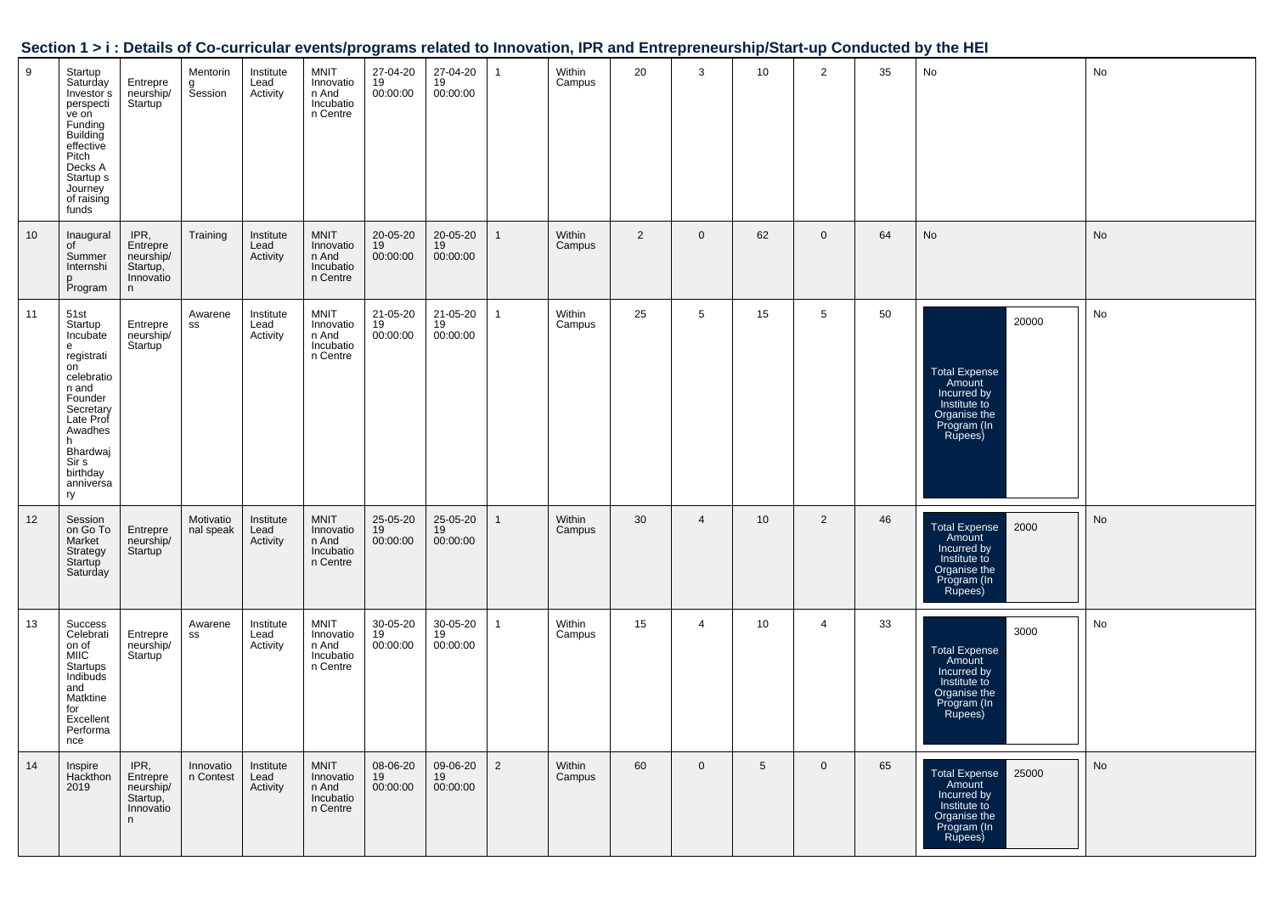| Section 1 > i : Details of Co-curricular events/programs related to Innovation, IPR and Entrepreneurship/Start-up Conducted by the HEI |  |  |
|----------------------------------------------------------------------------------------------------------------------------------------|--|--|
|                                                                                                                                        |  |  |

| 9  | Startup<br>Saturday<br>Investor <sup>s</sup><br>perspecti<br>ve on<br>Funding<br>Building<br>effective<br>Pitch<br>Decks A<br>Startup <sub>s</sub><br>Journey<br>of raising<br>funds | Entrepre<br>neurship/<br>Startup <sup>1</sup>               | Mentorin<br><b>Session</b> | Institute<br>Lead<br>Activity | MNIT<br>Innovatio<br>n And<br>Incubatio<br>n Centre        | 27-04-20<br>19<br>00:00:00 | 27-04-20<br>19<br>00:00:00 |                | Within<br>Campus | 20             | 3              | 10             | 2              | 35 | No                                                                                                               | No |
|----|--------------------------------------------------------------------------------------------------------------------------------------------------------------------------------------|-------------------------------------------------------------|----------------------------|-------------------------------|------------------------------------------------------------|----------------------------|----------------------------|----------------|------------------|----------------|----------------|----------------|----------------|----|------------------------------------------------------------------------------------------------------------------|----|
| 10 | Inaugural<br>of<br>Summer<br>Internshi<br>p<br>Program                                                                                                                               | IPR,<br>Entrepre<br>neurship/<br>Startup,<br>Innovatio<br>n | Training                   | Institute<br>Lead<br>Activity | <b>MNIT</b><br>Innovatio<br>n And<br>Incubatio<br>n Centre | 20-05-20<br>19<br>00:00:00 | 20-05-20<br>19<br>00:00:00 |                | Within<br>Campus | $\overline{2}$ | $\mathbf 0$    | 62             | $\mathbf 0$    | 64 | No                                                                                                               | No |
| 11 | 51st<br>Startup<br>Incubate<br>e<br>registrati<br>on<br>celebratio<br>n and<br>Founder<br>Secretary<br>Late Prof<br>Awadhes<br>h<br>Bhardwaj<br>Sir s<br>birthday<br>anniversa<br>ry | Entrepre<br>neurship/<br>Startup                            | Awarene<br>SS              | Institute<br>Lead<br>Activity | <b>MNIT</b><br>Innovatio<br>n And<br>Incubatio<br>n Centre | 21-05-20<br>19<br>00:00:00 | 21-05-20<br>19<br>00:00:00 |                | Within<br>Campus | 25             | 5              | 15             | 5              | 50 | 20000<br><b>Total Expense</b><br>Amount<br>Incurred by<br>Institute to<br>Organise the<br>Program (In<br>Rupees) | No |
| 12 | Session<br>on Go To<br>Market<br>Strategy<br>Startup<br>Saturday                                                                                                                     | Entrepre<br>neurship/<br>Startup                            | Motivatio<br>nal speak     | Institute<br>Lead<br>Activity | <b>MNIT</b><br>Innovatio<br>n And<br>Incubatio<br>n Centre | 25-05-20<br>19<br>00:00:00 | 25-05-20<br>19<br>00:00:00 |                | Within<br>Campus | 30             | $\overline{4}$ | 10             | 2              | 46 | <b>Total Expense</b><br>2000<br>Amount<br>Incurred by<br>Institute to<br>Organise the<br>Program (In<br>Rupees)  | No |
| 13 | Success<br>Celebrati<br>on of<br><b>MIIC</b><br>Startups<br>Indibuds<br>and<br>Matktine<br>for<br>Excellent<br>Performa<br>nce                                                       | Entrepre<br>neurship/<br>Startup                            | Awarene<br>SS              | Institute<br>Lead<br>Activity | <b>MNIT</b><br>Innovatio<br>n And<br>Incubatio<br>n Centre | 30-05-20<br>19<br>00:00:00 | 30-05-20<br>19<br>00:00:00 | 1              | Within<br>Campus | 15             | $\overline{4}$ | 10             | $\overline{4}$ | 33 | 3000<br><b>Total Expense</b><br>Amount<br>Incurred by<br>Institute to<br>Organise the<br>Program (In<br>Rupees)  | No |
| 14 | Inspire<br>Hackthon<br>2019                                                                                                                                                          | IPR,<br>Entrepre<br>neurship/<br>Startup,<br>Innovatio<br>n | Innovatio<br>n Contest     | Institute<br>Lead<br>Activity | <b>MNIT</b><br>Innovatio<br>n And<br>Incubatio<br>n Centre | 08-06-20<br>19<br>00:00:00 | 09-06-20<br>19<br>00:00:00 | $\overline{2}$ | Within<br>Campus | 60             | $\mathbf 0$    | 5 <sup>5</sup> | $\mathbf 0$    | 65 | 25000<br><b>Total Expense</b><br>Amount<br>Incurred by<br>Institute to<br>Organise the<br>Program (In<br>Rupees) | No |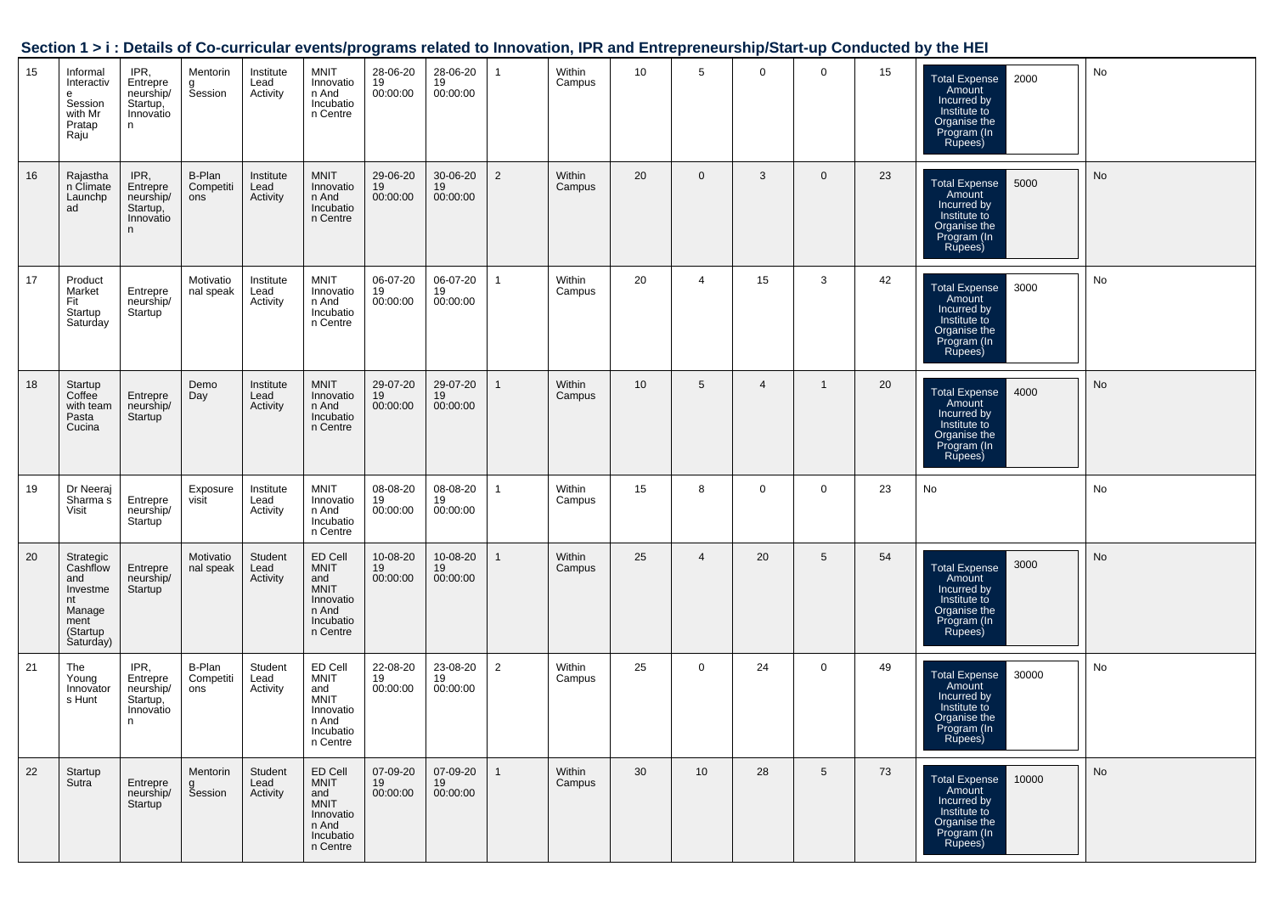|    | <u> Juulii 171.</u>                                                                       |                                                              |                            |                               |                                                                                             |                                         |                            |                |                  |                 |                 |                |                 |    | Details of 90 barriogial eventual programs related to importation, if it and Entrepreneurship otait ap conducted by the riEr |    |
|----|-------------------------------------------------------------------------------------------|--------------------------------------------------------------|----------------------------|-------------------------------|---------------------------------------------------------------------------------------------|-----------------------------------------|----------------------------|----------------|------------------|-----------------|-----------------|----------------|-----------------|----|------------------------------------------------------------------------------------------------------------------------------|----|
| 15 | Informal<br>Interactiv<br>e<br>Session<br>with Mr<br>Pratap<br>Raju                       | IPR,<br>Entrepre<br>neurship/<br>Startup,<br>Innovatio<br>n. | Mentorin<br>g<br>Session   | Institute<br>Lead<br>Activity | MNIT<br>Innovatio<br>n And<br>Incubatio<br>n Centre                                         | 28-06-20<br>19<br>00:00:00              | 28-06-20<br>19<br>00:00:00 | $\mathbf{1}$   | Within<br>Campus | 10 <sup>1</sup> | $5\overline{5}$ | $\overline{0}$ | $\mathbf 0$     | 15 | <b>Total Expense</b><br>2000<br>Amount<br>Incurred by<br>Institute to<br>Organise the<br>Program (In<br>Rupees)              | No |
| 16 | Rajastha<br>n Climate<br>Launchp<br>ad                                                    | IPR,<br>Entrepre<br>neurship/<br>Startup,<br>Innovatio<br>n  | B-Plan<br>Competiti<br>ons | Institute<br>Lead<br>Activity | MNIT<br>Innovatio<br>n And<br>Incubatio<br>n Centre                                         | 29-06-20<br>19<br>00:00:00              | 30-06-20<br>19<br>00:00:00 | $\overline{2}$ | Within<br>Campus | 20              | $\overline{0}$  | 3              | $\mathbf 0$     | 23 | 5000<br><b>Total Expense</b><br>Amount<br>Amount<br>Incurred by<br>Institute to<br>Organise the<br>Program (In<br>Rupees)    | No |
| 17 | Product<br>Market<br>Fit<br>Startup<br>Saturday                                           | Entrepre<br>neurship/<br>Startup <sup>1</sup>                | Motivatio<br>nal speak     | Institute<br>Lead<br>Activity | <b>MNIT</b><br>Innovatio<br>n And<br>Incubatio<br>n Centre                                  | 06-07-20<br>19<br>00:00:00              | 06-07-20<br>19<br>00:00:00 | $\mathbf{1}$   | Within<br>Campus | 20              | 4               | 15             | 3               | 42 | <b>Total Expense</b><br>3000<br>Amount<br>Incurred by<br>Institute to<br>Organise the<br>Program (In<br>Rupees)              | No |
| 18 | Startup<br>Coffee<br>with team<br>Pasta<br>Cucina                                         | Entrepre<br>neurship/<br>Startup <sup>'</sup>                | Demo<br>Day                | Institute<br>Lead<br>Activity | MNIT<br>Innovatio<br>n And<br>Incubatio<br>n Centre                                         | 29-07-20<br>19<br>00:00:00              | 29-07-20<br>19<br>00:00:00 | $\mathbf{1}$   | Within<br>Campus | 10 <sup>°</sup> | $5^{\circ}$     | $\overline{4}$ | $\overline{1}$  | 20 | <b>Total Expense</b><br>4000<br>Amount<br>Incurred by<br>Institute to<br>Organise the<br>Program (In<br>Rupees)              | No |
| 19 | Dr Neeraj<br>Sharma s<br>Visit                                                            | Entrepre<br>neurship/<br>Startup                             | Exposure<br>visit          | Institute<br>Lead<br>Activity | <b>MNIT</b><br>Innovatio<br>n And<br>Incubatio<br>n Centre                                  | 08-08-20<br>19<br>00:00:00              | 08-08-20<br>19<br>00:00:00 | $\overline{1}$ | Within<br>Campus | 15              | 8               | $\mathbf{0}$   | $\mathbf 0$     | 23 | No                                                                                                                           | No |
| 20 | Strategic<br>Cashflow<br>and<br>Investme<br>nt<br>Manage<br>ment<br>(Startup<br>Saturday) | Entrepre<br>neurship/<br>Startup                             | Motivatio<br>nal speak     | Student<br>Lead<br>Activity   | ED Cell<br>MNIT<br>and<br><b>MNIT</b><br>Innovatio<br>n And<br>Incubatio<br>n Centre        | 10-08-20<br>19<br>00:00:00              | 10-08-20<br>19<br>00:00:00 | $\overline{1}$ | Within<br>Campus | 25              | $\overline{4}$  | 20             | $5\phantom{.0}$ | 54 | 3000<br><b>Total Expense</b><br>Amount<br>Incurred by<br>Institute to<br>Organise the<br>Program (In<br>Rupees)              | No |
| 21 | The<br>Young<br>Innovator<br>s Hunt                                                       | IPR,<br>Entrepre<br>neurship/<br>Startup,<br>Innovatio<br>n  | B-Plan<br>Competiti<br>ons | Student<br>Lead<br>Activity   | ED Cell<br><b>MNIT</b><br>and<br>MNIT<br>Innovatio<br>n And<br>Incubatio<br>n Centre        | 22-08-20<br>$\overline{19}$<br>00:00:00 | 23-08-20<br>19<br>00:00:00 | $\overline{2}$ | Within<br>Campus | 25              | $\mathbf{0}$    | 24             | $\mathbf 0$     | 49 | 30000<br>Total Expense<br>Amount<br>Incurred by<br>Institute to<br>Organise the<br>Program (In<br>Rupees)                    | No |
| 22 | Startup<br>Sutra                                                                          | Entrepre<br>neurship/<br>Startup                             | Mentorin<br>g<br>Session   | Student<br>Lead<br>Activity   | ED Cell<br><b>MNIT</b><br>and<br><b>MNIT</b><br>Innovatio<br>n And<br>Incubatio<br>n Centre | 07-09-20<br>19<br>00:00:00              | 07-09-20<br>19<br>00:00:00 | $\mathbf{1}$   | Within<br>Campus | 30              | 10              | 28             | 5               | 73 | 10000<br><b>Total Expense</b><br>Amount<br>Incurred by<br>Institute to<br>Organise the<br>Program (In<br>Rupees)             | No |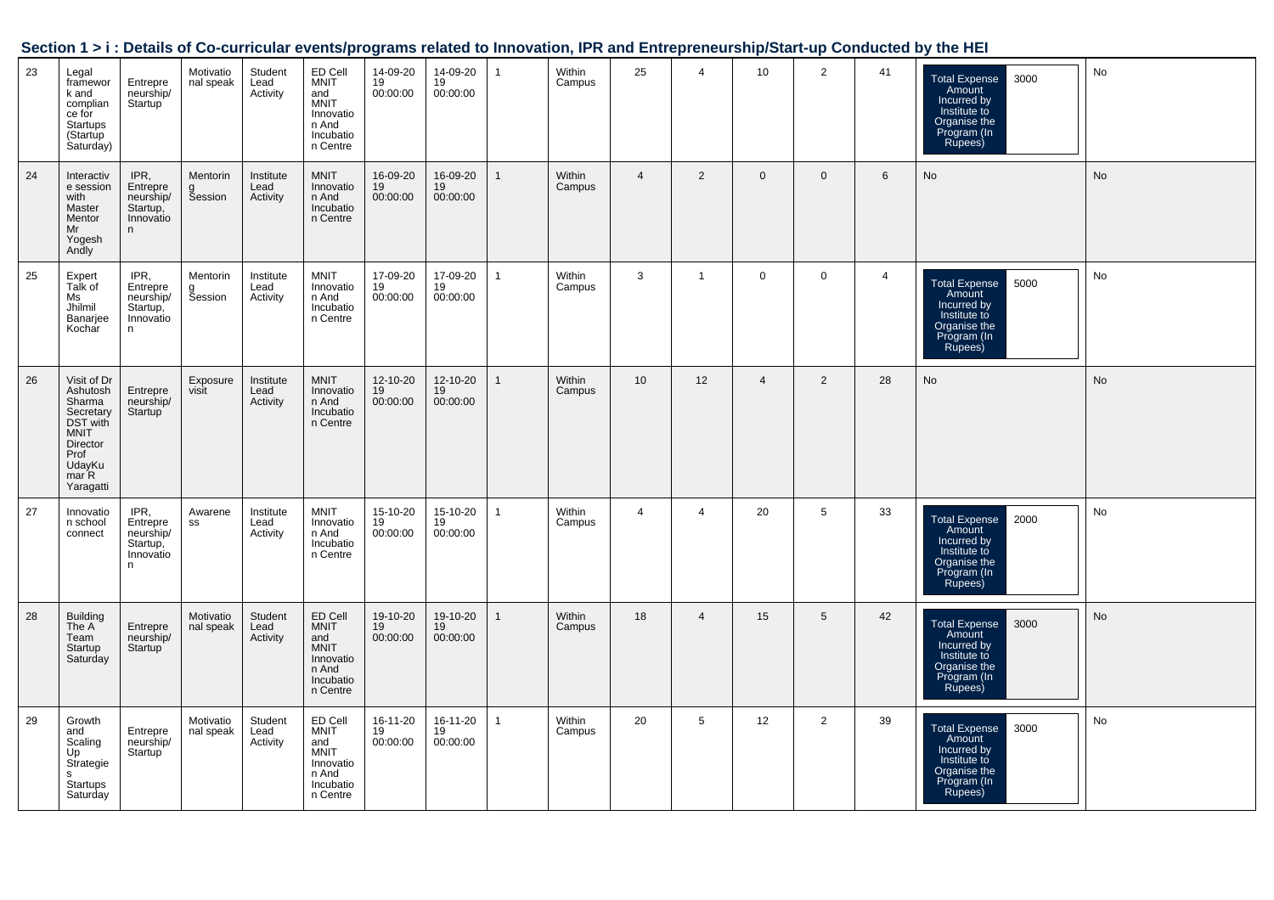|    |                                                                                                                               |                                                             |                          |                               |                                                                               |                              |                            |                |                  |                |                 |                 |             |                | JECHON T 21. DETAILS OF CO-CUTTICUM EVENTS/PROGRAMS REMEDIATION MINOVADOR, IF IN MITULE PRETIEM SHIPPOMARE PONDUCTED DY THE HER |           |
|----|-------------------------------------------------------------------------------------------------------------------------------|-------------------------------------------------------------|--------------------------|-------------------------------|-------------------------------------------------------------------------------|------------------------------|----------------------------|----------------|------------------|----------------|-----------------|-----------------|-------------|----------------|---------------------------------------------------------------------------------------------------------------------------------|-----------|
| 23 | Legal<br>framewor<br>k and<br>complian<br>ce for<br>Startups<br>(Startup<br>Saturday)                                         | Entrepre<br>neurship/<br>Startup                            | Motivatio<br>nal speak   | Student<br>Lead<br>Activity   | ED Cell<br>MNIT<br>and<br>MNIT<br>Innovatio<br>n And<br>Incubatio<br>n Centre | 14-09-20<br>$19$<br>00:00:00 | 14-09-20<br>19<br>00:00:00 | $\overline{1}$ | Within<br>Campus | 25             | $\overline{4}$  | 10 <sup>°</sup> | 2           | 41             | Total Expense<br>Amount<br>Incurred by<br>Institute to<br>Organise the<br>3000<br>Program (In<br>Rupees)                        | No        |
| 24 | Interactiv<br>e session<br>with<br>Master<br>Mentor<br>Mr<br>Yogesh<br>Andly                                                  | IPR,<br>Entrepre<br>neurship/<br>Startup,<br>Innovatio<br>n | Mentorin<br>g<br>Session | Institute<br>Lead<br>Activity | MNIT<br>Innovatio<br>n And<br>Incubatio<br>n Centre                           | 16-09-20<br>$19$<br>00:00:00 | 16-09-20<br>19<br>00:00:00 | $\mathbf{1}$   | Within<br>Campus | $\overline{4}$ | $\overline{2}$  | $\mathbf 0$     | $\mathbf 0$ | $6\phantom{1}$ | <b>No</b>                                                                                                                       | <b>No</b> |
| 25 | Expert<br>Talk of<br>Ms<br>Jhilmil<br>Banarjee<br>Kochar                                                                      | IPR,<br>Entrepre<br>neurship/<br>Startup,<br>Innovatio<br>n | Mentorin<br>g<br>Session | Institute<br>Lead<br>Activity | <b>MNIT</b><br>Innovatio<br>n And<br>Incubatio<br>n Centre                    | 17-09-20<br>19<br>00:00:00   | 17-09-20<br>19<br>00:00:00 | $\mathbf{1}$   | Within<br>Campus | $\mathbf{3}$   | $\mathbf{1}$    | $\mathbf{0}$    | $\mathbf 0$ | 4              | Total Expense<br>Amount<br>Incurred by<br>Institute to<br>Organise the<br>Program (In<br>Rupees)<br>5000                        | No        |
| 26 | Visit of Dr<br>Ashutosh<br>Sharma<br>Secretary<br>DST with<br><b>MNIT</b><br>Director<br>Prof<br>UdayKu<br>mar R<br>Yaragatti | Entrepre<br>neurship/<br>Startup                            | Exposure<br>visit        | Institute<br>Lead<br>Activity | <b>MNIT</b><br>Innovatio<br>n And<br>Incubatio<br>n Centre                    | 12-10-20<br>19<br>00:00:00   | 12-10-20<br>19<br>00:00:00 | $\mathbf{1}$   | Within<br>Campus | 10             | 12              | $\overline{4}$  | 2           | 28             | No                                                                                                                              | <b>No</b> |
| 27 | Innovatio<br>n school<br>connect                                                                                              | IPR,<br>Entrepre<br>neurship/<br>Startup,<br>Innovatio<br>n | Awarene<br>SS            | Institute<br>Lead<br>Activity | <b>MNIT</b><br>Innovatio<br>n And<br>Incubatio<br>n Centre                    | 15-10-20<br>19<br>00:00:00   | 15-10-20<br>19<br>00:00:00 | $\mathbf{1}$   | Within<br>Campus | $\overline{4}$ | $\overline{4}$  | 20              | 5           | 33             | 2000<br>Total Expense<br>Amount<br>Incurred by<br>Institute to<br>Organise the<br>Program (In<br>Rupees)                        | No        |
| 28 | Building<br>The A<br>Team<br>Startup<br>Saturday                                                                              | Entrepre<br>neurship/<br>Startup                            | Motivatio<br>nal speak   | Student<br>Lead<br>Activity   | ED Cell<br>MNIT<br>and<br>MNIT<br>Innovatio<br>n And<br>Incubation<br>Centre  | 19-10-20<br>19<br>00:00:00   | 19-10-20<br>19<br>00:00:00 | $\mathbf{1}$   | Within<br>Campus | 18             | $\overline{4}$  | 15              | 5           | 42             | 3000<br>Total Expense<br>Amount<br>Incurred by<br>Institute to<br>Organise the<br>Praise the<br>Program (In<br>Rupees)          | <b>No</b> |
| 29 | Growth<br>and<br>Scaling<br>Up<br>Strategie<br>s<br>Startups<br>Saturday                                                      | Entrepre<br>neurship/<br>Startup                            | Motivatio<br>nal speak   | Student<br>Lead<br>Activity   | ED Cell<br>MNIT<br>and<br>MNIT<br>Innovatio<br>n And<br>Incubatio<br>n Centre | 16-11-20<br>19<br>00:00:00   | 16-11-20<br>19<br>00:00:00 | $\mathbf{1}$   | Within<br>Campus | 20             | $5\overline{)}$ | 12              | 2           | 39             | Total Expense 3000<br>Amount<br>Incurred by<br>Institute to<br>Organise the<br>Program (In<br>Rupees)                           | No        |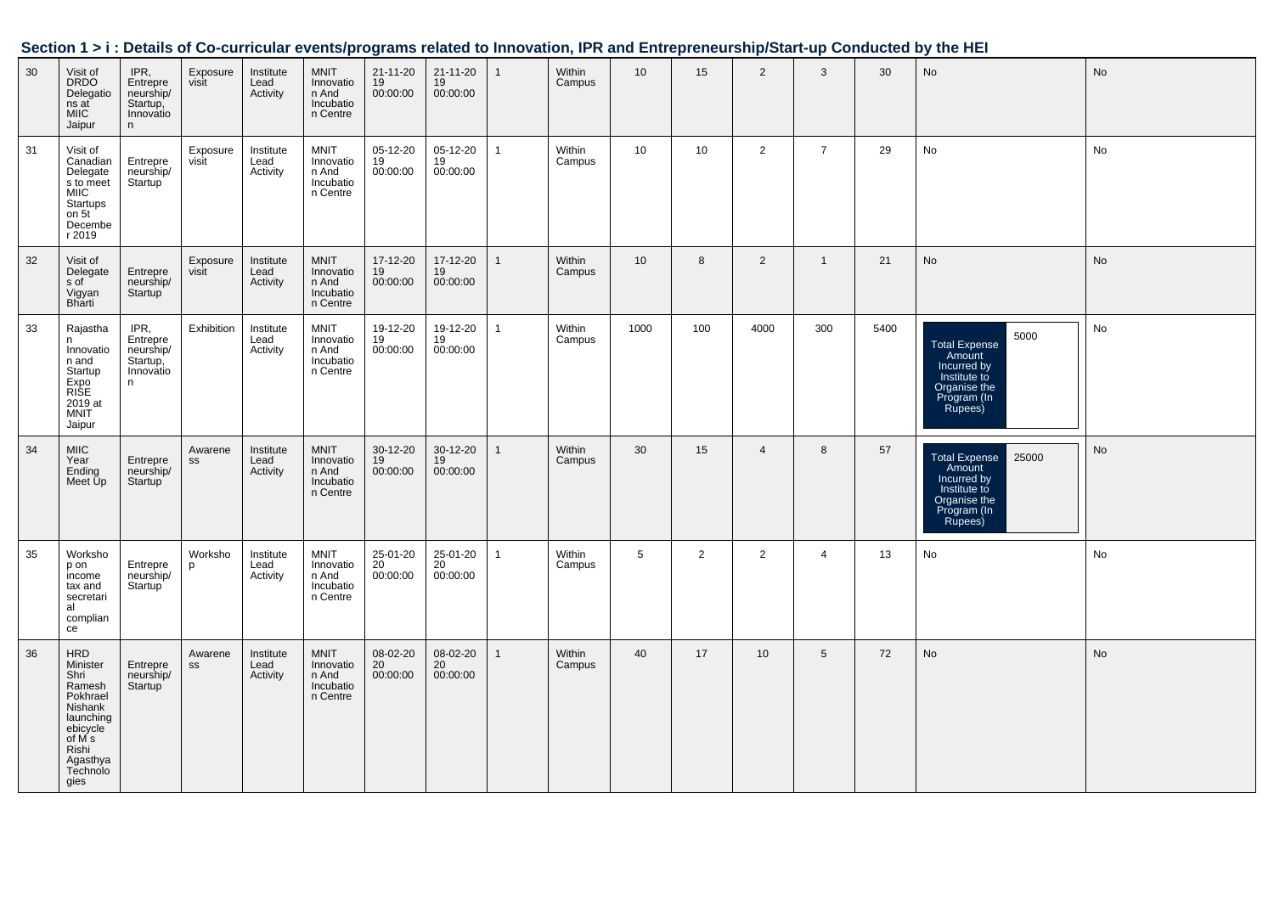|    |                                                                                                                                      |                                                             |                   |                               |                                                            |                            |                                  |                |                  |                 |     |                 |                |      | Section 1 > i : Details of Co-curricular events/programs related to Innovation, IPR and Entrepreneurship/Start-up Conducted by the HEI |           |
|----|--------------------------------------------------------------------------------------------------------------------------------------|-------------------------------------------------------------|-------------------|-------------------------------|------------------------------------------------------------|----------------------------|----------------------------------|----------------|------------------|-----------------|-----|-----------------|----------------|------|----------------------------------------------------------------------------------------------------------------------------------------|-----------|
| 30 | Visit of<br><b>DRDO</b><br>Delegatio<br>ns at<br><b>MIIC</b><br>Jaipur                                                               | IPR,<br>Entrepre<br>neurship/<br>Startup,<br>Innovatio<br>n | Exposure<br>visit | Institute<br>Lead<br>Activity | <b>MNIT</b><br>Innovatio<br>n And<br>Incubatio<br>n Centre | 21-11-20<br>19<br>00:00:00 | $21 - 11 - 20$<br>19<br>00:00:00 | $\overline{1}$ | Within<br>Campus | 10 <sup>1</sup> | 15  | $\overline{2}$  | 3              | 30   | No                                                                                                                                     | No        |
| 31 | Visit of<br>Canadian<br>Delegate<br>s to meet<br><b>MIIC</b><br>Startups<br>on 5t<br>Decembe<br>r 2019                               | Entrepre<br>neurship/<br>Startup                            | Exposure<br>visit | Institute<br>Lead<br>Activity | <b>MNIT</b><br>Innovatio<br>n And<br>Incubatio<br>n Centre | 05-12-20<br>19<br>00:00:00 | 05-12-20<br>19<br>00:00:00       | $\overline{1}$ | Within<br>Campus | 10              | 10  | $\overline{2}$  | $\overline{7}$ | 29   | No                                                                                                                                     | No        |
| 32 | Visit of<br>Delegate<br>s of<br>Vigyan<br>Bharti                                                                                     | Entrepre<br>neurship/<br>Startup                            | Exposure<br>visit | Institute<br>Lead<br>Activity | <b>MNIT</b><br>Innovatio<br>n And<br>Incubatio<br>n Centre | 17-12-20<br>19<br>00:00:00 | 17-12-20<br>19<br>00:00:00       | $\mathbf{1}$   | Within<br>Campus | 10              | 8   | $\overline{2}$  | $\mathbf{1}$   | 21   | No                                                                                                                                     | <b>No</b> |
| 33 | Rajastha<br>n<br>Innovatio<br>n and<br>Startup<br>Expo<br>RISE<br>2019 at<br><b>MNIT</b><br>Jaipur                                   | IPR,<br>Entrepre<br>neurship/<br>Startup,<br>Innovatio<br>n | Exhibition        | Institute<br>Lead<br>Activity | <b>MNIT</b><br>Innovatio<br>n And<br>Incubatio<br>n Centre | 19-12-20<br>19<br>00:00:00 | 19-12-20<br>19<br>00:00:00       | $\overline{1}$ | Within<br>Campus | 1000            | 100 | 4000            | 300            | 5400 | 5000<br>Total Expense<br>Amount<br>Incurred by<br>Institute to<br>Organise the<br>Program (In<br>Rupees)                               | No        |
| 34 | <b>MIIC</b><br>Year<br>Ending<br>Meet Up                                                                                             | Entrepre<br>neurship/<br>Startup <sup>'</sup>               | Awarene<br>SS     | Institute<br>Lead<br>Activity | <b>MNIT</b><br>Innovatio<br>n And<br>Incubatio<br>n Centre | 30-12-20<br>19<br>00:00:00 | 30-12-20<br>19<br>00:00:00       | $\mathbf{1}$   | Within<br>Campus | 30              | 15  | $\overline{4}$  | 8              | 57   | Total Expense<br>Amount<br>Incurred by<br>25000<br>Institute to<br>Organise the<br>Program (In<br>Rupees)                              | No        |
| 35 | Worksho<br>p on<br>income<br>tax and<br>secretari<br>al<br>complian<br>ce                                                            | Entrepre<br>neurship/<br>Startup <sup>1</sup>               | Worksho<br>p      | Institute<br>Lead<br>Activity | MNIT<br>Innovatio<br>n And<br>Incubatio<br>n Centre        | 25-01-20<br>20<br>00:00:00 | 25-01-20<br>20<br>00:00:00       | $\mathbf{1}$   | Within<br>Campus | $5\overline{5}$ | 2   | $\overline{2}$  | $\overline{4}$ | 13   | No                                                                                                                                     | No        |
| 36 | HRD<br>Minister<br>Shri<br>Ramesh<br>Pokhrael<br>Nishank<br>launching<br>ebicycle<br>of M s<br>Rishi<br>Agasthya<br>Technolo<br>gies | Entrepre<br>neurship/<br>Startup <sup>'</sup>               | Awarene<br>SS     | Institute<br>Lead<br>Activity | MNIT<br>Innovatio<br>n And<br>Incubatio<br>n Centre        | 08-02-20<br>20<br>00:00:00 | $08-02-20$<br>20<br>00:00:00     | $\mathbf{1}$   | Within<br>Campus | 40              | 17  | 10 <sup>°</sup> | 5              | 72   | No                                                                                                                                     | <b>No</b> |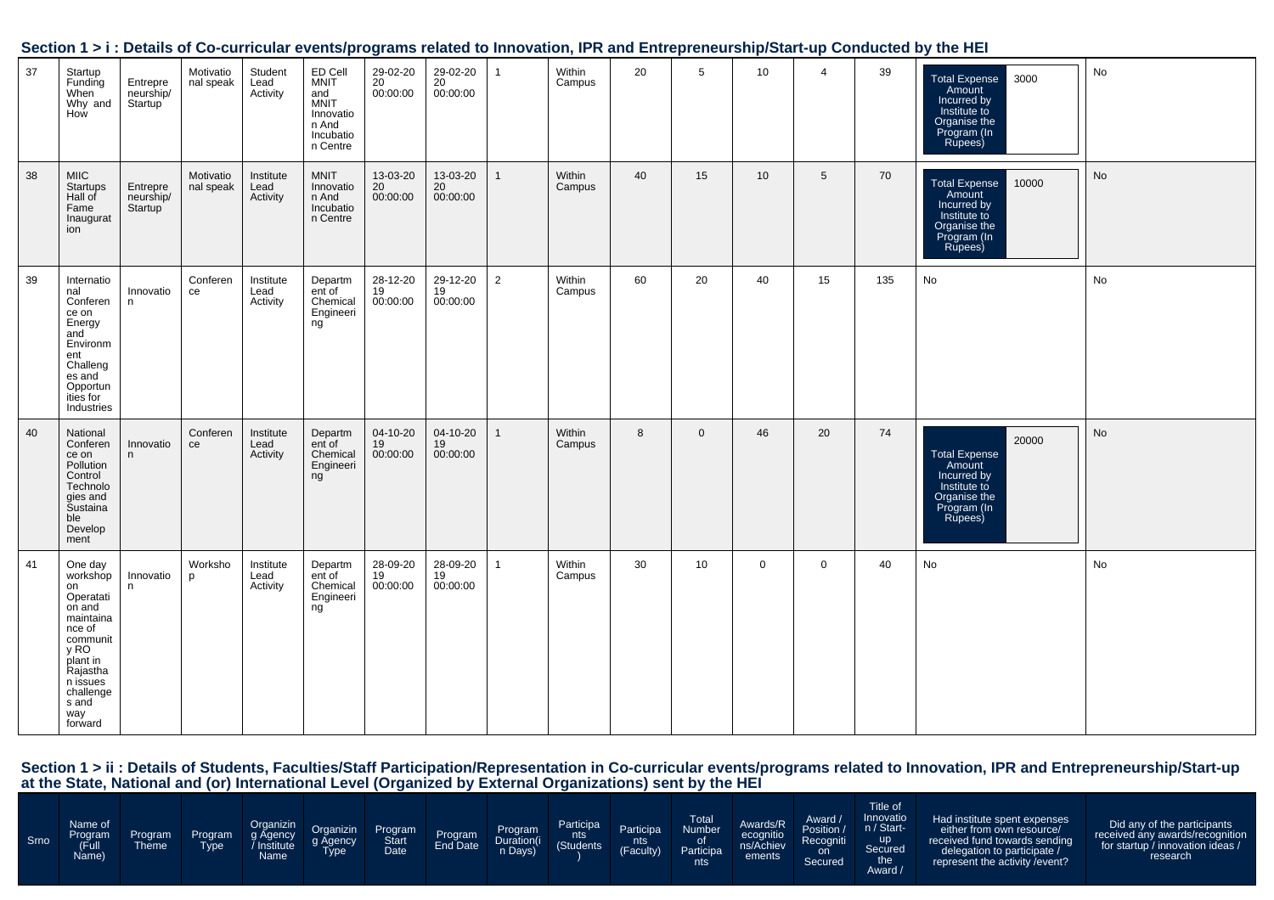|    |                                                                                                                                                                         |                                               |                        |                               |                                                                                             |                                         |                            |                |                  |    |              |                 |                 |     | bection 1 > 1. Details of Co-curricular events/programs related to impovation, ink and Entrepreneurship/Start-up Conducted by the HET |    |
|----|-------------------------------------------------------------------------------------------------------------------------------------------------------------------------|-----------------------------------------------|------------------------|-------------------------------|---------------------------------------------------------------------------------------------|-----------------------------------------|----------------------------|----------------|------------------|----|--------------|-----------------|-----------------|-----|---------------------------------------------------------------------------------------------------------------------------------------|----|
| 37 | Startup<br>Funding<br>When<br>Why and<br>How                                                                                                                            | Entrepre<br>neurship/<br>Startup <sup>1</sup> | Motivatio<br>nal speak | Student<br>Lead<br>Activity   | ED Cell<br><b>MNIT</b><br>and<br><b>MNIT</b><br>Innovatio<br>n And<br>Incubatio<br>n Centre | 29-02-20<br>20<br>00:00:00              | 29-02-20<br>20<br>00:00:00 | $\mathbf{1}$   | Within<br>Campus | 20 | 5            | 10              | $\overline{4}$  | 39  | 3000<br>Total Expense<br>Amount<br>Incurred by<br>Institute to<br>Organise the<br>Program (In<br>Rupees)                              | No |
| 38 | <b>MIIC</b><br>Startups<br>Hall of<br>Fame<br>Inaugurat<br>ion                                                                                                          | Entrepre<br>neurship/<br>Startup              | Motivatio<br>nal speak | Institute<br>Lead<br>Activity | <b>MNIT</b><br>Innovatio<br>n And<br>Incubatio<br>n Centre                                  | 13-03-20<br>20 <sup>2</sup><br>00:00:00 | 13-03-20<br>20<br>00:00:00 | $\mathbf{1}$   | Within<br>Campus | 40 | 15           | 10 <sup>1</sup> | $5\phantom{.0}$ | 70  | Total Expense<br>Amount<br>10000<br>Incurred by<br>Institute to<br>Organise the<br>Program (In<br>Rupees)                             | No |
| 39 | Internatio<br>nal<br>Conferen<br>ce on<br>Energy<br>and<br>Environm<br>ent<br>Challeng<br>es and<br>Opportun<br>ities for<br>Industries                                 | Innovatio<br>n                                | Conferen<br>ce         | Institute<br>Lead<br>Activity | Departm<br>ent of<br>Chemical<br>Engineeri<br>ng                                            | 28-12-20<br>19<br>00:00:00              | 29-12-20<br>19<br>00:00:00 | $\overline{2}$ | Within<br>Campus | 60 | 20           | 40              | 15              | 135 | No                                                                                                                                    | No |
| 40 | National<br>Conferen<br>ce on<br>Pollution<br>Control<br>Technolo<br>gies and<br>Šustaina<br>ble<br>Develop<br>ment                                                     | Innovatio<br>n                                | Conferen<br>ce         | Institute<br>Lead<br>Activity | Departm<br>ent of<br>Chemical<br>Engineeri<br>ng                                            | 04-10-20<br>19<br>00:00:00              | 04-10-20<br>19<br>00:00:00 | $\mathbf{1}$   | Within<br>Campus | 8  | $\mathbf{0}$ | 46              | 20              | 74  | 20000<br>Total Expense<br>Amount<br>Incurred by<br>Institute to<br>Organise the<br>Program (In<br>Rupees)                             | No |
| 41 | One day<br>workshop<br>on<br>Operatati<br>on and<br>maintaina<br>nce of<br>communit<br>y RO<br>plant in<br>Rajastha<br>n issues<br>challenge<br>s and<br>way<br>forward | Innovatio<br>n                                | Worksho<br>p           | Institute<br>Lead<br>Activity | Departm<br>ent of<br>Chemical<br>Engineeri<br>ng                                            | 28-09-20<br>19<br>00:00:00              | 28-09-20<br>19<br>00:00:00 | $\mathbf{1}$   | Within<br>Campus | 30 | 10           | $\overline{0}$  | $\mathbf 0$     | 40  | No                                                                                                                                    | No |

Section 1 > ii : Details of Students, Faculties/Staff Participation/Representation in Co-curricular events/programs related to Innovation, IPR and Entrepreneurship/Start-up<br>at the State, National and (or) International Lev

| Srno | Name of<br>Program<br>(Full<br>Name) | Program<br><b>Theme</b> | Program<br><b>Type</b> | Organizin<br>g Agency<br>/ Institute<br>Name | Organizin<br>g Agency<br>Type | Program<br>Date | Program<br>End Date | Program<br>n Days) | Participa<br>nts<br>(Students <sup>1</sup> | Participa<br>nts<br><b>(Faculty)</b> | <b>Total</b><br>Number<br>0t<br>Participa<br>nts | Awards/R<br>ecognitio<br>ements | Award /<br>Position /<br>Recogniti<br>on<br>Secured | Title of<br>Innovatio<br>n / Start-<br><b>up</b><br>Secured<br>the<br>Award / | Had institute spent expenses<br>either from own resource/<br>received fund towards sending<br>delegation to participate /<br>represent the activity / event? | Did any of the participants<br>received any awards/recognition<br>for startup / innovation ideas /<br>research |
|------|--------------------------------------|-------------------------|------------------------|----------------------------------------------|-------------------------------|-----------------|---------------------|--------------------|--------------------------------------------|--------------------------------------|--------------------------------------------------|---------------------------------|-----------------------------------------------------|-------------------------------------------------------------------------------|--------------------------------------------------------------------------------------------------------------------------------------------------------------|----------------------------------------------------------------------------------------------------------------|
|------|--------------------------------------|-------------------------|------------------------|----------------------------------------------|-------------------------------|-----------------|---------------------|--------------------|--------------------------------------------|--------------------------------------|--------------------------------------------------|---------------------------------|-----------------------------------------------------|-------------------------------------------------------------------------------|--------------------------------------------------------------------------------------------------------------------------------------------------------------|----------------------------------------------------------------------------------------------------------------|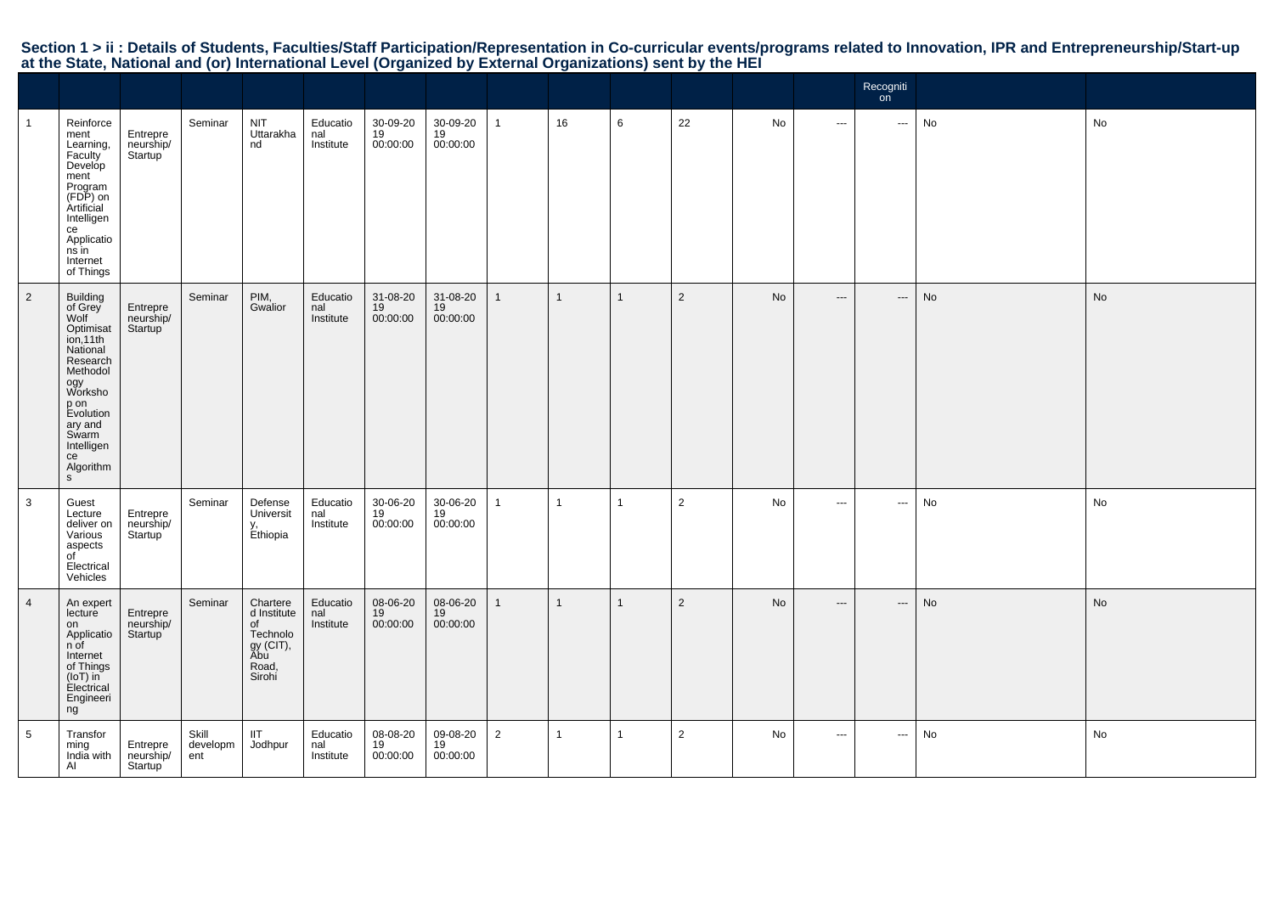# Section 1 > ii : Details of Students, Faculties/Staff Participation/Representation in Co-curricular events/programs related to Innovation, IPR and Entrepreneurship/Start-up<br>at the State, National and (or) International Lev

|                |                                                                                                                                                                                                      |                                               |                          |                                                                                  |                              |                            |                            |                |                |              |                |    |                          | Recogniti<br>on <sup>2</sup> |    |    |
|----------------|------------------------------------------------------------------------------------------------------------------------------------------------------------------------------------------------------|-----------------------------------------------|--------------------------|----------------------------------------------------------------------------------|------------------------------|----------------------------|----------------------------|----------------|----------------|--------------|----------------|----|--------------------------|------------------------------|----|----|
|                | Reinforce<br>ment<br>Learning,<br>Faculty<br>Develop<br>ment<br>Program<br>(FDP) on<br>Artificial<br>Intelligen<br>ce<br>Applicatio<br>ns in<br>Internet<br>of Things                                | Entrepre<br>neurship/<br>Startup <sup>'</sup> | Seminar                  | <b>NIT</b><br>Uttarakha<br>nd                                                    | Educatio<br>nal<br>Institute | 30-09-20<br>19<br>00:00:00 | 30-09-20<br>19<br>00:00:00 | $\mathbf{1}$   | 16             | 6            | 22             | No | $\sim$                   | $\sim$                       | No | No |
| $\overline{2}$ | Building<br>of Grey<br>Wolf<br>Optimisat<br>ion,11th<br>National<br>Research<br>Methodol<br>ogy<br>Worksho<br>p on<br>Evolution<br>ary and<br>Swarm<br>Intelligen<br>ce<br>Algorithm<br>$\mathsf{s}$ | Entrepre<br>neurship/<br>Startup <sup>'</sup> | Seminar                  | PIM,<br>Gwalior                                                                  | Educatio<br>nal<br>Institute | 31-08-20<br>19<br>00:00:00 | 31-08-20<br>19<br>00:00:00 | $\mathbf{1}$   | $\overline{1}$ | $\mathbf{1}$ | $\overline{2}$ | No | $\overline{\phantom{a}}$ | $\hspace{0.05cm} \ldots$     | No | No |
| $\mathbf{3}$   | Guest<br>Lecture<br>deliver on<br>Various<br>aspects<br>of<br>Electrical<br>Vehicles                                                                                                                 | Entrepre<br>neurship/<br>Startup              | Seminar                  | Defense<br>Universit<br>y,<br>Ethiopia                                           | Educatio<br>nal<br>Institute | 30-06-20<br>19<br>00:00:00 | 30-06-20<br>19<br>00:00:00 | $\mathbf{1}$   | $\overline{1}$ | $\mathbf{1}$ | $\overline{2}$ | No | $\overline{\phantom{a}}$ | $\hspace{0.05cm} \ldots$     | No | No |
| $\overline{4}$ | An expert<br>lecture<br>on<br>Applicatio<br>n of<br>Internet<br>of Things<br>(IoT) in<br>Electrical<br>Engineeri<br>ng                                                                               | Entrepre<br>neurship/<br>Startup <sup>'</sup> | Seminar                  | Chartere<br>d Institute<br>of<br>Technolo<br>gy (CIT),<br>Abu<br>Road,<br>Sirohi | Educatio<br>nal<br>Institute | 08-06-20<br>19<br>00:00:00 | 08-06-20<br>19<br>00:00:00 | $\mathbf{1}$   | $\overline{1}$ | $\mathbf{1}$ | $\overline{2}$ | No | $---$                    | $\hspace{0.05cm} \cdots$     | No | No |
| 5              | Transfor<br>ming<br>India with<br>Al                                                                                                                                                                 | Entrepre<br>neurship/<br>Startup <sup>'</sup> | Skill<br>developm<br>ent | <b>IIT</b><br>Jodhpur                                                            | Educatio<br>nal<br>Institute | 08-08-20<br>19<br>00:00:00 | 09-08-20<br>19<br>00:00:00 | $\overline{2}$ | -1             | $\mathbf{1}$ | $\overline{2}$ | No | $\cdots$                 | $\hspace{0.05cm} \ldots$     | No | No |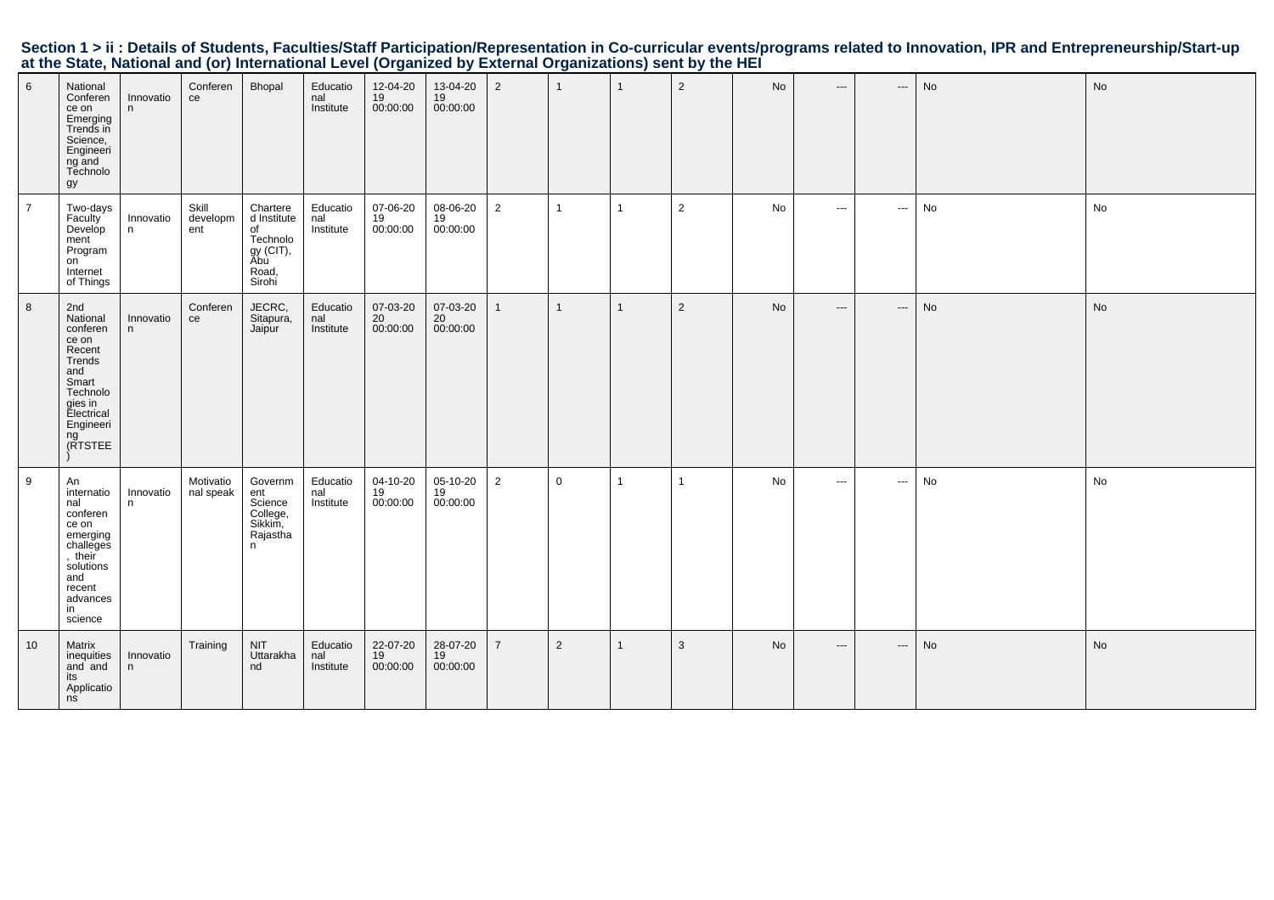| Section 1 > ii : Details of Students, Faculties/Staff Participation/Representation in Co-curricular events/programs related to Innovation, IPR and Entrepreneurship/Start-up |  |  |
|------------------------------------------------------------------------------------------------------------------------------------------------------------------------------|--|--|
| at the State, National and (or) International Level (Organized by External Organizations) sent by the HEI                                                                    |  |  |

| $6\phantom{1}$ | National<br>Conferen<br>ce on<br>Emerging<br>Trends in<br>Science,<br>Engineeri<br>ng and<br>Technolo<br>gy                                 | Innovatio<br>n | Conferen<br>ce           | Bhopal                                                                           | Educatio<br>nal<br>Institute | 12-04-20<br>19<br>00:00:00 | 13-04-20<br>19<br>00:00:00 | $\overline{2}$ | $\overline{1}$ | $\overline{1}$ | $\overline{2}$ | No | $\hspace{0.05cm} \ldots \hspace{0.05cm}$ | $\hspace{0.05cm} \cdots$          | No | No |
|----------------|---------------------------------------------------------------------------------------------------------------------------------------------|----------------|--------------------------|----------------------------------------------------------------------------------|------------------------------|----------------------------|----------------------------|----------------|----------------|----------------|----------------|----|------------------------------------------|-----------------------------------|----|----|
| $\overline{7}$ | Two-days<br>Faculty<br>Develop<br>ment<br>Program<br>on<br>Internet<br>of Things                                                            | Innovatio<br>n | Skill<br>developm<br>ent | Chartere<br>d Institute<br>of<br>Technolo<br>gy (CIT),<br>Abu<br>Road,<br>Sirohi | Educatio<br>nal<br>Institute | 07-06-20<br>19<br>00:00:00 | 08-06-20<br>19<br>00:00:00 | $\overline{2}$ | $\overline{1}$ | $\mathbf{1}$   | $\overline{2}$ | No | $\cdots$                                 | $\sim$ $\sim$                     | No | No |
| 8              | 2nd<br>National<br>conferen<br>ce on<br>Recent<br>Trends<br>and<br>Smart<br>Technolo<br>gies in<br>Electrical<br>Engineeri<br>ng<br>(RTSTEE | Innovatio<br>n | Conferen<br>ce           | JECRC,<br>Sitapura,<br>Jaipur                                                    | Educatio<br>nal<br>Institute | 07-03-20<br>20<br>00:00:00 | 07-03-20<br>20<br>00:00:00 | $\mathbf{1}$   | $\overline{1}$ | $\mathbf{1}$   | $\overline{2}$ | No | $---$                                    | $\hspace{0.05cm} \cdots$          | No | No |
| 9              | An<br>internatio<br>nal<br>conferen<br>ce on<br>emerging<br>challeges<br>, their<br>solutions<br>and<br>recent<br>advances<br>in<br>science | Innovatio<br>n | Motivatio<br>nal speak   | Governm<br>ent<br>Science<br>College,<br>Sikkim,<br>Rajastha<br>n                | Educatio<br>nal<br>Institute | 04-10-20<br>19<br>00:00:00 | 05-10-20<br>19<br>00:00:00 | $\overline{2}$ | $\mathbf 0$    | $\mathbf{1}$   | $\mathbf{1}$   | No | $\cdots$                                 | $\hspace{0.05cm} \cdots$          | No | No |
| 10             | Matrix<br>inequities<br>and and<br>its<br>Applicatio<br>nis                                                                                 | Innovatio<br>n | Training                 | <b>NIT</b><br>Uttarakha<br>nd                                                    | Educatio<br>nal<br>Institute | 22-07-20<br>19<br>00:00:00 | 28-07-20<br>19<br>00:00:00 | $\overline{7}$ | $\overline{2}$ | $\mathbf{1}$   | $\mathbf{3}$   | No | $\hspace{0.05cm} \ldots$                 | $\hspace{0.05cm} \dashrightarrow$ | No | No |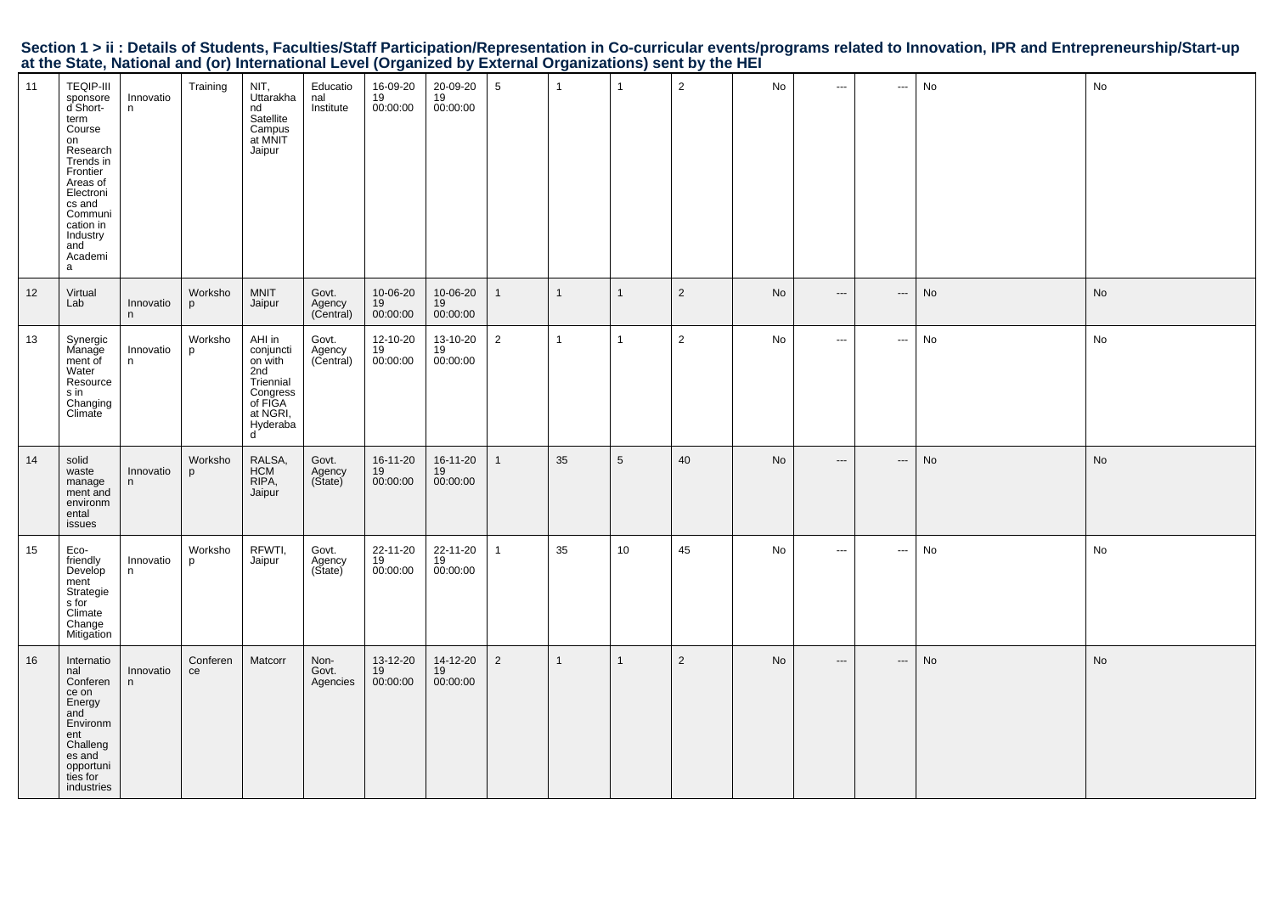|  | Section 1 > ii : Details of Students, Faculties/Staff Participation/Representation in Co-curricular events/programs related to Innovation, IPR and Entrepreneurship/Start-up |  |  |  |
|--|------------------------------------------------------------------------------------------------------------------------------------------------------------------------------|--|--|--|
|  | at the State, National and (or) International Level (Organized by External Organizations) sent by the HEI                                                                    |  |  |  |

| 11   | <b>TEQIP-III</b><br>sponsore<br>d Short-<br>term<br>Course<br>on<br>Research<br>Trends in<br>Frontier<br>Areas of<br>Electroni<br>cs and<br>Communi<br>cation in<br>Industry<br>and<br>Academi<br>a | Innovatio<br>n  | Training       | NIT,<br>Uttarakha<br>nd<br>Satellite<br>Campus<br>at MNIT<br>Jaipur                                    | Educatio<br>nal<br>Institute | 16-09-20<br>19<br>00:00:00 | 20-09-20<br>19<br>00:00:00 | $5\overline{)}$ | $\mathbf{1}$   | $\overline{1}$          | $\overline{2}$ | No | $\cdots$                      | $\cdots$                 | No | No |
|------|-----------------------------------------------------------------------------------------------------------------------------------------------------------------------------------------------------|-----------------|----------------|--------------------------------------------------------------------------------------------------------|------------------------------|----------------------------|----------------------------|-----------------|----------------|-------------------------|----------------|----|-------------------------------|--------------------------|----|----|
| $12$ | Virtual<br>Lab                                                                                                                                                                                      | Innovatio<br>n. | Worksho<br>p   | <b>MNIT</b><br>Jaipur                                                                                  | Govt.<br>Agency<br>(Central) | 10-06-20<br>19<br>00:00:00 | 10-06-20<br>19<br>00:00:00 | 1               | $\overline{1}$ | $\overline{1}$          | $\overline{2}$ | No | $\hspace{0.05cm} \ldots$      | $\cdots$                 | No | No |
| 13   | Synergic<br>Manage<br>ment of<br>Water<br>Resource<br>s in<br>Changing<br>Climate                                                                                                                   | Innovatio<br>n  | Worksho<br>p   | AHI in<br>conjuncti<br>on with<br>2nd<br>Triennial<br>Congress<br>of FIGA<br>at NGRI,<br>Hyderaba<br>ď | Govt.<br>Agency<br>(Central) | 12-10-20<br>19<br>00:00:00 | 13-10-20<br>19<br>00:00:00 | 2               | $\mathbf{1}$   | $\mathbf{1}$            | $\mathbf{2}$   | No | $\sim$                        | $\hspace{0.05cm} \cdots$ | No | No |
| 14   | solid<br>waste<br>manage<br>ment and<br>environm<br>ental<br>issues                                                                                                                                 | Innovatio<br>n. | Worksho<br>p   | RALSA,<br><b>HCM</b><br>RIPA,<br>Jaipur                                                                | Govt.<br>Agency<br>(State)   | 16-11-20<br>19<br>00:00:00 | 16-11-20<br>19<br>00:00:00 | 1               | 35             | 5                       | 40             | No | $\hspace{1.5cm} \textbf{---}$ | $\hspace{0.05cm} \ldots$ | No | No |
| 15   | Eco-<br>friendly<br>Develop<br>ment<br>Strategie<br>s for<br>Climate<br>Change<br>Mitigation                                                                                                        | Innovatio<br>n  | Worksho<br>p   | RFWTI,<br>Jaipur                                                                                       | Govt.<br>Agency<br>(Sitate)  | 22-11-20<br>19<br>00:00:00 | 22-11-20<br>19<br>00:00:00 | 1               | 35             | 10 <sup>1</sup>         | 45             | No | $\sim$                        | $\hspace{0.05cm} \cdots$ | No | No |
| 16   | Internatio<br>nal<br>Conferen<br>ce on<br>Energy<br>and<br>Environm<br>ent<br>Challeng<br>es and<br>opportuni<br>ties for<br>industries                                                             | Innovatio<br>n. | Conferen<br>ce | Matcorr                                                                                                | Non-<br>Govt.<br>Agencies    | 13-12-20<br>19<br>00:00:00 | 14-12-20<br>19<br>00:00:00 | $\overline{2}$  | $\mathbf{1}$   | $\overline{\mathbf{1}}$ | $\overline{2}$ | No | $\hspace{0.05cm} \ldots$      | $\hspace{0.05cm} \ldots$ | No | No |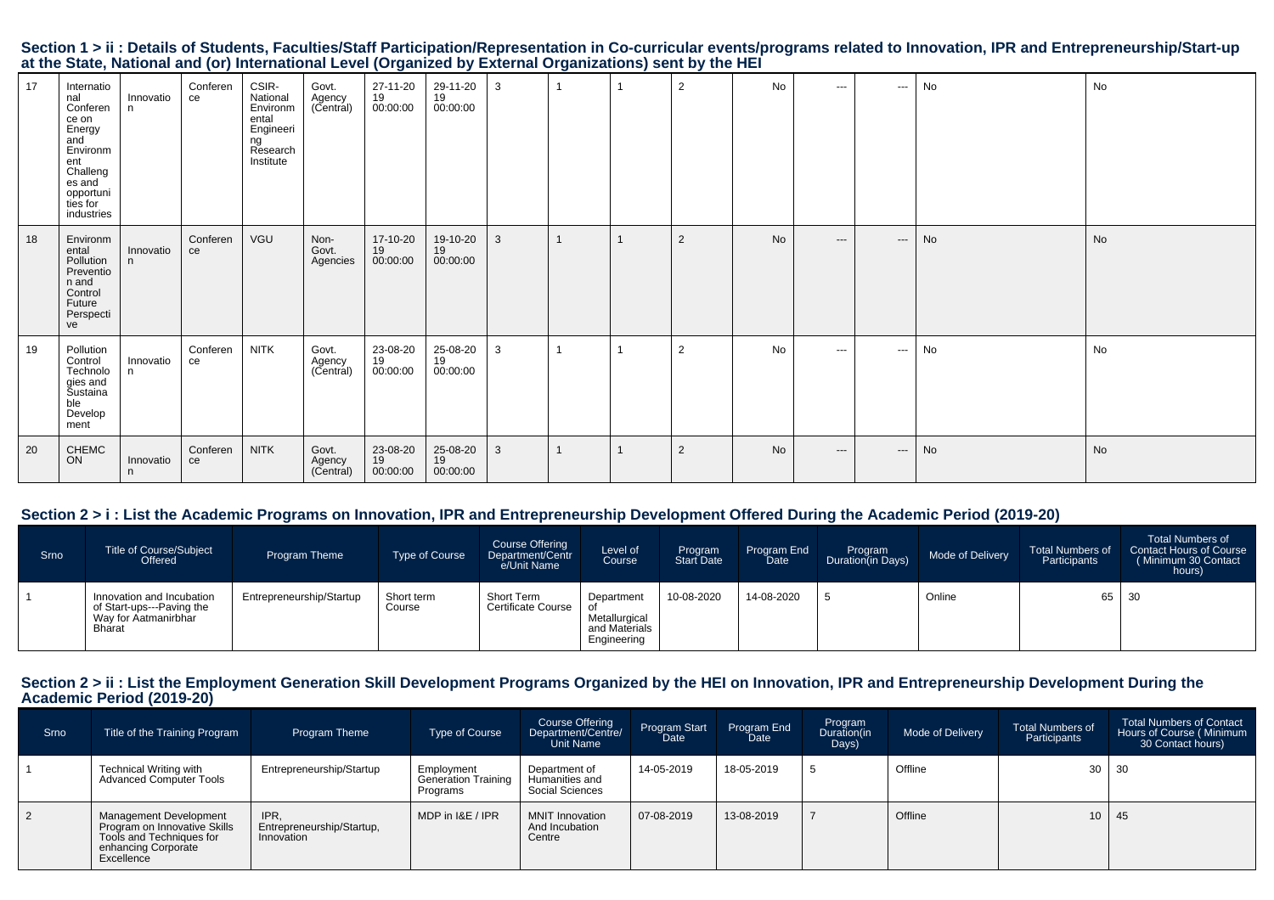|                                                                                                           |  |  | Section 1 > ii : Details of Students, Faculties/Staff Participation/Representation in Co-curricular events/programs related to Innovation, IPR and Entrepreneurship/Start-up |  |
|-----------------------------------------------------------------------------------------------------------|--|--|------------------------------------------------------------------------------------------------------------------------------------------------------------------------------|--|
| at the State, National and (or) International Level (Organized by External Organizations) sent by the HEI |  |  |                                                                                                                                                                              |  |

| 17 | Internatio<br>nal<br>Conferen<br>ce on<br>Energy<br>and<br>Environm<br>ent<br>Challeng<br>es and<br>opportuni<br>ties for<br>industries | Innovatio<br>n. | Conferen<br>ce | CSIR-<br>National<br>Environm<br>ental<br>Engineeri<br>ng<br>Research<br>Institute | Govt.<br>Agency<br>(Central) | 27-11-20<br>19<br>00:00:00 | 29-11-20<br>19<br>00:00:00 | 3 |  | $\overline{2}$ | No | $\cdots$ | $\sim$ $\sim$            | No | No |
|----|-----------------------------------------------------------------------------------------------------------------------------------------|-----------------|----------------|------------------------------------------------------------------------------------|------------------------------|----------------------------|----------------------------|---|--|----------------|----|----------|--------------------------|----|----|
| 18 | Environm<br>ental<br>Pollution<br>Preventio<br>n and<br>Control<br>Future<br>Perspecti<br>ve                                            | Innovatio<br>n. | Conferen<br>ce | VGU                                                                                | Non-<br>Govt.<br>Agencies    | 17-10-20<br>19<br>00:00:00 | 19-10-20<br>19<br>00:00:00 | 3 |  | $\overline{2}$ | No | $---$    | $\hspace{0.05cm} \ldots$ | No | No |
| 19 | Pollution<br>Control<br>Technolo<br>gies and<br>Sustaina<br>ble<br>Develop<br>ment                                                      | Innovatio<br>n. | Conferen<br>ce | <b>NITK</b>                                                                        | Govt.<br>Agency<br>(Central) | 23-08-20<br>19<br>00:00:00 | 25-08-20<br>19<br>00:00:00 | 3 |  | $\overline{2}$ | No | $---$    | $\cdots$                 | No | No |
| 20 | CHEMC<br>ON                                                                                                                             | Innovatio<br>n. | Conferen<br>ce | <b>NITK</b>                                                                        | Govt.<br>Agency<br>(Central) | 23-08-20<br>19<br>00:00:00 | 25-08-20<br>19<br>00:00:00 | 3 |  | $\overline{2}$ | No | $---$    | $\qquad \qquad - -$      | No | No |

### **Section 2 > i : List the Academic Programs on Innovation, IPR and Entrepreneurship Development Offered During the Academic Period (2019-20)**

| Srno | Title of Course/Subject<br>Offered                                                       | Program Theme            | Type of Course       | Course Offering<br>Department/Centr<br>e/Unit Name | Level of<br>Course                                          | Program<br>Start Date | Program End<br>Date | Program<br>Duration(in Days) | Mode of Delivery | <b>Total Numbers of</b><br>Participants | <b>Total Numbers of</b><br>Contact Hours of Course<br>(Minimum 30 Contact<br>hours) |
|------|------------------------------------------------------------------------------------------|--------------------------|----------------------|----------------------------------------------------|-------------------------------------------------------------|-----------------------|---------------------|------------------------------|------------------|-----------------------------------------|-------------------------------------------------------------------------------------|
|      | Innovation and Incubation<br>of Start-ups---Paving the<br>Way for Aatmanirbhar<br>Bharat | Entrepreneurship/Startup | Short term<br>Course | Short Term<br><b>Certificate Course</b>            | Department<br>Metallurgical<br>and Materials<br>Engineering | 10-08-2020            | 14-08-2020          |                              | Online           | 65 30                                   |                                                                                     |

# **Section 2 > ii : List the Employment Generation Skill Development Programs Organized by the HEI on Innovation, IPR and Entrepreneurship Development During the Academic Period (2019-20)**

| <b>Srno</b>   | Title of the Training Program                                                                                           | Program Theme                                   | <b>Type of Course</b>                                | Course Offering<br>Department/Centre/<br>Unit Name | Program Start<br>Date | Program End<br>Date | Program<br>Duration(in<br>Days) | Mode of Delivery | <b>Total Numbers of</b><br>Participants | <b>Total Numbers of Contact</b><br>Hours of Course (Minimum<br>30 Contact hours) |
|---------------|-------------------------------------------------------------------------------------------------------------------------|-------------------------------------------------|------------------------------------------------------|----------------------------------------------------|-----------------------|---------------------|---------------------------------|------------------|-----------------------------------------|----------------------------------------------------------------------------------|
|               | Technical Writing with<br><b>Advanced Computer Tools</b>                                                                | Entrepreneurship/Startup                        | Employment<br><b>Generation Training</b><br>Programs | Department of<br>Humanities and<br>Social Sciences | 14-05-2019            | 18-05-2019          |                                 | Offline          |                                         | $30 \mid 30$                                                                     |
| $\frac{2}{2}$ | Management Development<br>Program on Innovative Skills<br>Tools and Techniques for<br>enhancing Corporate<br>Excellence | IPR.<br>Entrepreneurship/Startup,<br>Innovation | MDP in I&E / IPR                                     | <b>MNIT Innovation</b><br>And Incubation<br>Centre | 07-08-2019            | 13-08-2019          |                                 | Offline          |                                         | $10 \mid 45$                                                                     |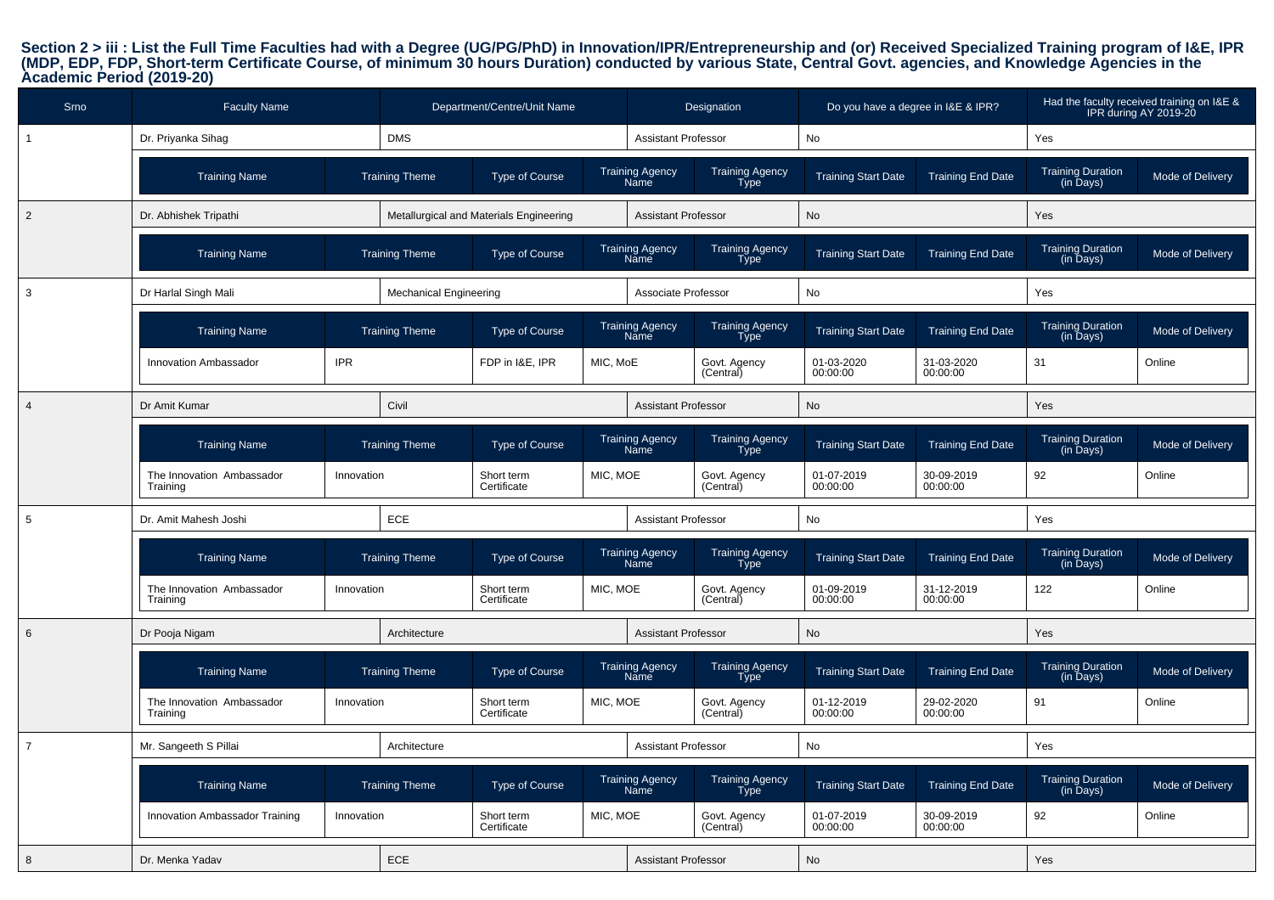Section 2 > iii : List the Full Time Faculties had with a Degree (UG/PG/PhD) in Innovation/IPR/Entrepreneurship and (or) Received Specialized Training program of I&E, IPR<br>(MDP, EDP, FDP, Short-term Certificate Course, of m

| Srno           | <b>Faculty Name</b>                   |            |                               | Department/Centre/Unit Name             |          |                                       | Designation                           | Do you have a degree in I&E & IPR? |                          |                                       | Had the faculty received training on I&E &<br>IPR during AY 2019-20 |
|----------------|---------------------------------------|------------|-------------------------------|-----------------------------------------|----------|---------------------------------------|---------------------------------------|------------------------------------|--------------------------|---------------------------------------|---------------------------------------------------------------------|
| $\mathbf{1}$   | Dr. Priyanka Sihag                    |            | <b>DMS</b>                    |                                         |          | <b>Assistant Professor</b>            |                                       | No                                 |                          | Yes                                   |                                                                     |
|                | <b>Training Name</b>                  |            | <b>Training Theme</b>         | <b>Type of Course</b>                   |          | <b>Training Agency</b><br>Name        | <b>Training Agency</b><br><b>Type</b> | <b>Training Start Date</b>         | <b>Training End Date</b> | <b>Training Duration</b><br>(in Days) | Mode of Delivery                                                    |
| 2              | Dr. Abhishek Tripathi                 |            |                               | Metallurgical and Materials Engineering |          | <b>Assistant Professor</b>            |                                       | No                                 |                          | Yes                                   |                                                                     |
|                | <b>Training Name</b>                  |            | <b>Training Theme</b>         | <b>Type of Course</b>                   |          | <b>Training Agency</b><br><b>Name</b> | <b>Training Agency</b><br>Type        | <b>Training Start Date</b>         | <b>Training End Date</b> | <b>Training Duration</b><br>(in Days) | Mode of Delivery                                                    |
| 3              | Dr Harlal Singh Mali                  |            | <b>Mechanical Engineering</b> |                                         |          | Associate Professor                   |                                       | No                                 |                          | Yes                                   |                                                                     |
|                | <b>Training Name</b>                  |            | <b>Training Theme</b>         | <b>Type of Course</b>                   |          | <b>Training Agency</b><br><b>Name</b> | <b>Training Agency</b><br><b>Type</b> | <b>Training Start Date</b>         | <b>Training End Date</b> | Training Duration<br>(in Days)        | Mode of Delivery                                                    |
|                | Innovation Ambassador                 | <b>IPR</b> |                               | FDP in I&E, IPR                         | MIC, MoE |                                       | Govt. Agency<br>(Central)             | 01-03-2020<br>00:00:00             | 31-03-2020<br>00:00:00   | 31                                    | Online                                                              |
| $\overline{4}$ | Dr Amit Kumar                         |            | Civil                         |                                         |          | <b>Assistant Professor</b>            |                                       | No                                 |                          | Yes                                   |                                                                     |
|                | <b>Training Name</b>                  |            | <b>Training Theme</b>         | <b>Type of Course</b>                   |          | <b>Training Agency</b><br>Name        | <b>Training Agency</b><br><b>Type</b> | <b>Training Start Date</b>         | <b>Training End Date</b> | Training Duration<br>(in Days)        | Mode of Delivery                                                    |
|                | The Innovation Ambassador<br>Training | Innovation |                               | Short term<br>Certificate               | MIC, MOE |                                       | Govt. Agency<br>(Central)             | 01-07-2019<br>00:00:00             | 30-09-2019<br>00:00:00   | 92                                    | Online                                                              |
| 5              | Dr. Amit Mahesh Joshi                 |            | ECE                           |                                         |          | <b>Assistant Professor</b>            |                                       | No                                 |                          | Yes                                   |                                                                     |
|                | <b>Training Name</b>                  |            | <b>Training Theme</b>         | <b>Type of Course</b>                   |          | <b>Training Agency</b><br>Name        | <b>Training Agency</b><br>Type        | <b>Training Start Date</b>         | <b>Training End Date</b> | Training Duration<br>(in Days)        | Mode of Delivery                                                    |
|                | The Innovation Ambassador<br>Training | Innovation |                               | Short term<br>Certificate               | MIC, MOE |                                       | Govt. Agency<br>(Central)             | 01-09-2019<br>00:00:00             | 31-12-2019<br>00:00:00   | 122                                   | Online                                                              |
| 6              | Dr Pooja Nigam                        |            | Architecture                  |                                         |          | <b>Assistant Professor</b>            |                                       | No                                 |                          | Yes                                   |                                                                     |
|                | <b>Training Name</b>                  |            | <b>Training Theme</b>         | <b>Type of Course</b>                   |          | Training Agency<br>Name               | Training Agency<br>Type               | <b>Training Start Date</b>         | <b>Training End Date</b> | Training Duration<br>(in Days)        | Mode of Delivery                                                    |
|                | The Innovation Ambassador<br>Training | Innovation |                               | Short term<br>Certificate               | MIC, MOE |                                       | Govt. Agency<br>(Central)             | 01-12-2019<br>00:00:00             | 29-02-2020<br>00:00:00   | 91                                    | Online                                                              |
| $\overline{7}$ | Mr. Sangeeth S Pillai                 |            | Architecture                  |                                         |          | <b>Assistant Professor</b>            |                                       | No                                 |                          | Yes                                   |                                                                     |
|                | <b>Training Name</b>                  |            | <b>Training Theme</b>         | <b>Type of Course</b>                   |          | Training Agency<br>Name               | Training Agency<br>Type               | <b>Training Start Date</b>         | <b>Training End Date</b> | Training Duration<br>(in Days)        | Mode of Delivery                                                    |
|                | Innovation Ambassador Training        | Innovation |                               | Short term<br>Certificate               | MIC, MOE |                                       | Govt. Agency<br>(Central)             | 01-07-2019<br>00:00:00             | 30-09-2019<br>00:00:00   | 92                                    | Online                                                              |
| 8              | Dr. Menka Yadav                       |            | ECE                           |                                         |          | <b>Assistant Professor</b>            |                                       | <b>No</b>                          |                          | Yes                                   |                                                                     |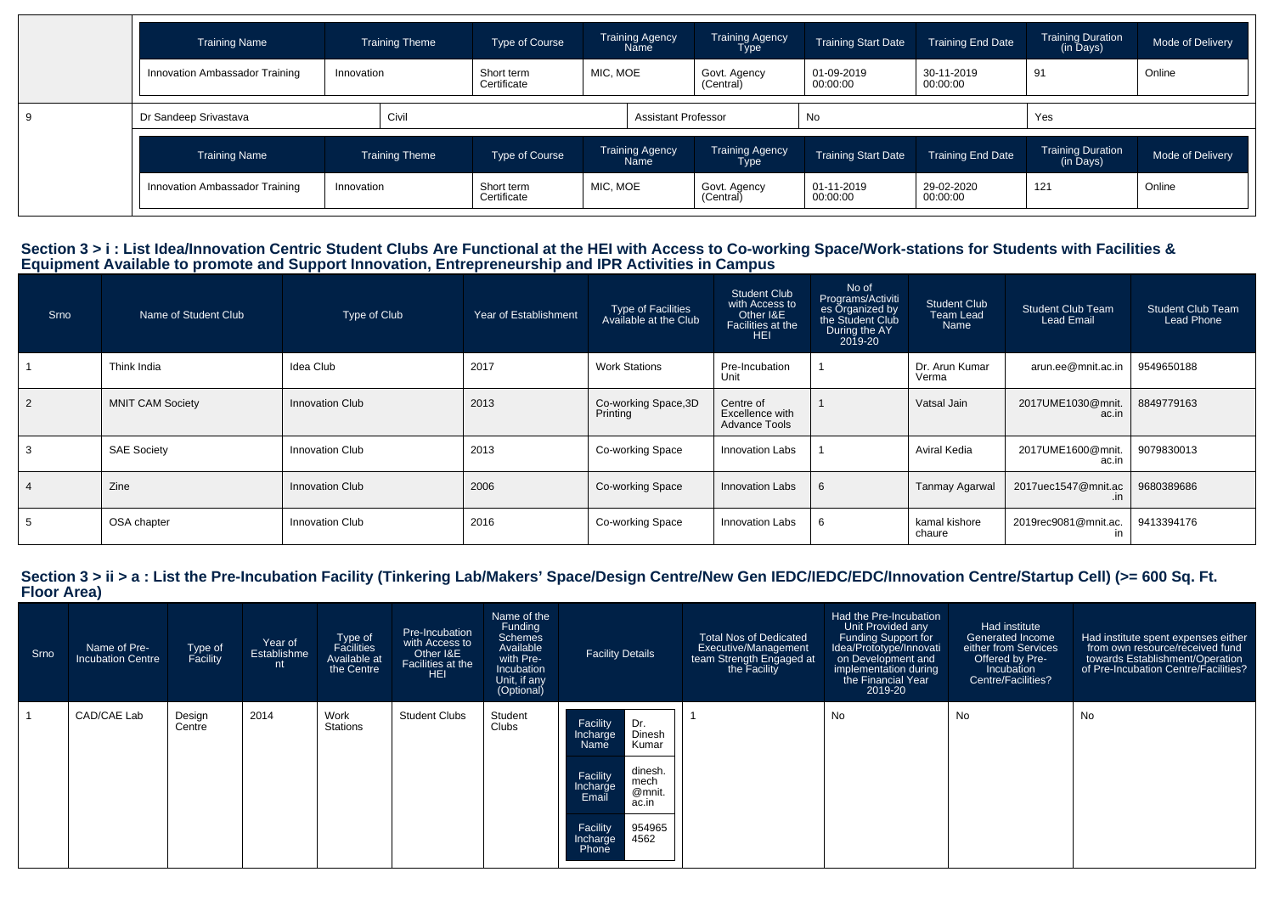| <b>Training Name</b>           |            | <b>Training Theme</b> | Type of Course            |          | <b>Training Agency</b><br>Name | <b>Training Agency</b><br><b>Type</b> | <b>Training Start Date</b> | <b>Training End Date</b> | <b>Training Duration</b><br>(in Days) | Mode of Delivery |
|--------------------------------|------------|-----------------------|---------------------------|----------|--------------------------------|---------------------------------------|----------------------------|--------------------------|---------------------------------------|------------------|
| Innovation Ambassador Training | Innovation |                       | Short term<br>Certificate | MIC, MOE |                                | Govt. Agency<br>(Central)             | 01-09-2019<br>00:00:00     | 30-11-2019<br>00:00:00   | 91                                    | Online           |
| Dr Sandeep Srivastava          |            | Civil                 |                           |          | <b>Assistant Professor</b>     |                                       | No                         |                          | Yes                                   |                  |
| <b>Training Name</b>           |            | <b>Training Theme</b> | Type of Course            |          | <b>Training Agency</b><br>Name | <b>Training Agency</b><br><b>Type</b> | <b>Training Start Date</b> | <b>Training End Date</b> | <b>Training Duration</b><br>(in Days) | Mode of Delivery |
| Innovation Ambassador Training | Innovation |                       | Short term<br>Certificate | MIC, MOE |                                | Govt. Agency<br>(Central)             | 01-11-2019<br>00:00:00     | 29-02-2020<br>00:00:00   | 121                                   | Online           |

# Section 3 > i : List Idea/Innovation Centric Student Clubs Are Functional at the HEI with Access to Co-working Space/Work-stations for Students with Facilities &<br>Equipment Available to promote and Support Innovation, Entre

| Srno | Name of Student Club    | Type of Club           | Year of Establishment | Type of Facilities<br>Available at the Club | <b>Student Club</b><br>with Access to<br>Other I&E<br>Facilities at the<br><b>HEI</b> | No of<br>Programs/Activiti<br>es Organized by<br>the Student Club<br>During the AY<br>2019-20 | Student Club<br>Team Lead<br>Name | <b>Student Club Team</b><br><b>Lead Email</b> | <b>Student Club Team</b><br>Lead Phone |
|------|-------------------------|------------------------|-----------------------|---------------------------------------------|---------------------------------------------------------------------------------------|-----------------------------------------------------------------------------------------------|-----------------------------------|-----------------------------------------------|----------------------------------------|
|      | Think India             | Idea Club              | 2017                  | <b>Work Stations</b>                        | Pre-Incubation<br>Unit                                                                |                                                                                               | Dr. Arun Kumar<br>Verma           | arun.ee@mnit.ac.in                            | 9549650188                             |
|      | <b>MNIT CAM Society</b> | Innovation Club        | 2013                  | Co-working Space, 3D<br>Printing            | Centre of<br>Excellence with<br><b>Advance Tools</b>                                  |                                                                                               | Vatsal Jain                       | 2017UME1030@mnit.<br>ac.in                    | 8849779163                             |
|      | <b>SAE Society</b>      | Innovation Club        | 2013                  | Co-working Space                            | Innovation Labs                                                                       |                                                                                               | Aviral Kedia                      | 2017UME1600@mnit.<br>ac.in                    | 9079830013                             |
|      | Zine                    | <b>Innovation Club</b> | 2006                  | Co-working Space                            | Innovation Labs                                                                       |                                                                                               | <b>Tanmay Agarwal</b>             | 2017uec1547@mnit.ac<br>.in                    | 9680389686                             |
|      | OSA chapter             | Innovation Club        | 2016                  | Co-working Space                            | Innovation Labs                                                                       |                                                                                               | kamal kishore<br>chaure           | 2019rec9081@mnit.ac.                          | 9413394176                             |

# **Section 3 > ii > a : List the Pre-Incubation Facility (Tinkering Lab/Makers' Space/Design Centre/New Gen IEDC/IEDC/EDC/Innovation Centre/Startup Cell) (>= 600 Sq. Ft. Floor Area)**

| Srno | Name of Pre-<br><b>Incubation Centre</b> | Type of<br>Facility | Year of<br>Establishme<br>nt | Type of<br>Facilities<br>Available at<br>the Centre | Pre-Incubation<br>with Access to<br>Other I&E<br>Facilities at the<br><b>HEI</b> | Name of the<br>Funding<br>Schemes<br>Available<br>with Pre-<br>Incubation<br>Unit, if any<br>(Optional) | <b>Facility Details</b>                                                                                                                                                          | <b>Total Nos of Dedicated</b><br>Executive/Management<br>team Strength Engaged at<br>the Facility | Had the Pre-Incubation<br>Unit Provided any<br>Funding Support for<br>Idea/Prototype/Innovati<br>on Development and<br>implementation during<br>the Financial Year<br>2019-20 | Had institute<br><b>Generated Income</b><br>either from Services<br>Offered by Pre-<br>Incubation<br><b>Centre/Facilities?</b> | Had institute spent expenses either<br>from own resource/received fund<br>towards Establishment/Operation<br>of Pre-Incubation Centre/Facilities? |
|------|------------------------------------------|---------------------|------------------------------|-----------------------------------------------------|----------------------------------------------------------------------------------|---------------------------------------------------------------------------------------------------------|----------------------------------------------------------------------------------------------------------------------------------------------------------------------------------|---------------------------------------------------------------------------------------------------|-------------------------------------------------------------------------------------------------------------------------------------------------------------------------------|--------------------------------------------------------------------------------------------------------------------------------|---------------------------------------------------------------------------------------------------------------------------------------------------|
|      | CAD/CAE Lab                              | Design<br>Centre    | 2014                         | Work<br>Stations                                    | <b>Student Clubs</b>                                                             | Student<br>Clubs                                                                                        | Dr.<br>Facility<br>Dinesh<br>Incharge<br>Kumar<br>Name<br>dinesh.<br>Facility<br>mech<br>Incharge<br>Email<br>@mnit.<br>ac.in<br>Facility<br>954965<br>4562<br>Incharge<br>Phone |                                                                                                   | No                                                                                                                                                                            | No                                                                                                                             | No                                                                                                                                                |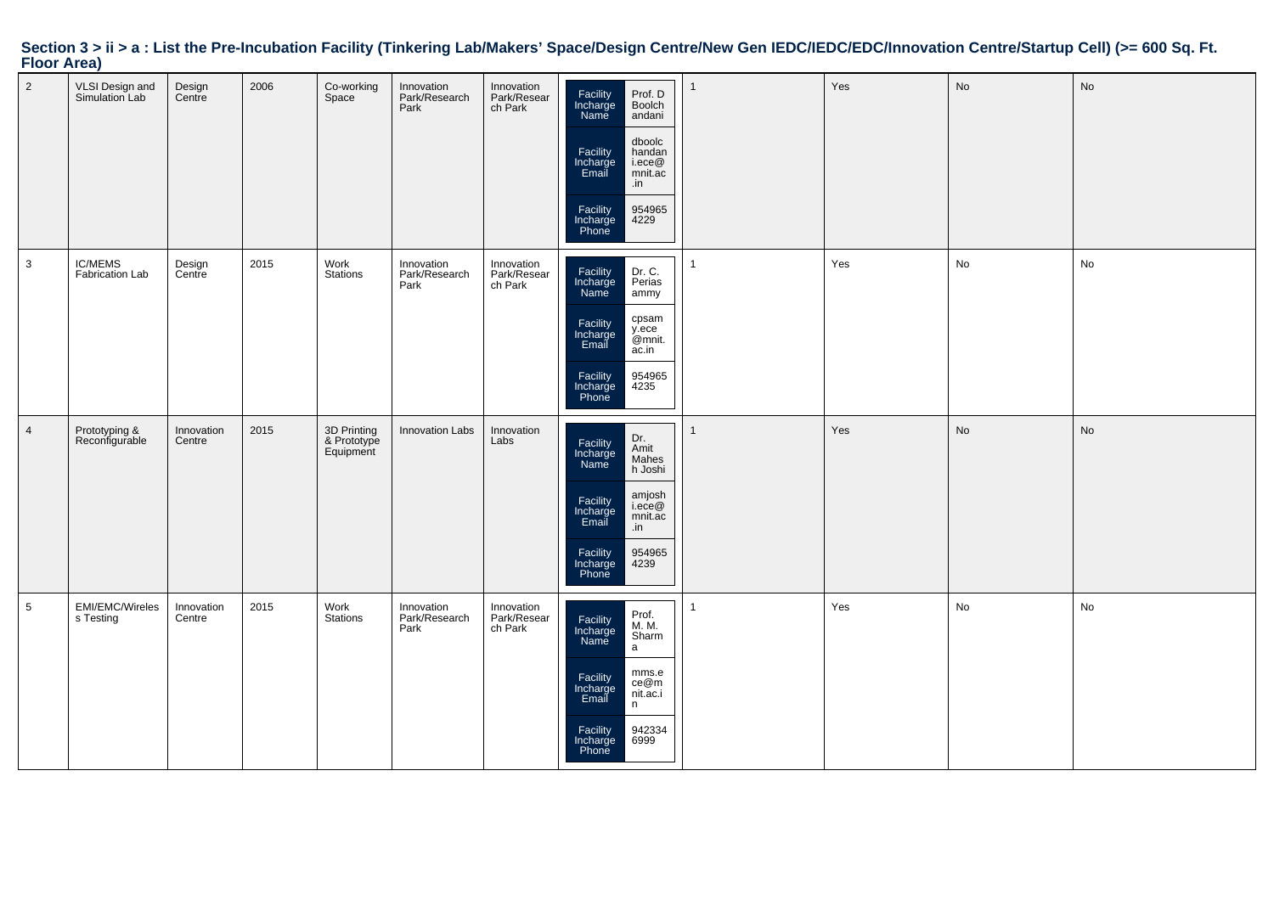# **Section 3 > ii > a : List the Pre-Incubation Facility (Tinkering Lab/Makers' Space/Design Centre/New Gen IEDC/IEDC/EDC/Innovation Centre/Startup Cell) (>= 600 Sq. Ft. Floor Area)**

| $\overline{2}$ | VLSI Design and<br>Simulation Lab | Design<br>Centre     | 2006 | Co-working<br>Space                     | Innovation<br>Park/Research<br>Park | Innovation<br>Park/Resear<br>ch Park | Facility<br>Incharge<br>Name<br>Prof. D<br>Boolch<br>andani<br>dboolc<br>Facility<br>Incharge<br>Email<br>handan<br>i.ece@<br>mnit.ac<br>.in<br>954965<br>Facility<br>Incharge<br>Phone<br>4229 | Yes | No | No |
|----------------|-----------------------------------|----------------------|------|-----------------------------------------|-------------------------------------|--------------------------------------|-------------------------------------------------------------------------------------------------------------------------------------------------------------------------------------------------|-----|----|----|
| 3              | <b>IC/MEMS</b><br>Fabrication Lab | Design<br>Centre     | 2015 | Work<br><b>Stations</b>                 | Innovation<br>Park/Research<br>Park | Innovation<br>Park/Resear<br>ch Park | Facility<br>Incharge<br>Dr. C.<br>Perias<br>Name<br>ammy<br>cpsam<br>Facility<br>y.ece<br>@mnit.<br>Incharge<br>Email<br>ac.in<br>Facility<br>954965<br>4235<br>Incharge<br>Phone               | Yes | No | No |
| $\overline{4}$ | Prototyping &<br>Reconfigurable   | Innovation<br>Centre | 2015 | 3D Printing<br>& Prototype<br>Equipment | <b>Innovation Labs</b>              | Innovation<br>Labs                   | Dr.<br>Facility<br>Incharge<br>Amit<br>Mahes<br>Name<br>h Joshi<br>amjosh<br>i.ece@<br>Facility<br>Incharge<br>mnit.ac<br>Email<br>.in<br>Facility<br>Incharge<br>Phone<br>954965<br>4239       | Yes | No | No |
| 5              | EMI/EMC/Wireles<br>s Testing      | Innovation<br>Centre | 2015 | Work<br><b>Stations</b>                 | Innovation<br>Park/Research<br>Park | Innovation<br>Park/Resear<br>ch Park | Prof.<br>M. M.<br>Facility<br>Incharge<br>Sharm<br>Name<br>$\mathsf{a}$<br>mms.e<br>Facility<br>Incharge<br>Email<br>ce@m<br>nit.ac.i<br>n<br>Facility<br>Incharge<br>Phone<br>942334<br>6999   | Yes | No | No |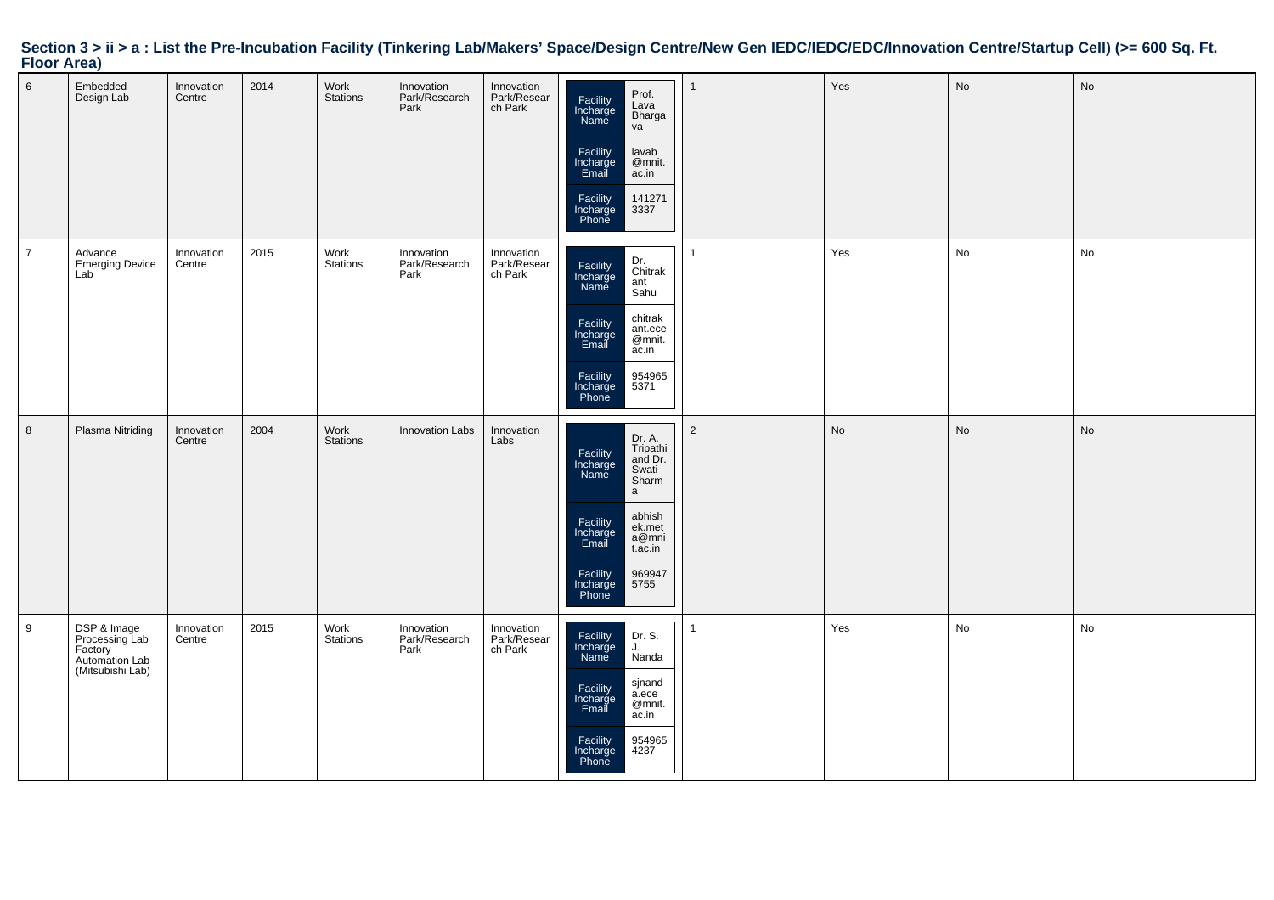# **Section 3 > ii > a : List the Pre-Incubation Facility (Tinkering Lab/Makers' Space/Design Centre/New Gen IEDC/IEDC/EDC/Innovation Centre/Startup Cell) (>= 600 Sq. Ft. Floor Area)**

| $6\phantom{.}6$ | Embedded<br>Design Lab                                                         | Innovation<br>Centre | 2014 | Work<br><b>Stations</b> | Innovation<br>Park/Research<br>Park | Innovation<br>Park/Resear<br>ch Park | Prof.<br>Facility<br>Incharge<br>Name<br>Lava<br>Bharga<br>va<br>Facility<br>Incharge<br>Email<br>lavab<br>@mnit.<br>ac.in<br>Facility<br>141271<br>3337<br>Incharge<br>Phone                                    | 1              | Yes       | No | No |
|-----------------|--------------------------------------------------------------------------------|----------------------|------|-------------------------|-------------------------------------|--------------------------------------|------------------------------------------------------------------------------------------------------------------------------------------------------------------------------------------------------------------|----------------|-----------|----|----|
| $\overline{7}$  | Advance<br><b>Emerging Device</b><br>Lab                                       | Innovation<br>Centre | 2015 | Work<br>Stations        | Innovation<br>Park/Research<br>Park | Innovation<br>Park/Resear<br>ch Park | Dr.<br>Chitrak<br>Facility<br>Incharge<br>Name<br>ant<br>Sahu<br>chitrak<br>Facility<br>ant.ece<br>Incharge<br>Email<br>@mnit.<br>ac.in<br>Facility<br>954965<br>5371<br>Incharge<br>Phone                       | $\overline{1}$ | Yes       | No | No |
| 8               | Plasma Nitriding                                                               | Innovation<br>Centre | 2004 | Work<br>Stations        | <b>Innovation Labs</b>              | Innovation<br>Labs                   | Dr. A.<br>Tripathi<br>Facility<br>and Dr.<br>Incharge<br>Name<br>Swati<br>Sharm<br>a<br>abhish<br>Facility<br>ek.met<br>Incharge<br>Email<br>a@mni<br>t.ac.in<br>Facility<br>969947<br>5755<br>Incharge<br>Phone | $\overline{2}$ | <b>No</b> | No | No |
| 9               | DSP & Image<br>Processing Lab<br>Factory<br>Automation Lab<br>(Mitsubishi Lab) | Innovation<br>Centre | 2015 | Work<br>Stations        | Innovation<br>Park/Research<br>Park | Innovation<br>Park/Resear<br>ch Park | Facility<br>Dr. S.<br>Incharge<br>Name<br>J.<br>Nanda<br>sjnand<br>Facility<br>a.ece<br>Incharge<br>Email<br>@mnit.<br>ac.in<br>Facility<br>954965<br>Incharge<br>Phone<br>4237                                  | 1              | Yes       | No | No |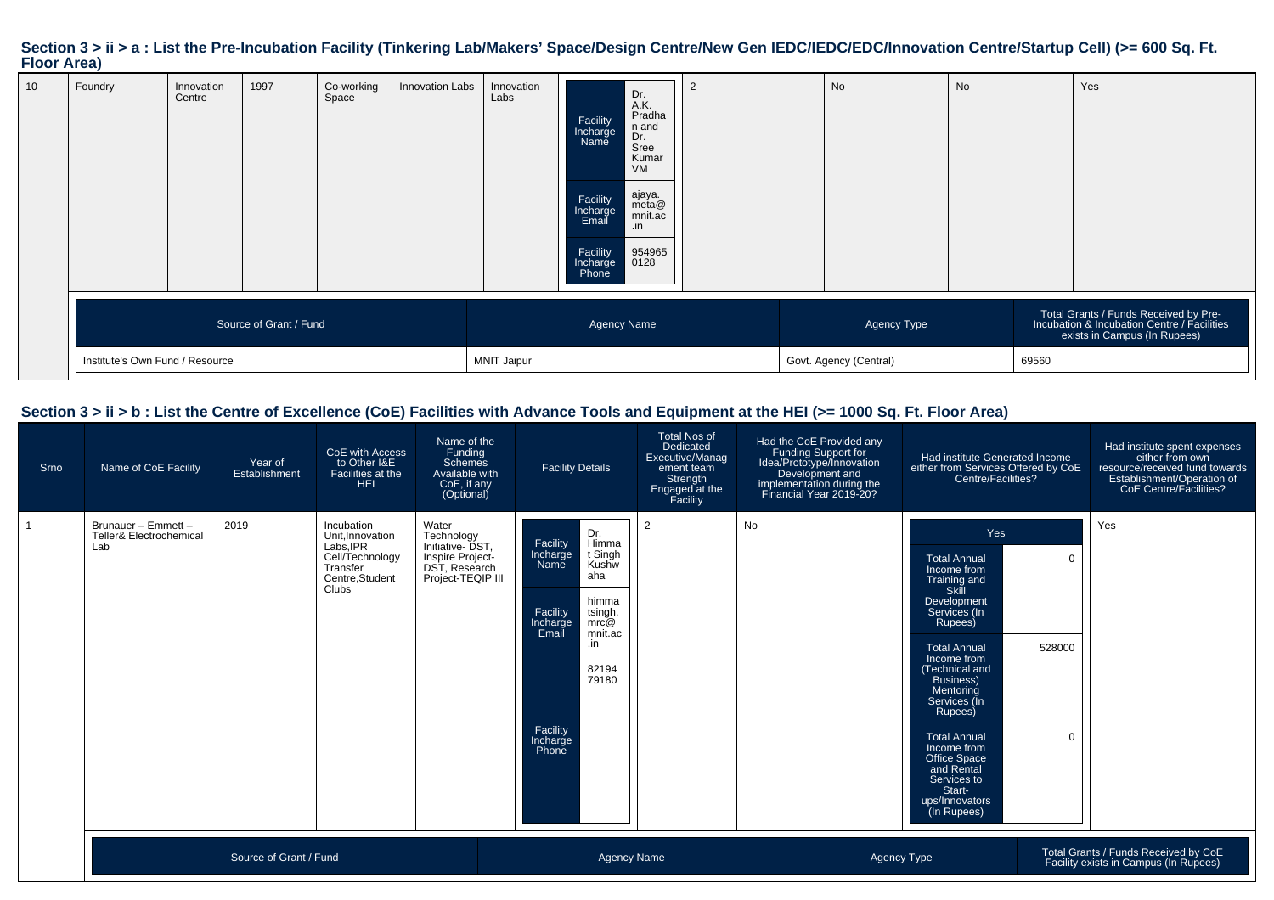## **Section 3 > ii > a : List the Pre-Incubation Facility (Tinkering Lab/Makers' Space/Design Centre/New Gen IEDC/IEDC/EDC/Innovation Centre/Startup Cell) (>= 600 Sq. Ft. Floor Area)**

|                                                                                                                      | 10<br>Foundry | Innovation<br>Centre            | 1997 | Co-working<br>Space | Innovation Labs | Innovation<br>Labs | Facility<br>Incharge<br>Name<br>Facility<br>Incharge<br>Email<br>Facility<br>Incharge<br>Phone | Dr.<br>A.K.<br>Pradha<br>n and<br>Dr.<br>Sree<br>Kumar<br>VM<br>ajaya.<br>meta@<br>mnit.ac<br>.in<br>954965<br>0128 |  |  | No                                                                                                                   | <b>No</b> |  | Yes |
|----------------------------------------------------------------------------------------------------------------------|---------------|---------------------------------|------|---------------------|-----------------|--------------------|------------------------------------------------------------------------------------------------|---------------------------------------------------------------------------------------------------------------------|--|--|----------------------------------------------------------------------------------------------------------------------|-----------|--|-----|
| Source of Grant / Fund<br><b>Agency Name</b><br>Agency Type<br>Govt. Agency (Central)<br><b>MNIT Jaipur</b><br>69560 |               | Institute's Own Fund / Resource |      |                     |                 |                    |                                                                                                |                                                                                                                     |  |  | Total Grants / Funds Received by Pre-<br>Incubation & Incubation Centre / Facilities<br>exists in Campus (In Rupees) |           |  |     |

### **Section 3 > ii > b : List the Centre of Excellence (CoE) Facilities with Advance Tools and Equipment at the HEI (>= 1000 Sq. Ft. Floor Area)**

| Srno | Name of CoE Facility                                             | Year of<br>Establishment | CoE with Access<br>to Other I&E<br>Facilities at the<br><b>HEI</b>                                          | Name of the<br>Funding<br><b>Schemes</b><br>Available with<br>CoE, if any<br>(Optional)          | <b>Facility Details</b>                                                                                                                                                                                   | <b>Total Nos of</b><br>Dedicated<br>Executive/Manag<br>ement team<br>Strength<br>Engaged at the<br>Facility | Had the CoE Provided any<br>Funding Support for<br>Idea/Prototype/Innovation<br>Development and<br>implementation during the<br>Financial Year 2019-20? | Had institute Generated Income<br>either from Services Offered by CoE<br>Centre/Facilities?                                                                                                                                                                                                                                                             | Had institute spent expenses<br>either from own<br>resource/received fund towards<br>Establishment/Operation of<br>CoE Centre/Facilities? |
|------|------------------------------------------------------------------|--------------------------|-------------------------------------------------------------------------------------------------------------|--------------------------------------------------------------------------------------------------|-----------------------------------------------------------------------------------------------------------------------------------------------------------------------------------------------------------|-------------------------------------------------------------------------------------------------------------|---------------------------------------------------------------------------------------------------------------------------------------------------------|---------------------------------------------------------------------------------------------------------------------------------------------------------------------------------------------------------------------------------------------------------------------------------------------------------------------------------------------------------|-------------------------------------------------------------------------------------------------------------------------------------------|
|      | Brunauer - Emmett -<br><b>Teller&amp; Electrochemical</b><br>Lab | 2019                     | Incubation<br>Unit.Innovation<br>Labs, IPR<br>Cell/Technology<br>Transfer<br>Centre.Student<br><b>Clubs</b> | Water<br>Technology<br>Initiative-DST,<br>Inspire Project-<br>DST, Research<br>Project-TEQIP III | Dr.<br>Himma<br>Facility<br>t Singh<br>Incharge<br>Kushw<br>Name<br>aha<br>himma<br>Facility<br>tsingh.<br>mrc@<br>Incharge<br>Email<br>mnit.ac<br>.in<br>82194<br>79180<br>Facility<br>Incharge<br>Phone | $\overline{2}$                                                                                              | No                                                                                                                                                      | Yes<br><b>Total Annual</b><br>Income from<br>Training and<br>Skill<br>Development<br>Services (In<br>Rupees)<br><b>Total Annual</b><br>Income from<br>(Technical and<br>Business)<br>Mentoring<br>Services (In<br>Rupees)<br><b>Total Annual</b><br>Income from<br>Office Space<br>and Rental<br>Services to<br>Start-<br>ups/Innovators<br>(In Rupees) | Yes<br>$\overline{0}$<br>528000<br>$\overline{0}$                                                                                         |
|      | Source of Grant / Fund                                           |                          |                                                                                                             |                                                                                                  | <b>Agency Name</b>                                                                                                                                                                                        |                                                                                                             |                                                                                                                                                         | <b>Agency Type</b>                                                                                                                                                                                                                                                                                                                                      | Total Grants / Funds Received by CoE<br>Facility exists in Campus (In Rupees)                                                             |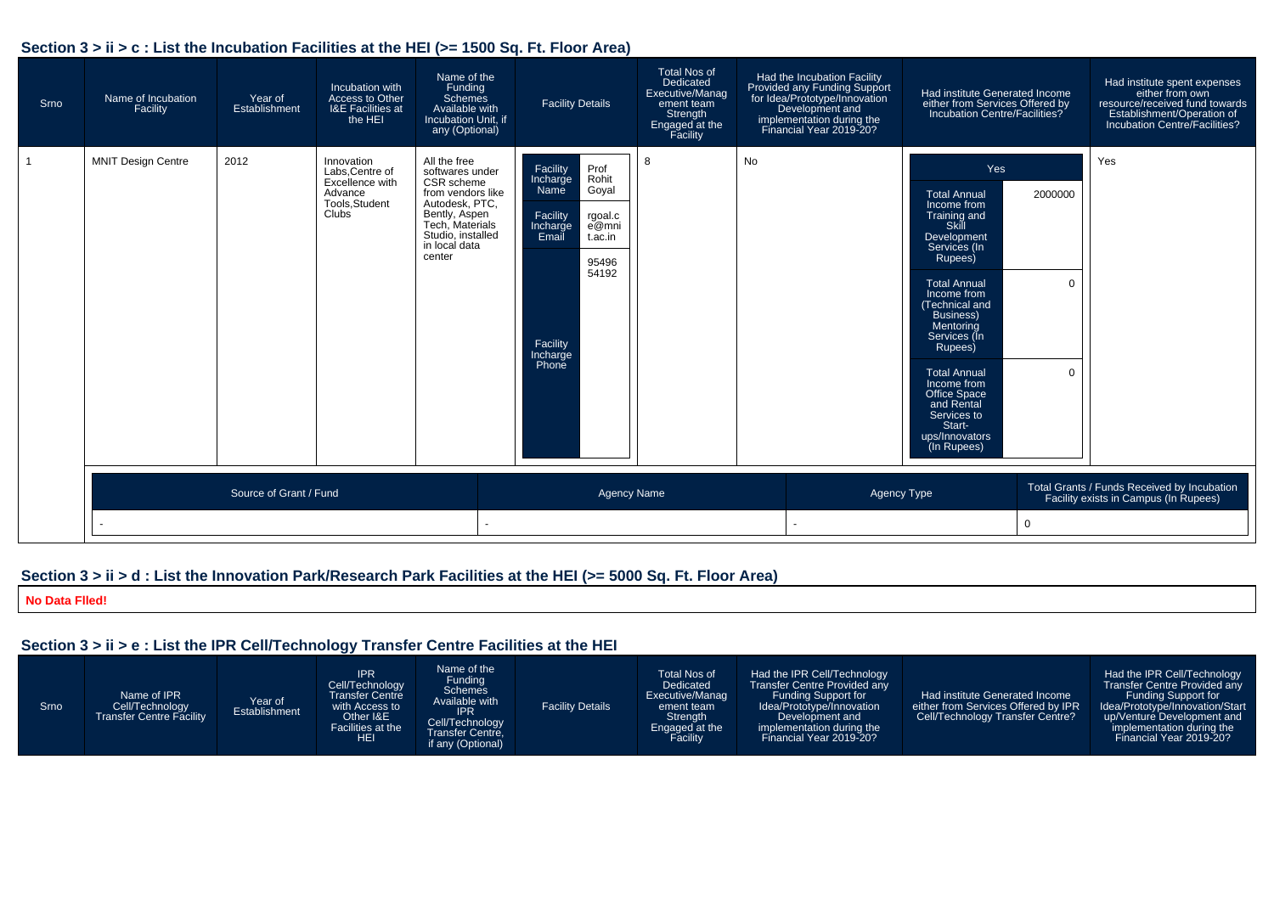### **Section 3 > ii > c : List the Incubation Facilities at the HEI (>= 1500 Sq. Ft. Floor Area)**

| Srno | Name of Incubation<br>Facility | Year of<br>Establishment | Incubation with<br>Access to Other<br><b>I&amp;E Facilities at</b><br>the HEI          | Name of the<br>Funding<br>Schemes<br>Available with<br>Incubation Unit, if<br>any (Optional)                                                                             | <b>Facility Details</b>                                                                                                                                                   | <b>Total Nos of</b><br>Dedicated<br>Executive/Manag<br>ement team<br>Strength<br>Engaged at the<br>Facility | Had the Incubation Facility<br>Provided any Funding Support<br>for Idea/Prototype/Innovation<br>Development and<br>implementation during the<br>Financial Year 2019-20? | Had institute Generated Income<br>either from Services Offered by<br>Incubation Centre/Facilities?                                                                                                                                                                                                                                                             |                                          | Had institute spent expenses<br>either from own<br>resource/received fund towards<br>Establishment/Operation of<br>Incubation Centre/Facilities? |
|------|--------------------------------|--------------------------|----------------------------------------------------------------------------------------|--------------------------------------------------------------------------------------------------------------------------------------------------------------------------|---------------------------------------------------------------------------------------------------------------------------------------------------------------------------|-------------------------------------------------------------------------------------------------------------|-------------------------------------------------------------------------------------------------------------------------------------------------------------------------|----------------------------------------------------------------------------------------------------------------------------------------------------------------------------------------------------------------------------------------------------------------------------------------------------------------------------------------------------------------|------------------------------------------|--------------------------------------------------------------------------------------------------------------------------------------------------|
|      | <b>MNIT Design Centre</b>      | 2012                     | Innovation<br>Labs, Centre of<br>Excellence with<br>Advance<br>Tools, Student<br>Clubs | All the free<br>softwares under<br>CSR scheme<br>from vendors like<br>Autodesk, PTC,<br>Bently, Aspen<br>Tech. Materials<br>Studio, installed<br>in local data<br>center | Facility<br>Prof<br>Rohit<br>Incharge<br>Goyal<br>Name<br>Facility<br>rgoal.c<br>e@mni<br>Incharge<br>Email<br>t.ac.in<br>95496<br>54192<br>Facility<br>Incharge<br>Phone | 8                                                                                                           | No                                                                                                                                                                      | Yes<br><b>Total Annual</b><br>Income from<br>Training and<br>Skill<br>Development<br>Services (In<br>Rupees)<br><b>Total Annual</b><br>Income from<br>(Technical and<br><b>Business)</b><br>Mentoring<br>Services (In<br>Rupees)<br><b>Total Annual</b><br>Income from<br>Office Space<br>and Rental<br>Services to<br>Start-<br>ups/Innovators<br>(In Rupees) | 2000000<br>$\mathbf 0$<br>$\overline{0}$ | Yes                                                                                                                                              |
|      |                                | Source of Grant / Fund   |                                                                                        |                                                                                                                                                                          | <b>Agency Name</b>                                                                                                                                                        |                                                                                                             | Agency Type                                                                                                                                                             |                                                                                                                                                                                                                                                                                                                                                                |                                          | Total Grants / Funds Received by Incubation<br>Facility exists in Campus (In Rupees)                                                             |
|      |                                |                          |                                                                                        | $\sim$                                                                                                                                                                   |                                                                                                                                                                           |                                                                                                             | $\sim$                                                                                                                                                                  |                                                                                                                                                                                                                                                                                                                                                                | $\mathbf{0}$                             |                                                                                                                                                  |

### **Section 3 > ii > d : List the Innovation Park/Research Park Facilities at the HEI (>= 5000 Sq. Ft. Floor Area)**

**No Data Flled!**

### **Section 3 > ii > e : List the IPR Cell/Technology Transfer Centre Facilities at the HEI**

| Srno | Name of IPR<br>Cell/Technology<br>Transfer Centre Facility | Year of<br>Establishment | <b>IPR</b><br>Cell/Technology<br><b>Transfer Centre</b><br>with Access to<br>Other I&E<br>Facilities at the<br><b>HEI</b> | Name of the<br>Funding<br><b>Schemes</b><br>Available with<br><b>IPR</b><br>Cell/Technology<br><b>Transfer Centre,</b><br>if any (Optional) | <b>Facility Details</b> | <b>Total Nos of</b><br>Dedicated<br>Executive/Manag<br>ement team<br>Strength<br>Engaged at the<br>Facility | Had the IPR Cell/Technology<br>Transfer Centre Provided any<br>Funding Support for<br>Idea/Prototype/Innovation<br>Development and<br>implementation during the<br>Financial Year 2019-20? | Had institute Generated Income<br>either from Services Offered by IPR<br>Cell/Technology Transfer Centre? | Had the IPR Cell/Technology<br><b>Transfer Centre Provided any</b><br>Funding Support for<br>Idea/Prototype/Innovation/Start<br>up/Venture Development and<br>implementation during the<br>Financial Year 2019-20? |
|------|------------------------------------------------------------|--------------------------|---------------------------------------------------------------------------------------------------------------------------|---------------------------------------------------------------------------------------------------------------------------------------------|-------------------------|-------------------------------------------------------------------------------------------------------------|--------------------------------------------------------------------------------------------------------------------------------------------------------------------------------------------|-----------------------------------------------------------------------------------------------------------|--------------------------------------------------------------------------------------------------------------------------------------------------------------------------------------------------------------------|
|------|------------------------------------------------------------|--------------------------|---------------------------------------------------------------------------------------------------------------------------|---------------------------------------------------------------------------------------------------------------------------------------------|-------------------------|-------------------------------------------------------------------------------------------------------------|--------------------------------------------------------------------------------------------------------------------------------------------------------------------------------------------|-----------------------------------------------------------------------------------------------------------|--------------------------------------------------------------------------------------------------------------------------------------------------------------------------------------------------------------------|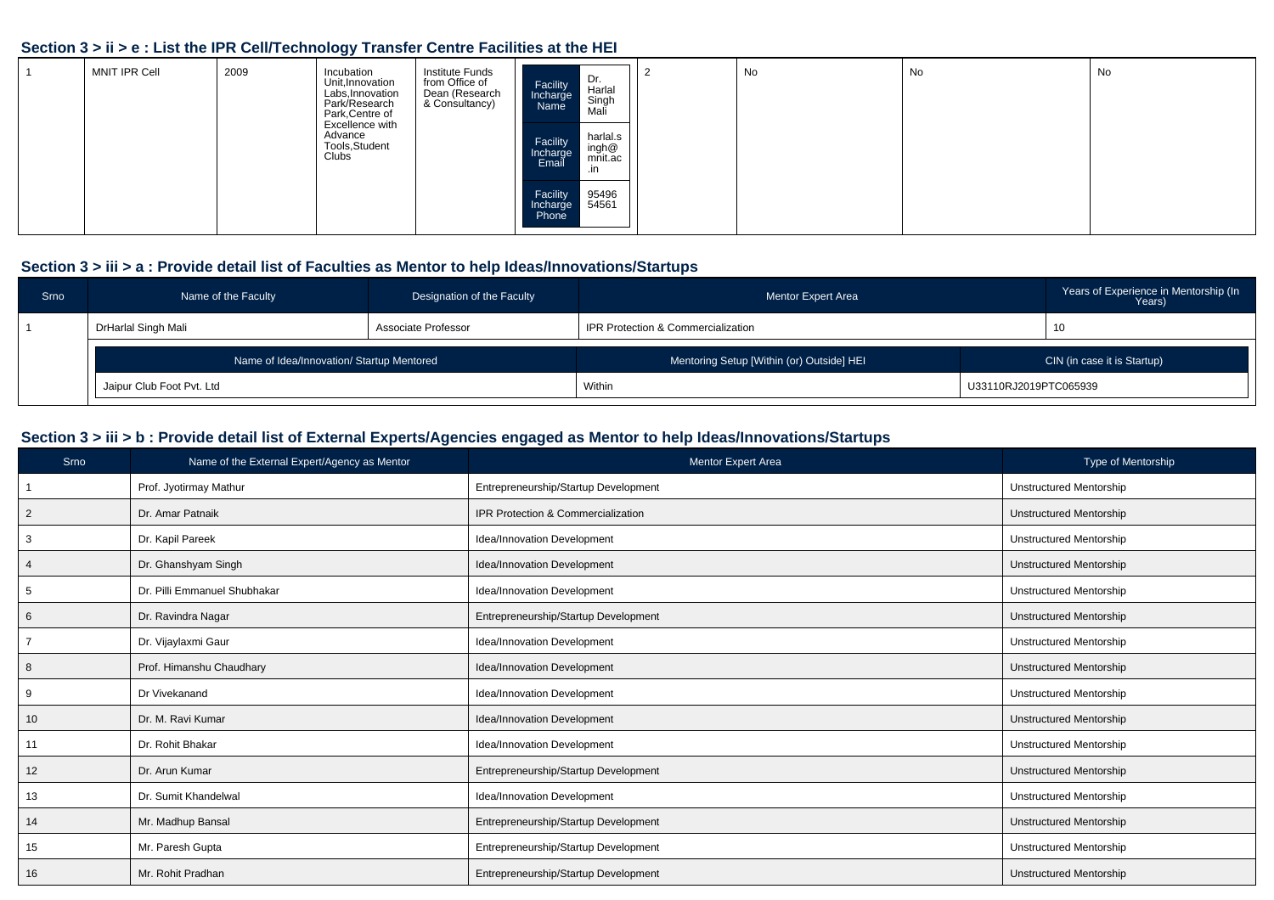### **Section 3 > ii > e : List the IPR Cell/Technology Transfer Centre Facilities at the HEI**

| MNIT IPR Cell | 2009 | Incubation<br>Unit, Innovation<br>Labs, Innovation<br>Park/Research<br>Park, Centre of | Institute Funds<br>from Office of<br>Dean (Research<br>& Consultancy) | Dr.<br>Harlal<br>Facility<br>Incharge<br>Name<br>Singh<br>Mali                 | No | No | No |
|---------------|------|----------------------------------------------------------------------------------------|-----------------------------------------------------------------------|--------------------------------------------------------------------------------|----|----|----|
|               |      | Excellence with<br>Advance<br>Tools, Student<br>Clubs                                  |                                                                       | harlal.s<br>Facility<br>ingh@<br>mnit.ac<br>Incharge<br>Email<br>$\mathsf{in}$ |    |    |    |
|               |      |                                                                                        |                                                                       | 95496<br>Facility<br>54561<br>Incharge<br>Phone                                |    |    |    |

### **Section 3 > iii > a : Provide detail list of Faculties as Mentor to help Ideas/Innovations/Startups**

| Srno | Name of the Faculty                       | Designation of the Faculty | <b>Mentor Expert Area</b>                 |                       | Years of Experience in Mentorship (In<br>Years) |
|------|-------------------------------------------|----------------------------|-------------------------------------------|-----------------------|-------------------------------------------------|
|      | DrHarlal Singh Mali                       | Associate Professor        | IPR Protection & Commercialization        |                       |                                                 |
|      | Name of Idea/Innovation/ Startup Mentored |                            | Mentoring Setup [Within (or) Outside] HEI |                       | CIN (in case it is Startup)                     |
|      | Jaipur Club Foot Pvt. Ltd                 |                            | Within                                    | U33110RJ2019PTC065939 |                                                 |

### **Section 3 > iii > b : Provide detail list of External Experts/Agencies engaged as Mentor to help Ideas/Innovations/Startups**

| Srno            | Name of the External Expert/Agency as Mentor | Mentor Expert Area                   | Type of Mentorship             |
|-----------------|----------------------------------------------|--------------------------------------|--------------------------------|
|                 | Prof. Jyotirmay Mathur                       | Entrepreneurship/Startup Development | <b>Unstructured Mentorship</b> |
| $\overline{2}$  | Dr. Amar Patnaik                             | IPR Protection & Commercialization   | <b>Unstructured Mentorship</b> |
|                 | Dr. Kapil Pareek                             | Idea/Innovation Development          | <b>Unstructured Mentorship</b> |
|                 | Dr. Ghanshyam Singh                          | Idea/Innovation Development          | <b>Unstructured Mentorship</b> |
| -5              | Dr. Pilli Emmanuel Shubhakar                 | Idea/Innovation Development          | <b>Unstructured Mentorship</b> |
| 6               | Dr. Ravindra Nagar                           | Entrepreneurship/Startup Development | <b>Unstructured Mentorship</b> |
|                 | Dr. Vijaylaxmi Gaur                          | Idea/Innovation Development          | <b>Unstructured Mentorship</b> |
| 8               | Prof. Himanshu Chaudhary                     | Idea/Innovation Development          | <b>Unstructured Mentorship</b> |
| 9               | Dr Vivekanand                                | Idea/Innovation Development          | <b>Unstructured Mentorship</b> |
| 10              | Dr. M. Ravi Kumar                            | Idea/Innovation Development          | <b>Unstructured Mentorship</b> |
| 11              | Dr. Rohit Bhakar                             | Idea/Innovation Development          | <b>Unstructured Mentorship</b> |
| 12 <sup>2</sup> | Dr. Arun Kumar                               | Entrepreneurship/Startup Development | <b>Unstructured Mentorship</b> |
| 13              | Dr. Sumit Khandelwal                         | Idea/Innovation Development          | <b>Unstructured Mentorship</b> |
| 14              | Mr. Madhup Bansal                            | Entrepreneurship/Startup Development | <b>Unstructured Mentorship</b> |
| 15              | Mr. Paresh Gupta                             | Entrepreneurship/Startup Development | <b>Unstructured Mentorship</b> |
| 16              | Mr. Rohit Pradhan                            | Entrepreneurship/Startup Development | <b>Unstructured Mentorship</b> |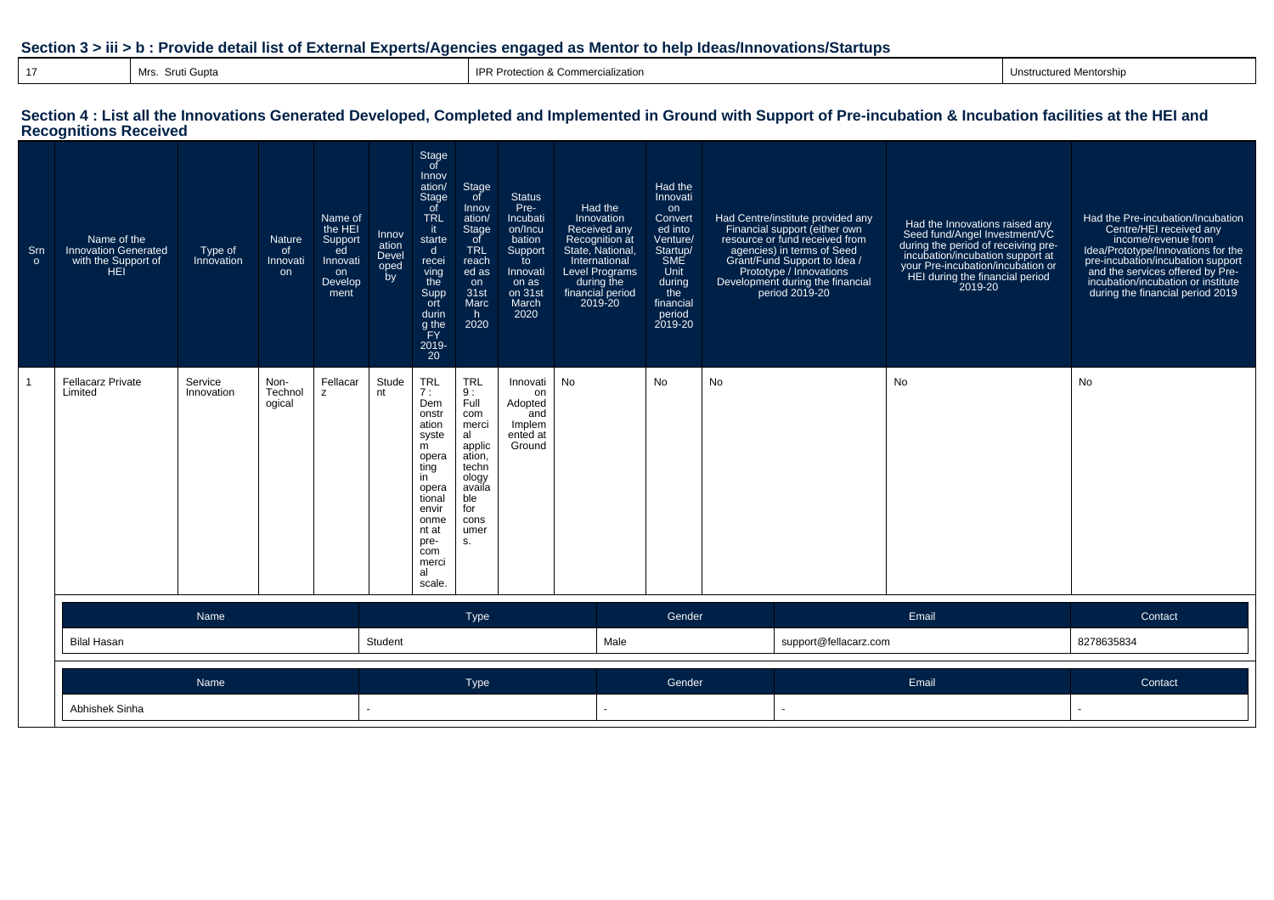#### **Section 3 > iii > b : Provide detail list of External Experts/Agencies engaged as Mentor to help Ideas/Innovations/Startups**

| pta |  |  |  |
|-----|--|--|--|
|     |  |  |  |

Mrs. Sruti Gupta IPR Protection & Commercialization IPR Protection & Commercialization Intervention Intervention Intervention Intervention Intervention Intervention Intervention Intervention Intervention Intervention Inter

### **Section 4 : List all the Innovations Generated Developed, Completed and Implemented in Ground with Support of Pre-incubation & Incubation facilities at the HEI and Recognitions Received**

| Srn<br>$\circ$ | Name of the<br><b>Innovation Generated</b><br>with the Support of<br><b>HEI</b> | Type of<br>Innovation | <b>Nature</b><br>0f<br>Innovati<br>on | Name of<br>the HEI<br>Support<br>ed<br>Innovati<br>on<br>Develop<br>ment | Innov<br>ation<br>Devel<br>oped<br>by | Stage<br>of<br>Innov<br>ation/<br>Stage<br>of<br><b>TRL</b><br>it.<br>starte<br>$\mathsf{d}$<br>recei<br>ving<br>the<br>Supp<br>ort<br>durin<br>g the<br>FY<br>2019-<br>20 | Stage<br>of<br>Innov<br>ation/<br><b>Stage</b><br>of<br><b>TRL</b><br>reach<br>ed as<br>on<br>31st<br>Marc<br>h.<br>2020           | <b>Status</b><br>Pre-<br>Incubati<br>on/Incu<br>bation<br>Support<br>to<br>Innovati<br>on as<br>on 31st<br>March<br>2020 | Had the<br>Innovation<br>Received any<br>Recognition at<br>State, National,<br>International<br><b>Level Programs</b><br>during the<br>financial period<br>2019-20 | Had the<br>Innovati<br>on<br>Convert<br>ed into<br>Venture/<br>Startup/<br>SME<br>Unit<br>during<br>the<br>financial<br>period<br>2019-20 | Had Centre/institute provided any<br>Financial support (either own<br>resource or fund received from<br>agencies) in terms of Seed<br>Grant/Fund Support to Idea /<br>Prototype / Innovations<br>Development during the financial<br>period 2019-20 |                       | Had the Innovations raised any<br>Seed fund/Angel Investment/VC<br>during the period of receiving pre-<br>incubation/incubation support at<br>your Pre-incubation/incubation or<br>HEI during the financial period<br>2019-20 | Had the Pre-incubation/Incubation<br>Centre/HEI received any<br>income/revenue from<br>Idea/Prototype/Innovations for the<br>pre-incubation/incubation support<br>and the services offered by Pre-<br>incubation/incubation or institute<br>during the financial period 2019 |
|----------------|---------------------------------------------------------------------------------|-----------------------|---------------------------------------|--------------------------------------------------------------------------|---------------------------------------|----------------------------------------------------------------------------------------------------------------------------------------------------------------------------|------------------------------------------------------------------------------------------------------------------------------------|--------------------------------------------------------------------------------------------------------------------------|--------------------------------------------------------------------------------------------------------------------------------------------------------------------|-------------------------------------------------------------------------------------------------------------------------------------------|-----------------------------------------------------------------------------------------------------------------------------------------------------------------------------------------------------------------------------------------------------|-----------------------|-------------------------------------------------------------------------------------------------------------------------------------------------------------------------------------------------------------------------------|------------------------------------------------------------------------------------------------------------------------------------------------------------------------------------------------------------------------------------------------------------------------------|
| $\overline{1}$ | <b>Fellacarz Private</b><br>Limited                                             | Service<br>Innovation | Non-<br>Technol<br>ogical             | Fellacar<br>$\overline{z}$                                               | Stude<br>nt                           | <b>TRL</b><br>7:<br>Dem<br>onstr<br>ation<br>syste<br>m<br>opera<br>ting<br>in<br>opera<br>tional<br>envir<br>onme<br>nt at<br>pre-<br>com<br>merci<br>al<br>scale.        | <b>TRL</b><br>9:<br>Full<br>com<br>merci<br>al<br>applic<br>ation,<br>techn<br>ology<br>availa<br>ble<br>for<br>cons<br>umer<br>S. | Innovati<br>on<br>Adopted<br>and<br>Implem<br>ented at<br>Ground                                                         | No                                                                                                                                                                 | No                                                                                                                                        | No                                                                                                                                                                                                                                                  |                       | No                                                                                                                                                                                                                            | No                                                                                                                                                                                                                                                                           |
|                |                                                                                 | Name                  |                                       |                                                                          |                                       |                                                                                                                                                                            | Type                                                                                                                               |                                                                                                                          |                                                                                                                                                                    | Gender                                                                                                                                    |                                                                                                                                                                                                                                                     |                       | Email                                                                                                                                                                                                                         | Contact                                                                                                                                                                                                                                                                      |
|                | <b>Bilal Hasan</b>                                                              |                       |                                       |                                                                          | Student                               |                                                                                                                                                                            |                                                                                                                                    |                                                                                                                          | Male                                                                                                                                                               |                                                                                                                                           |                                                                                                                                                                                                                                                     | support@fellacarz.com |                                                                                                                                                                                                                               | 8278635834                                                                                                                                                                                                                                                                   |
|                |                                                                                 | Name                  |                                       |                                                                          |                                       |                                                                                                                                                                            | Type                                                                                                                               |                                                                                                                          |                                                                                                                                                                    | Gender                                                                                                                                    |                                                                                                                                                                                                                                                     |                       | Email                                                                                                                                                                                                                         | Contact                                                                                                                                                                                                                                                                      |
|                | Abhishek Sinha                                                                  |                       |                                       |                                                                          |                                       |                                                                                                                                                                            |                                                                                                                                    |                                                                                                                          |                                                                                                                                                                    |                                                                                                                                           |                                                                                                                                                                                                                                                     |                       |                                                                                                                                                                                                                               | $\sim$                                                                                                                                                                                                                                                                       |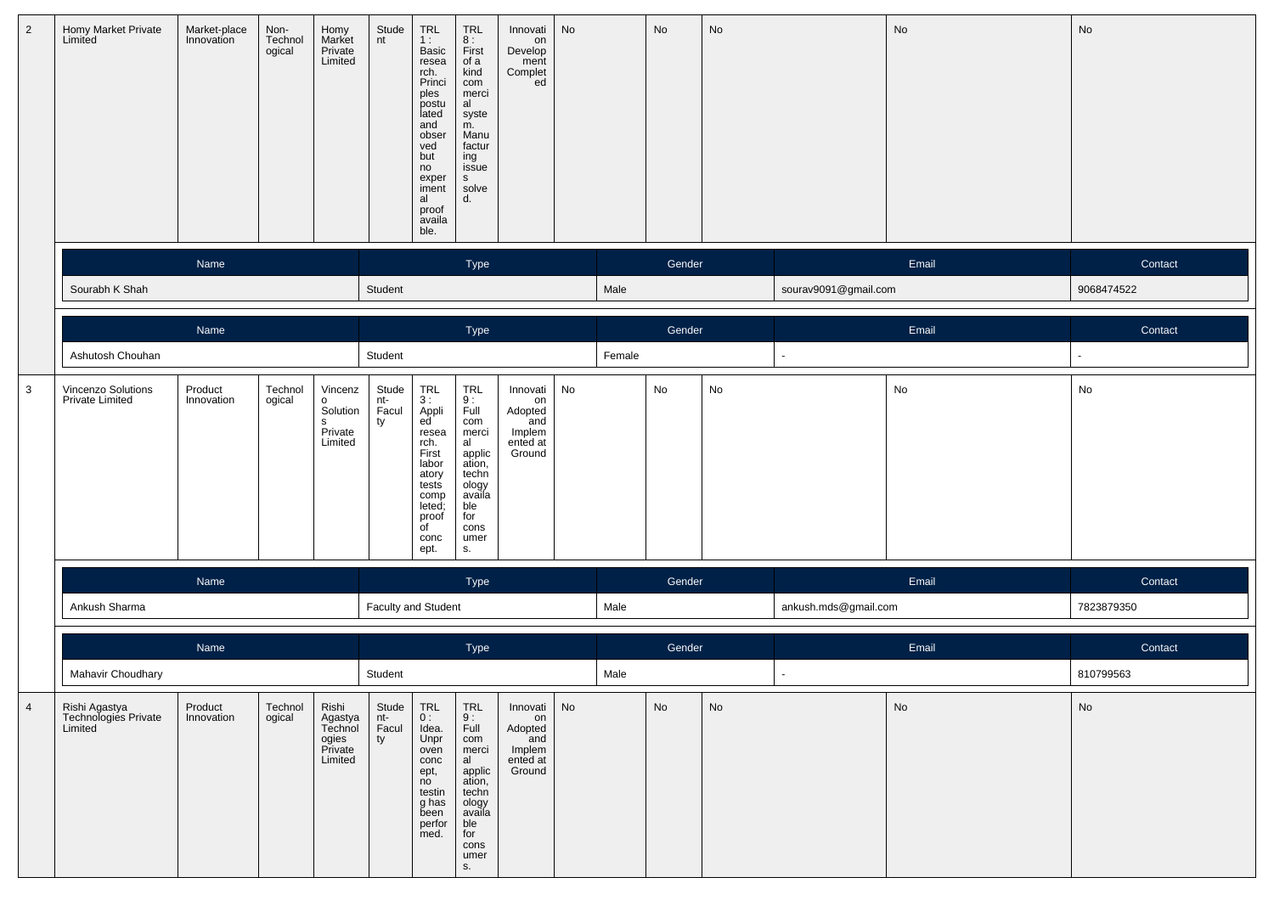| $\overline{2}$ | Homy Market Private<br>Limited                   | Market-place<br>Innovation | Non-<br>Technol<br>ogical | Homy<br>Market<br>Private<br>Limited                       | Stude<br>nt                 | $\begin{array}{c} \mathsf{TRL} \\ \mathsf{1}: \end{array}$<br>Basic<br>resea<br>resea<br>Princi<br>ples<br>postu<br>lated<br>and<br>obser<br>ved<br>but<br>no<br>exper<br>iment<br>al<br>proof<br>availa<br>ble. | <b>TRL</b><br>8:<br>First<br>of a<br>kind<br>com<br>merci<br>al<br>syste<br>m.<br>Manu<br>factur<br>ing<br>issue<br>S<br>solve<br>d. | Innovati<br>on<br>Develop<br>ment<br>Complet<br>ed               | No |        | No     | No |                      | No    | No         |
|----------------|--------------------------------------------------|----------------------------|---------------------------|------------------------------------------------------------|-----------------------------|------------------------------------------------------------------------------------------------------------------------------------------------------------------------------------------------------------------|--------------------------------------------------------------------------------------------------------------------------------------|------------------------------------------------------------------|----|--------|--------|----|----------------------|-------|------------|
|                |                                                  | Name                       |                           |                                                            |                             |                                                                                                                                                                                                                  | Type                                                                                                                                 |                                                                  |    |        | Gender |    |                      | Email | Contact    |
|                | Sourabh K Shah                                   |                            |                           |                                                            | Student                     |                                                                                                                                                                                                                  |                                                                                                                                      |                                                                  |    | Male   |        |    | sourav9091@gmail.com |       | 9068474522 |
|                |                                                  | Name                       |                           |                                                            |                             |                                                                                                                                                                                                                  | Type                                                                                                                                 |                                                                  |    |        | Gender |    |                      | Email | Contact    |
|                | Ashutosh Chouhan                                 |                            |                           |                                                            | Student                     |                                                                                                                                                                                                                  |                                                                                                                                      |                                                                  |    | Female |        |    |                      |       |            |
| 3              | Vincenzo Solutions<br><b>Private Limited</b>     | Product<br>Innovation      | Technol<br>ogical         | Vincenz<br>$\circ$<br>Solution<br>s<br>Private<br>Limited  | Stude<br>nt-<br>Facul<br>ty | <b>TRL</b><br>3:<br>Appli<br>ed<br>resea<br>rch.<br>First<br>labor<br>atory<br>tests<br>comp<br>leted;<br>proof<br>$\overline{C}$<br>conc<br>ept.                                                                | TRL<br>9:<br>Full<br>com<br>merci<br>al<br>applic<br>ation,<br>techn<br>ology<br>availa<br>ble<br>for<br>cons<br>umer<br>S.          | Innovati<br>on<br>Adopted<br>and<br>Implem<br>ented at<br>Ground | No |        | No     | No |                      | No    | No         |
|                |                                                  | Name                       |                           |                                                            |                             |                                                                                                                                                                                                                  | Type                                                                                                                                 |                                                                  |    |        | Gender |    |                      | Email | Contact    |
|                | Ankush Sharma                                    |                            |                           |                                                            | Faculty and Student         |                                                                                                                                                                                                                  |                                                                                                                                      |                                                                  |    | Male   |        |    | ankush.mds@gmail.com |       | 7823879350 |
|                |                                                  | Name                       |                           |                                                            |                             |                                                                                                                                                                                                                  | Type                                                                                                                                 |                                                                  |    |        | Gender |    |                      | Email | Contact    |
|                | Mahavir Choudhary                                |                            |                           |                                                            | Student                     |                                                                                                                                                                                                                  |                                                                                                                                      |                                                                  |    | Male   |        |    | $\mathbf{r}$         |       | 810799563  |
| $\overline{4}$ | Rishi Agastya<br>Technologies Private<br>Limited | Product<br>Innovation      | Technol<br>ogical         | Rishi<br>Agastya<br>Technol<br>ogies<br>Private<br>Limited | Stude<br>nt-<br>Facul<br>ty | TRL<br>0:<br>Idea.<br>Unpr<br>oven<br>conc<br>ept,<br>no<br>testin<br>g has<br>been<br>perfor<br>med.                                                                                                            | TRL<br>9:<br>Full<br>com<br>merci<br>al<br>applic<br>ation,<br>techn<br>ology<br>availa<br>ble<br>for<br>cons<br>umer<br>S.          | Innovati<br>on<br>Adopted<br>and<br>Implem<br>ented at<br>Ground | No |        | No     | No |                      | No    | No         |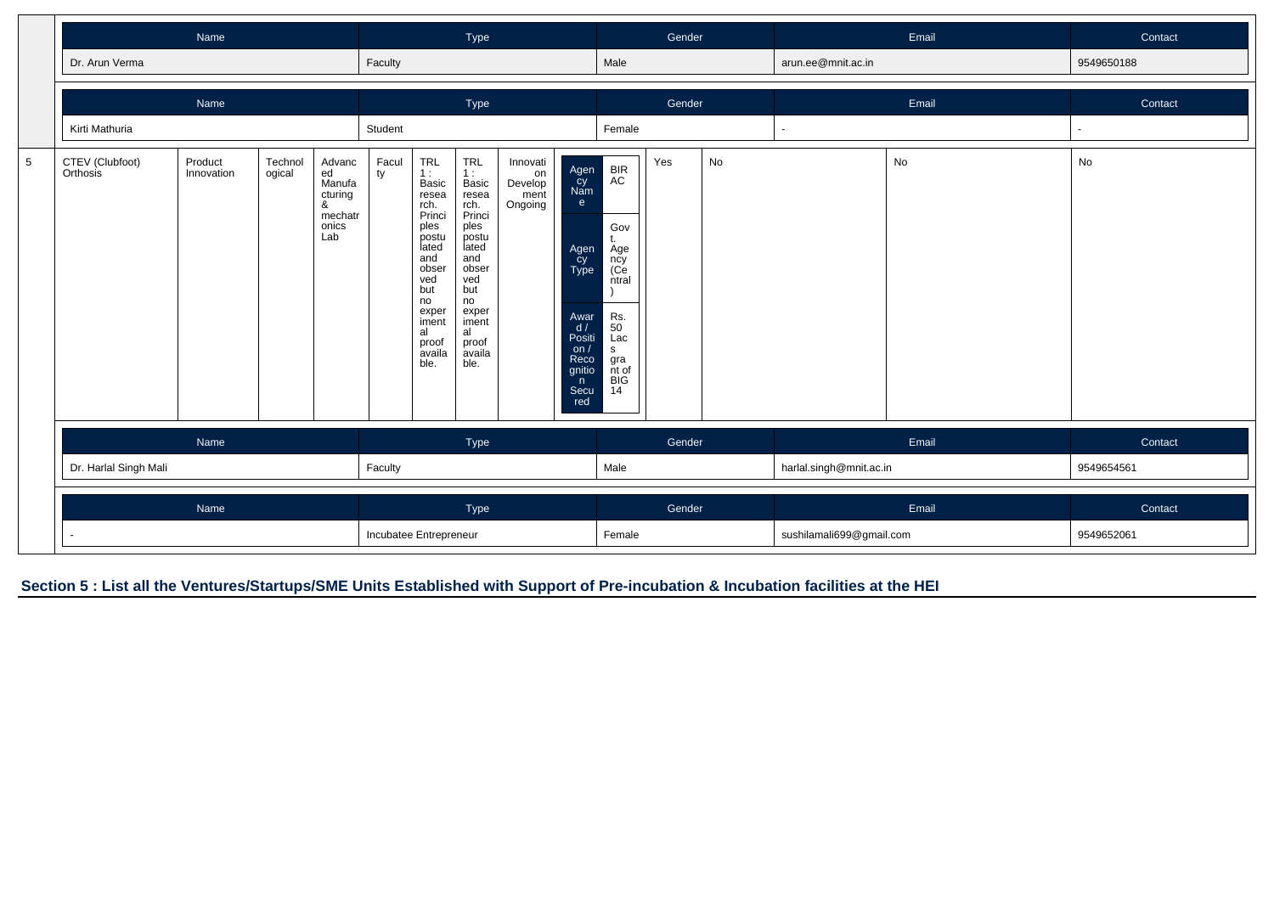|                 |                             | Name                  |                   |                                                                   |                        |                                                                                                                                                                | Type                                                                                                                                                                  |                                              |                                                                                                                      |                                                                                                            | Gender |    |                          | Email | Contact    |
|-----------------|-----------------------------|-----------------------|-------------------|-------------------------------------------------------------------|------------------------|----------------------------------------------------------------------------------------------------------------------------------------------------------------|-----------------------------------------------------------------------------------------------------------------------------------------------------------------------|----------------------------------------------|----------------------------------------------------------------------------------------------------------------------|------------------------------------------------------------------------------------------------------------|--------|----|--------------------------|-------|------------|
|                 | Dr. Arun Verma              |                       |                   |                                                                   | Faculty                |                                                                                                                                                                |                                                                                                                                                                       |                                              |                                                                                                                      | Male                                                                                                       |        |    | arun.ee@mnit.ac.in       |       | 9549650188 |
|                 |                             | Name                  |                   |                                                                   |                        |                                                                                                                                                                | Type                                                                                                                                                                  |                                              |                                                                                                                      |                                                                                                            | Gender |    |                          | Email | Contact    |
|                 | Kirti Mathuria              |                       |                   |                                                                   | Student                |                                                                                                                                                                |                                                                                                                                                                       |                                              |                                                                                                                      | Female                                                                                                     |        |    |                          |       |            |
| $5\phantom{.0}$ | CTEV (Clubfoot)<br>Orthosis | Product<br>Innovation | Technol<br>ogical | Advanc<br>ed<br>Manufa<br>cturing<br>&<br>mechatr<br>onics<br>Lab | Facul<br>ty            | TRL<br>1:<br>Basic<br>resea<br>rch.<br>Princi<br>ples<br>postu<br>lated<br>and<br>obser<br>ved<br>but<br>no<br>exper<br>iment<br>al<br>proof<br>availa<br>ble. | <b>TRL</b><br>1:<br>Basic<br>resea<br>rch.<br>Princi<br>ples<br>postu<br>lated<br>and<br>obser<br>ved<br>but<br>no<br>exper<br>iment<br>al<br>proof<br>availa<br>ble. | Innovati<br>on<br>Develop<br>ment<br>Ongoing | Agen<br>Cy<br>Nam<br>e<br>Agen<br>cy<br>Type<br>Awar<br>d/<br>Positi<br>on $/$<br>Reco<br>gnitio<br>n<br>Secu<br>red | BIR<br>AC<br>Gov<br>t.<br>Age<br>ncy<br>(Ce<br>ntral<br>Rs.<br>50<br>Lac<br>s<br>gra<br>nt of<br>BIG<br>14 | Yes    | No |                          | No    | No         |
|                 |                             | Name                  |                   |                                                                   |                        |                                                                                                                                                                | Type                                                                                                                                                                  |                                              |                                                                                                                      |                                                                                                            | Gender |    |                          | Email | Contact    |
|                 | Dr. Harlal Singh Mali       |                       |                   |                                                                   | Faculty                |                                                                                                                                                                |                                                                                                                                                                       |                                              |                                                                                                                      | Male                                                                                                       |        |    | harlal.singh@mnit.ac.in  |       | 9549654561 |
|                 |                             | Name                  |                   |                                                                   |                        |                                                                                                                                                                | Type                                                                                                                                                                  |                                              |                                                                                                                      |                                                                                                            | Gender |    |                          | Email | Contact    |
|                 | $\sim$                      |                       |                   |                                                                   | Incubatee Entrepreneur |                                                                                                                                                                |                                                                                                                                                                       |                                              |                                                                                                                      | Female                                                                                                     |        |    | sushilamali699@gmail.com |       | 9549652061 |

**Section 5 : List all the Ventures/Startups/SME Units Established with Support of Pre-incubation & Incubation facilities at the HEI**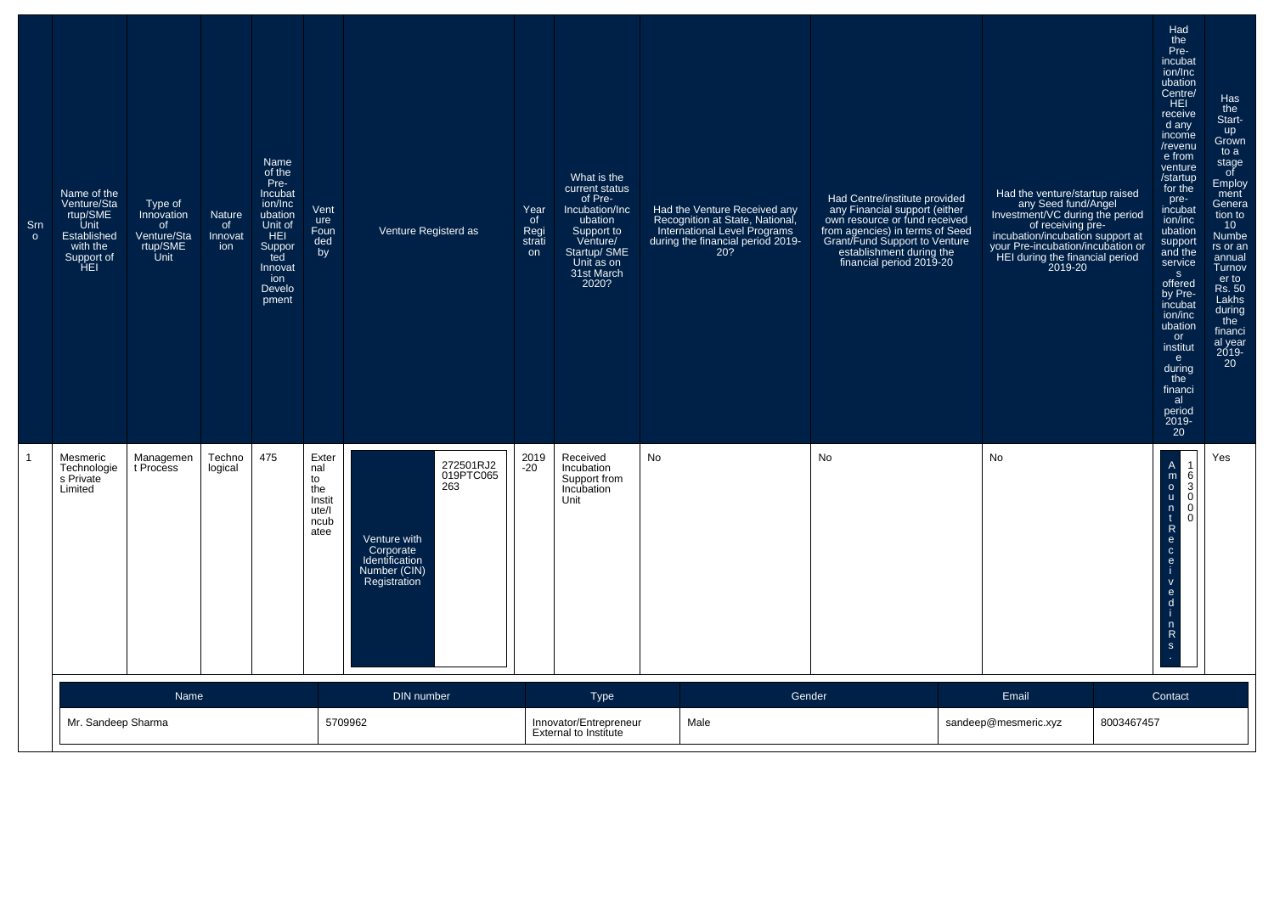| Sm<br>$\circ$ | Name of the<br>Venture/Sta<br>rtup/SME<br>Unit<br>Established<br>with the<br>Support of<br>HEI | Type of<br>Innovation<br>of.<br>Venture/Sta<br>rtup/SME<br>Unit | Nature<br>of<br>Innovat<br>ion | Name<br>of the<br>Pre-<br>Incubat<br>ion/Inc<br>ubation<br>Unit of<br><b>HEI</b><br>Suppor<br>ted<br>Innovat<br>ion<br>Develo<br>pment | Vent<br>ure<br>Foun<br>ded<br>by                             | Venture Registerd as                                                                                         | Year<br>of<br>Regi<br>strati<br>on | What is the<br>current status<br>of Pre-<br>Incubation/Inc<br>ubation<br>Support to<br>Venture/<br>Startup/ SME<br>Unit as on<br>31st March<br>2020? | Had the Venture Received any<br>Recognition at State, National,<br>International Level Programs<br>during the financial period 2019-<br>20? | Had Centre/institute provided<br>any Financial support (either<br>own resource or fund received<br>own resource or rund received<br>Grant/Fund Support to Venture<br>establishment during the<br>financial period 2019-20 | Had the venture/startup raised<br>any Seed fund/Angel<br>Investment/VC during the period<br>of receiving pre-<br>incubation/incubation support at<br>your Pre-incubation/incubation or<br>HEI during the financial period<br>2019-20 |            | Had<br>the<br>Pre-<br>incubat<br>ion/Inc<br>ubation<br>Centre/<br>HEI.<br>receive<br>d any<br>income<br>/revenu<br>e from<br>venture<br>/startup<br>for the<br>pre-<br>incubat<br>ion/inc<br>ubation<br>support<br>and the<br>service<br>S<br>offered<br>by Pre-<br>incubat<br>ion/inc<br>ubation<br>or<br>institut<br>e<br>during<br>the<br>financi<br>al<br>period<br>2019-<br>20 | Has<br>the<br>Start-<br>up<br>Grown<br>to a<br>stage<br>$\circ$ f<br>Employ<br>ment<br>Genera<br>tion to<br>10 <sup>°</sup><br><b>Numbe</b><br>rs or an<br>annual<br>Turnov<br>er to<br><b>Rs. 50</b><br>Lakhs<br>during<br>the<br>financi<br>al year<br>2019-<br>20 |
|---------------|------------------------------------------------------------------------------------------------|-----------------------------------------------------------------|--------------------------------|----------------------------------------------------------------------------------------------------------------------------------------|--------------------------------------------------------------|--------------------------------------------------------------------------------------------------------------|------------------------------------|------------------------------------------------------------------------------------------------------------------------------------------------------|---------------------------------------------------------------------------------------------------------------------------------------------|---------------------------------------------------------------------------------------------------------------------------------------------------------------------------------------------------------------------------|--------------------------------------------------------------------------------------------------------------------------------------------------------------------------------------------------------------------------------------|------------|-------------------------------------------------------------------------------------------------------------------------------------------------------------------------------------------------------------------------------------------------------------------------------------------------------------------------------------------------------------------------------------|----------------------------------------------------------------------------------------------------------------------------------------------------------------------------------------------------------------------------------------------------------------------|
|               | Mesmeric<br>Technologie<br>s Private<br>Limited                                                | Managemen<br>t Process                                          | Techno<br>logical              | 475                                                                                                                                    | Exter<br>nal<br>to<br>the<br>Instit<br>ute/l<br>ncub<br>atee | 272501RJ2<br>019PTC065<br>263<br>Venture with<br>Corporate<br>Identification<br>Number (CIN)<br>Registration | 2019<br>$-20$                      | Received<br>Incubation<br>Support from<br>Incubation<br>Unit                                                                                         | No                                                                                                                                          | <b>No</b>                                                                                                                                                                                                                 | No                                                                                                                                                                                                                                   |            | $\begin{array}{c}\nA \\ m \\ o \\ u\n\end{array}$<br>$\begin{bmatrix} 1 \\ 6 \\ 3 \\ 0 \end{bmatrix}$<br>$\begin{bmatrix} 0 \\ 0 \end{bmatrix}$<br>$\frac{n}{t}$<br>$\overline{R}$<br>$\frac{e}{c}$<br>e<br>$\mathsf{V}$<br>$\frac{e}{d}$<br>$n \nR$<br>s                                                                                                                           | Yes                                                                                                                                                                                                                                                                  |
|               | Mr. Sandeep Sharma                                                                             | <b>Name</b>                                                     |                                |                                                                                                                                        |                                                              | DIN number<br>5709962                                                                                        |                                    | <b>Type</b><br>Innovator/Entrepreneur<br><b>External to Institute</b>                                                                                | Gender<br>Male                                                                                                                              |                                                                                                                                                                                                                           | Email<br>sandeep@mesmeric.xyz                                                                                                                                                                                                        | 8003467457 | Contact                                                                                                                                                                                                                                                                                                                                                                             |                                                                                                                                                                                                                                                                      |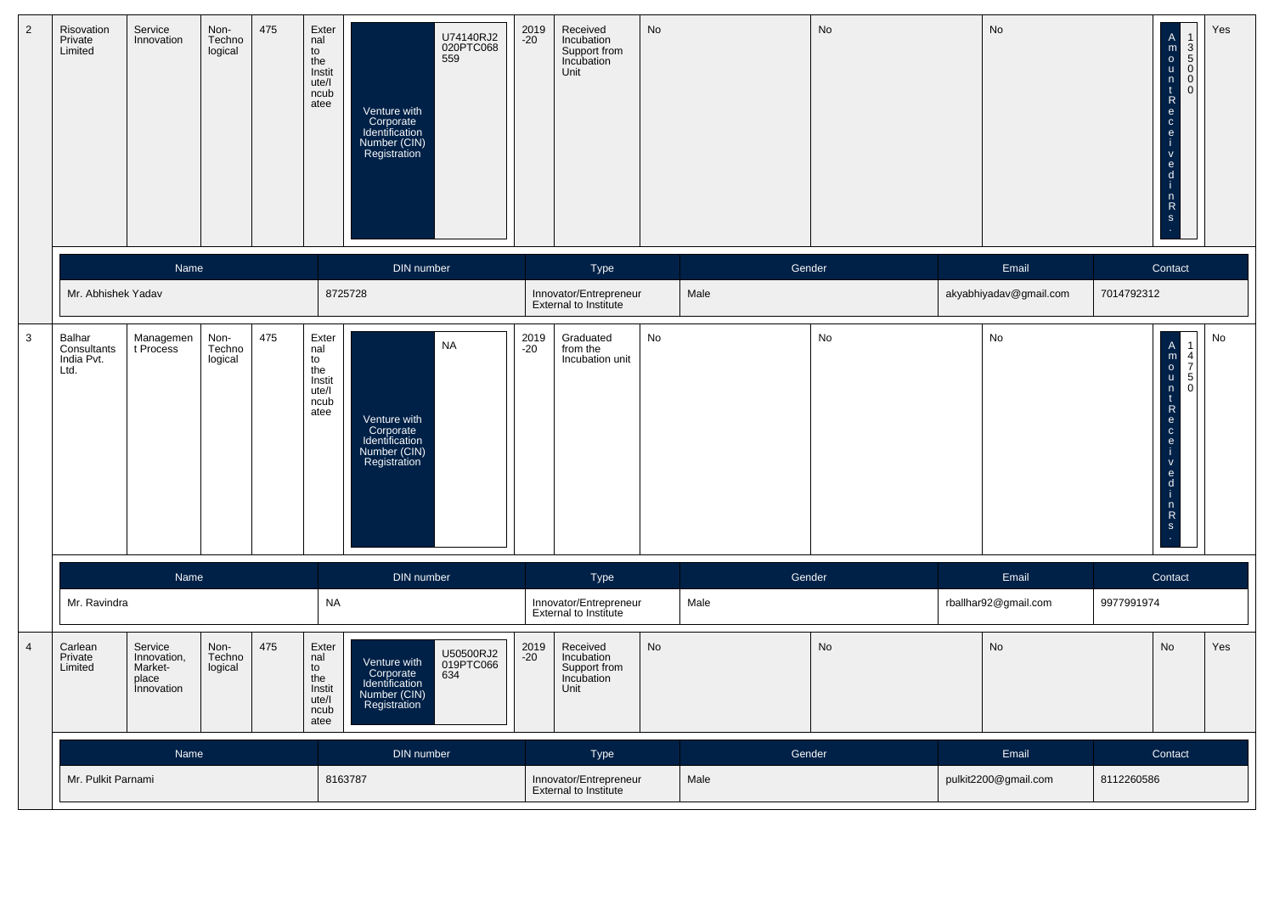| $\overline{2}$ | Risovation<br>Private<br>Limited            | Service<br>Innovation                                           | Non-<br>Techno<br>logical | 475 | Exter<br>nal<br>to<br>the<br>Instit<br>ute/l<br>ncub<br>atee | U74140RJ2<br>020PTC068<br>559<br>Venture with<br>Corporate<br>Identification<br>Number (CIN)<br>Registration | 2019<br>-20   | Received<br>Incubation<br>Support from<br>Incubation<br>Unit | No        |        | <b>No</b> | No                     |            | $\begin{array}{c}\n1 \\ 3 \\ 0\n\end{array}$<br>$\ddot{\mathbf{0}}$<br>$R$ o $R$<br>$\mathbf{e}$<br>$\mathbf d$<br>n<br>$\mathsf{R}$<br>$\mathbf S$                               | Yes |
|----------------|---------------------------------------------|-----------------------------------------------------------------|---------------------------|-----|--------------------------------------------------------------|--------------------------------------------------------------------------------------------------------------|---------------|--------------------------------------------------------------|-----------|--------|-----------|------------------------|------------|-----------------------------------------------------------------------------------------------------------------------------------------------------------------------------------|-----|
|                |                                             | Name                                                            |                           |     |                                                              | DIN number                                                                                                   |               | Type                                                         |           | Gender |           | Email                  |            | Contact                                                                                                                                                                           |     |
|                | Mr. Abhishek Yadav                          |                                                                 |                           |     |                                                              | 8725728                                                                                                      |               | Innovator/Entrepreneur<br>External to Institute              |           | Male   |           | akyabhiyadav@gmail.com | 7014792312 |                                                                                                                                                                                   |     |
| $\mathbf{3}$   | Balhar<br>Consultants<br>India Pvt.<br>Ltd. | Managemen<br>t Process                                          | Non-<br>Techno<br>logical | 475 | Exter<br>nal<br>to<br>the<br>Instit<br>ute/l<br>ncub<br>atee | <b>NA</b><br>Venture with<br>Corporate<br>Identification<br>Number (CIN)<br>Registration                     | 2019<br>-20   | Graduated<br>from the<br>Incubation unit                     | No        |        | <b>No</b> | No                     |            | $\begin{array}{c}\n1 \\ 4 \\ 7 \\ 5 \\ 0\n\end{array}$<br>$\mathbf{t}$<br>$\ddot{R}$<br>-i.<br>$\mathsf{V}$<br>$\frac{e}{d}$<br>-i-<br>$\begin{array}{c} n \\ R \\ S \end{array}$ | No  |
|                |                                             | Name                                                            |                           |     |                                                              | DIN number                                                                                                   |               | Type                                                         |           | Gender |           | Email                  |            | Contact                                                                                                                                                                           |     |
|                | Mr. Ravindra                                |                                                                 |                           |     | <b>NA</b>                                                    |                                                                                                              |               | Innovator/Entrepreneur<br>External to Institute              |           | Male   |           | rballhar92@gmail.com   | 9977991974 |                                                                                                                                                                                   |     |
| $\overline{4}$ | Carlean<br>Private<br>Limited               | Service<br>Innovation,<br>Market-<br>place<br><i>innovation</i> | Non-<br>Techno<br>logical | 475 | Exter<br>nal<br>to<br>the<br>Instit<br>ute/l<br>ncub<br>atee | U50500RJ2<br>019PTC066<br>634<br>Venture with<br>Corporate<br>Identification<br>Number (CIN)<br>Registration | 2019<br>$-20$ | Received<br>Incubation<br>Support from<br>Incubation<br>Unit | <b>No</b> |        | <b>No</b> | <b>No</b>              |            | <b>No</b>                                                                                                                                                                         | Yes |
|                |                                             | <b>Name</b>                                                     |                           |     |                                                              | DIN number                                                                                                   |               | Type                                                         |           | Gender |           | Email                  |            | Contact                                                                                                                                                                           |     |
|                | Mr. Pulkit Parnami                          |                                                                 |                           |     |                                                              | 8163787                                                                                                      |               | Innovator/Entrepreneur<br>External to Institute              |           | Male   |           | pulkit2200@gmail.com   | 8112260586 |                                                                                                                                                                                   |     |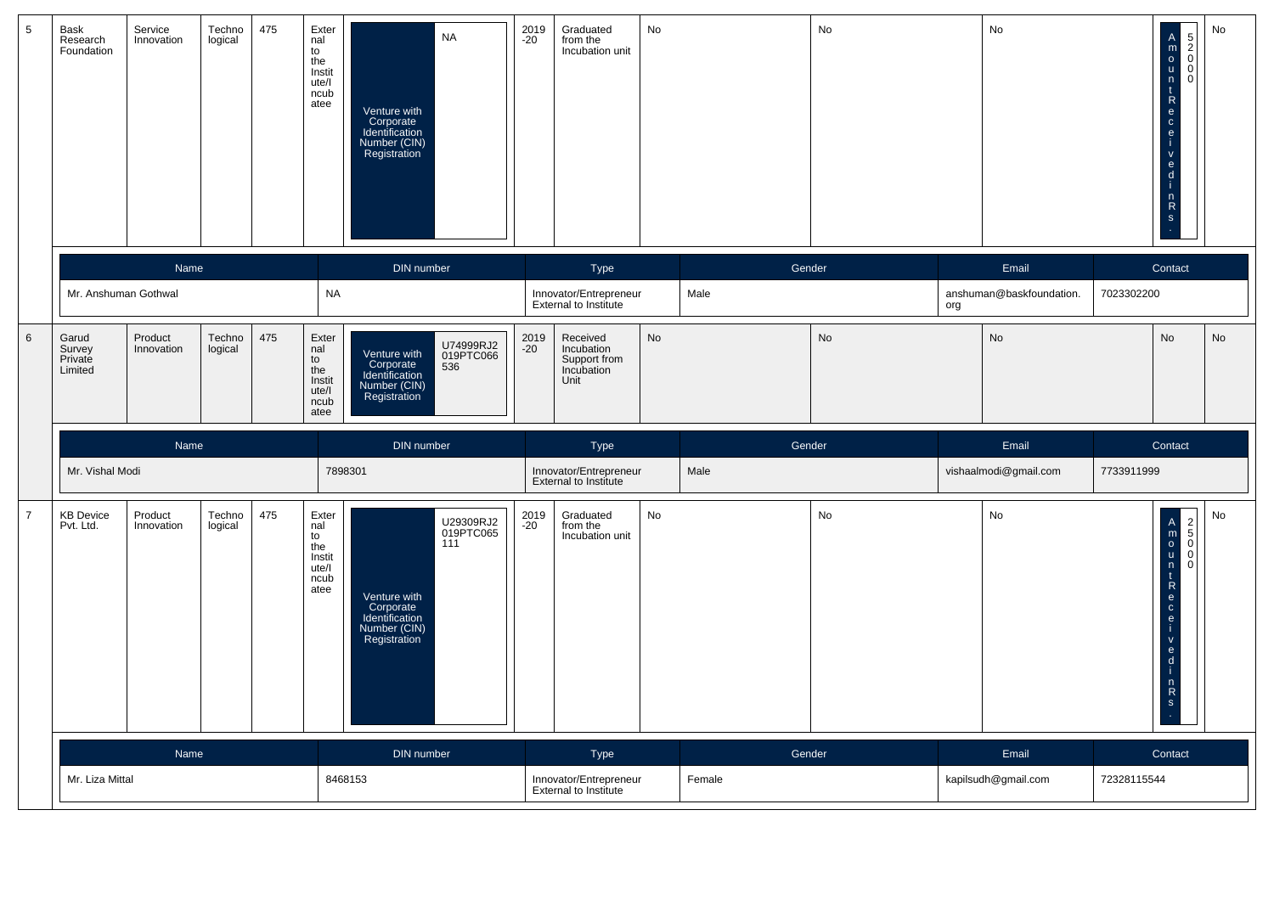| $5\phantom{.0}$ | Bask<br>Research<br>Foundation        | Service<br>Innovation | Techno<br>logical | 475 | Exter<br>nal<br>to<br>the<br>Instit<br>ute/l<br>ncub<br>atee | <b>NA</b><br>Venture with<br>Corporate<br>Identification<br>Number (CIN)<br>Registration                     | 2019<br>$-20$ | Graduated<br>from the<br>Incubation unit                     | No        |        | No            |     | No                       | -eceRented<br>$\mathsf{V}$<br>$\frac{e}{d}$<br>$\frac{n}{s}$                | No<br>OONS                                              |
|-----------------|---------------------------------------|-----------------------|-------------------|-----|--------------------------------------------------------------|--------------------------------------------------------------------------------------------------------------|---------------|--------------------------------------------------------------|-----------|--------|---------------|-----|--------------------------|-----------------------------------------------------------------------------|---------------------------------------------------------|
|                 |                                       | Name                  |                   |     |                                                              | DIN number                                                                                                   |               | Type                                                         |           |        | Gender        |     | Email                    | Contact                                                                     |                                                         |
|                 | Mr. Anshuman Gothwal                  |                       |                   |     | <b>NA</b>                                                    |                                                                                                              |               | Innovator/Entrepreneur<br>External to Institute              |           | Male   |               | org | anshuman@baskfoundation. | 7023302200                                                                  |                                                         |
| $6\phantom{1}$  | Garud<br>Survey<br>Private<br>Limited | Product<br>Innovation | Techno<br>logical | 475 | Exter<br>nal<br>to<br>the<br>Instit<br>ute/l<br>ncub<br>atee | U74999RJ2<br>019PTC066<br>Venture with<br>Corporate<br>536<br>Identification<br>Number (CIN)<br>Registration | 2019<br>$-20$ | Received<br>Incubation<br>Support from<br>Incubation<br>Unit | No        |        | $\mathsf{No}$ |     | <b>No</b>                | <b>No</b>                                                                   | <b>No</b>                                               |
|                 |                                       | Name                  |                   |     |                                                              | DIN number                                                                                                   |               | Type                                                         |           |        | Gender        |     | Email                    | Contact                                                                     |                                                         |
|                 | Mr. Vishal Modi                       |                       |                   |     |                                                              | 7898301                                                                                                      |               | Innovator/Entrepreneur<br>External to Institute              |           | Male   |               |     | vishaalmodi@gmail.com    | 7733911999                                                                  |                                                         |
| $\overline{7}$  | <b>KB Device</b><br>Pvt. Ltd.         | Product<br>Innovation | Techno<br>logical | 475 | Exter<br>nal<br>to<br>the<br>Instit<br>ute/l<br>ncub<br>atee | U29309RJ2<br>019PTC065<br>111<br>Venture with<br>Corporate<br>Identification<br>Number (CIN)<br>Registration | 2019<br>-20   | Graduated<br>from the<br>Incubation unit                     | <b>No</b> |        | No            |     | <b>No</b>                | -i.<br>$\mathsf V$<br>$\frac{e}{d}$<br>-i.<br>$\frac{n}{R}$<br>$\mathsf{s}$ | No<br>$\begin{array}{c}\n2 \\ 5 \\ 0 \\ 0\n\end{array}$ |
|                 |                                       | Name                  |                   |     |                                                              | DIN number                                                                                                   |               | <b>Type</b>                                                  |           | Gender |               |     | Email                    | Contact                                                                     |                                                         |
|                 | Mr. Liza Mittal                       |                       |                   |     |                                                              | 8468153                                                                                                      |               | Innovator/Entrepreneur<br>External to Institute              |           | Female |               |     | kapilsudh@gmail.com      | 72328115544                                                                 |                                                         |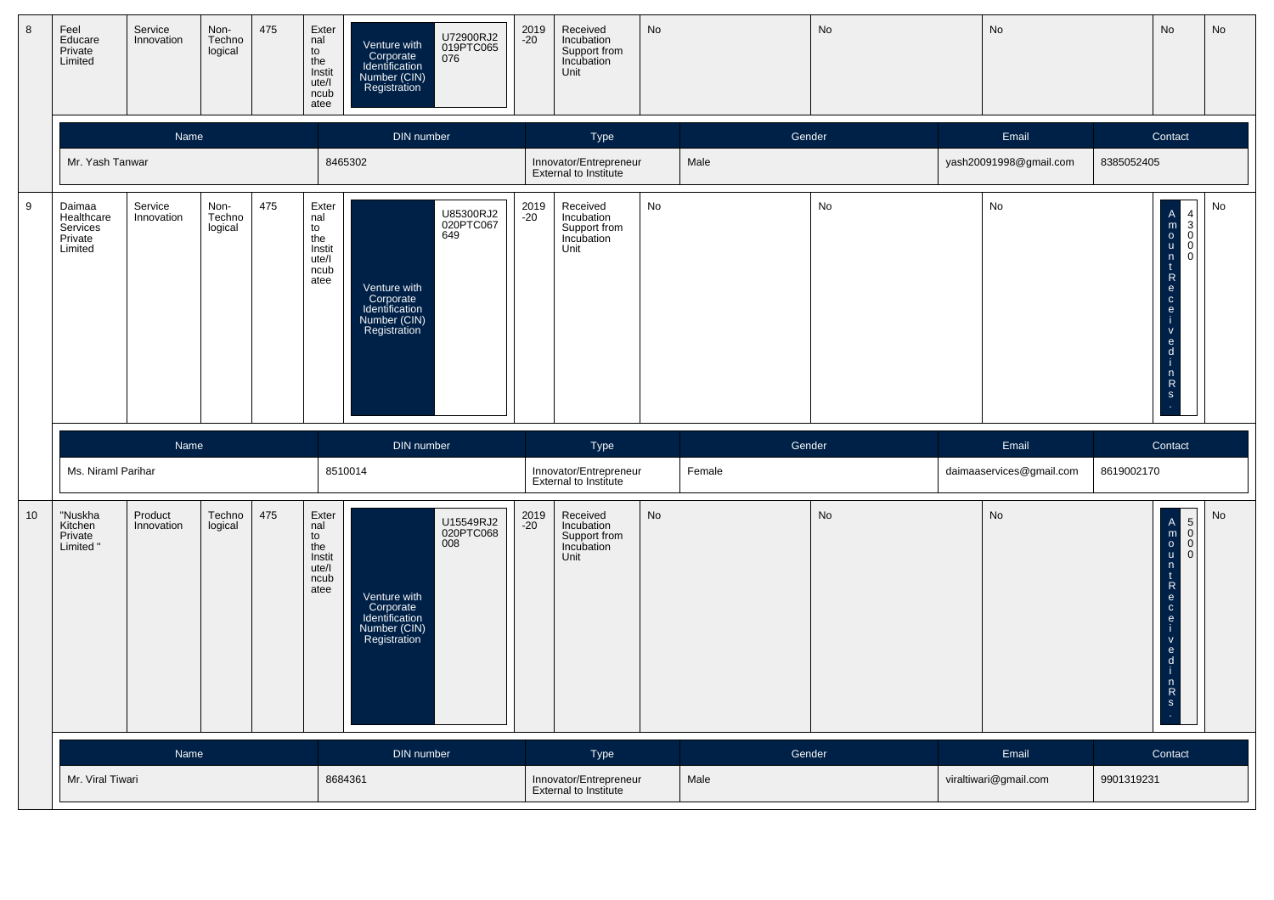| $\boldsymbol{8}$ | Feel<br>Educare<br>Private<br>Limited                  | Service<br>Innovation | Non-<br>Techno<br>logical | 475 | Exter<br>nal<br>to<br>the<br>Instit<br>ute/l<br>ncub<br>atee | Venture with<br>Corporate<br>Identification<br>Number (CIN)<br>Registration | U72900RJ2<br>019PTC065<br>076 | 2019<br>-20   | Received<br>Incubation<br>Support from<br>Incubation<br>Unit | No        |        | No        | No                       |            | No                                                                                                                                                                     | No        |
|------------------|--------------------------------------------------------|-----------------------|---------------------------|-----|--------------------------------------------------------------|-----------------------------------------------------------------------------|-------------------------------|---------------|--------------------------------------------------------------|-----------|--------|-----------|--------------------------|------------|------------------------------------------------------------------------------------------------------------------------------------------------------------------------|-----------|
|                  |                                                        | Name                  |                           |     |                                                              | DIN number                                                                  |                               |               | Type                                                         |           | Gender |           | Email                    |            | Contact                                                                                                                                                                |           |
|                  | Mr. Yash Tanwar                                        |                       |                           |     |                                                              | 8465302                                                                     |                               |               | Innovator/Entrepreneur<br><b>External to Institute</b>       | Male      |        |           | yash20091998@gmail.com   | 8385052405 |                                                                                                                                                                        |           |
| $\boldsymbol{9}$ | Daimaa<br>Healthcare<br>Services<br>Private<br>Limited | Service<br>Innovation | Non-<br>Techno<br>logical | 475 | Exter<br>nal<br>to<br>the<br>Instit<br>ute/l<br>ncub<br>atee | Venture with<br>Corporate<br>Identification<br>Number (CIN)<br>Registration | U85300RJ2<br>020PTC067<br>649 | 2019<br>$-20$ | Received<br>Incubation<br>Support from<br>Incubation<br>Unit | No        |        | No        | No                       |            | A<br>m<br>o<br>u<br>n<br>c<br>e<br>c<br>e<br>i<br>$\overline{4}$<br>$\begin{bmatrix} 3 \\ 0 \end{bmatrix}$<br>$\Omega$<br>$\mathbf 0$<br>$-\alpha$<br>$n \nR$          | No        |
|                  |                                                        |                       |                           |     |                                                              |                                                                             |                               |               |                                                              |           |        |           |                          |            |                                                                                                                                                                        |           |
|                  |                                                        | Name                  |                           |     |                                                              | DIN number                                                                  |                               |               | Type                                                         |           | Gender |           | Email                    |            | Contact                                                                                                                                                                |           |
|                  | Ms. Niraml Parihar                                     |                       |                           |     |                                                              | 8510014                                                                     |                               |               | Innovator/Entrepreneur<br>External to Institute              |           | Female |           | daimaaservices@gmail.com | 8619002170 |                                                                                                                                                                        |           |
| 10               | "Nuskha<br>Kitchen<br>Private<br>Limited               | Product<br>Innovation | Techno<br>logical         | 475 | Exter<br>nal<br>to<br>the<br>Instit<br>ute/l<br>ncub<br>atee | Venture with<br>Corporate<br>Identification<br>Number (CIN)<br>Registration | U15549RJ2<br>020PTC068<br>008 | 2019<br>-20   | Received<br>Incubation<br>Support from<br>Incubation<br>Unit | <b>No</b> |        | <b>No</b> | <b>No</b>                |            | $\begin{array}{c}\nA \\ m \\ 0 \\ u\n\end{array}$<br>5<br>$\mathbf 0$<br>$\overline{0}$<br>$\Omega$<br>n<br>$\mathbf{t}$<br>Recei<br>$\frac{1}{\alpha}$<br>$n \atop s$ | <b>No</b> |
|                  |                                                        | Name                  |                           |     |                                                              | DIN number                                                                  |                               |               | Type                                                         |           | Gender |           | Email                    |            | Contact                                                                                                                                                                |           |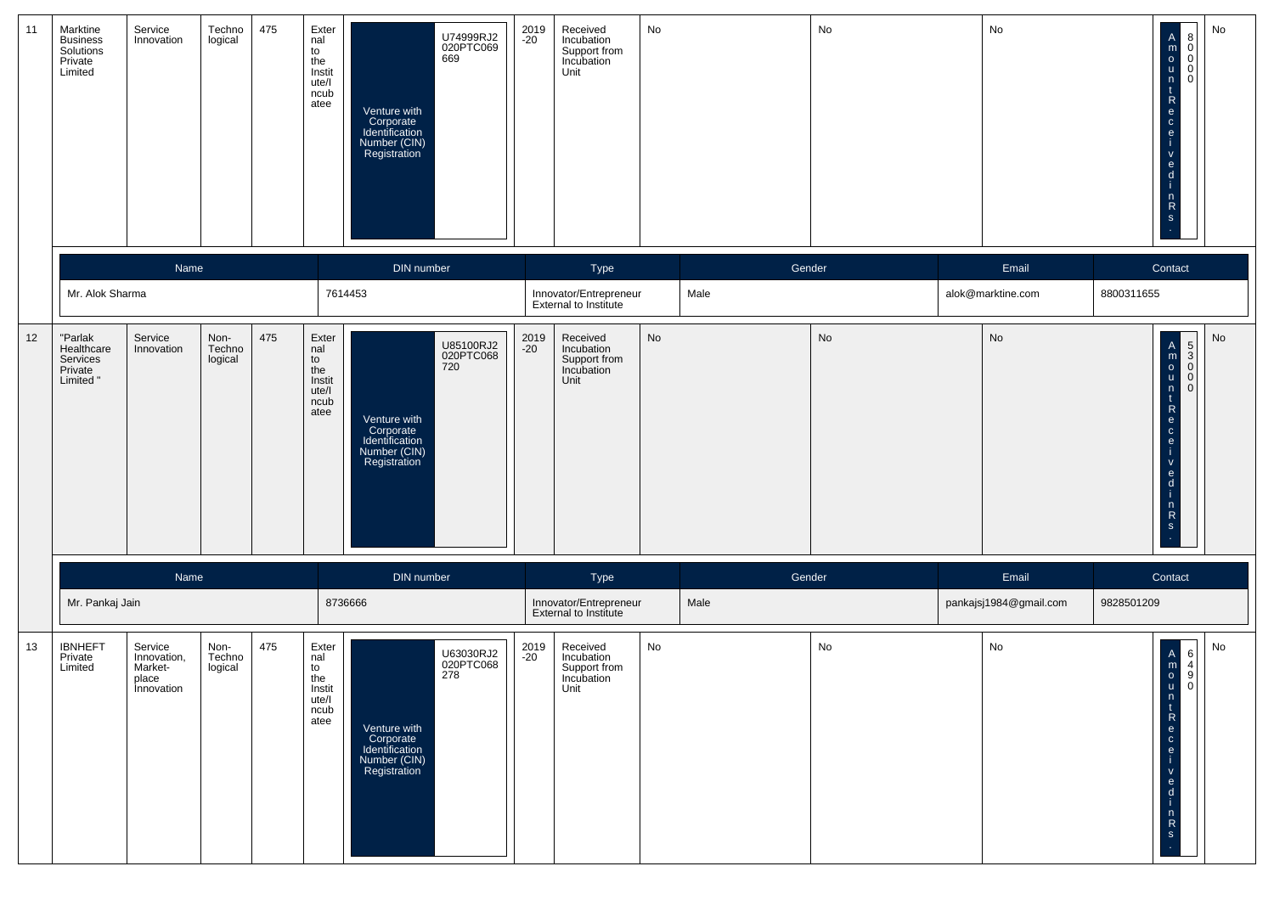| 11 | Marktine<br><b>Business</b><br>Solutions<br>Private<br>Limited | Service<br>Innovation                                    | Techno<br>logical         | 475 | Exter<br>nal<br>to<br>the<br>Instit<br>ute/l<br>ncub<br>atee | U74999RJ2<br>020PTC069<br>669<br>Venture with<br>Corporate<br>Identification<br>Number (CIN)<br>Registration        | 2019<br>-20   | Received<br>Incubation<br>Support from<br>Incubation<br>Unit | No |        | No | No                     | $\begin{matrix} 8 \\ 0 \\ 0 \\ 0 \end{matrix}$<br>$\mathsf A$<br>$\begin{array}{c} m \\ o \\ u \end{array}$<br>$\begin{smallmatrix} \mathsf{n} \ \mathsf{t} \end{smallmatrix}$<br>${\sf R}$<br>e<br>$\mathtt{c}$<br>$\mathbf{e}$<br>$\mathsf{V}$<br>$\mathbf{e}$<br>d<br>$n \nR$<br>$\mathbf{s}$ | No |
|----|----------------------------------------------------------------|----------------------------------------------------------|---------------------------|-----|--------------------------------------------------------------|---------------------------------------------------------------------------------------------------------------------|---------------|--------------------------------------------------------------|----|--------|----|------------------------|--------------------------------------------------------------------------------------------------------------------------------------------------------------------------------------------------------------------------------------------------------------------------------------------------|----|
|    |                                                                | Name                                                     |                           |     |                                                              | DIN number                                                                                                          |               | Type                                                         |    | Gender |    | Email                  | Contact                                                                                                                                                                                                                                                                                          |    |
|    | Mr. Alok Sharma                                                |                                                          |                           |     |                                                              | 7614453                                                                                                             |               | Innovator/Entrepreneur<br>External to Institute              |    | Male   |    | alok@marktine.com      | 8800311655                                                                                                                                                                                                                                                                                       |    |
| 12 | "Parlak<br>Healthcare<br>Services<br>Private<br>Limited "      | Service<br>Innovation                                    | Non-<br>Techno<br>logical | 475 | Exter<br>nal<br>to<br>the<br>Instit<br>ute/l<br>ncub<br>atee | U85100RJ2<br>020PTC068<br>720<br>Venture with<br>Corporate<br>Identification<br>Number (CIN)<br>Registration        | 2019<br>$-20$ | Received<br>Incubation<br>Support from<br>Incubation<br>Unit | No |        | No | No                     | $\begin{array}{c}\n5 \\ 0 \\ 0\n\end{array}$<br>$\begin{bmatrix} A \\ m \\ 0 \\ u \end{bmatrix}$<br>$\frac{n}{t}$<br>$\mathsf{R}$<br>$\mathbf{e}$<br>$\mathbf{c}$<br>$\mathbf{e}$<br>$\mathsf{V}$<br>$\mathbf{e}$<br>d<br>$\frac{n}{R}$<br>$\mathbf{s}$                                          | No |
|    |                                                                | Name                                                     |                           |     |                                                              | DIN number                                                                                                          |               | Type                                                         |    | Gender |    | Email                  | Contact                                                                                                                                                                                                                                                                                          |    |
|    | Mr. Pankaj Jain                                                |                                                          |                           |     |                                                              | 8736666                                                                                                             |               | Innovator/Entrepreneur<br>External to Institute              |    | Male   |    | pankajsj1984@gmail.com | 9828501209                                                                                                                                                                                                                                                                                       |    |
| 13 | <b>IBNHEFT</b><br>Private<br>Limited                           | Service<br>Innovation,<br>Market-<br>place<br>Innovation | Non-<br>Techno<br>logical | 475 | Exter<br>nal<br>to<br>the<br>Instit<br>ute/l<br>ncub<br>atee | U63030RJ2<br>020PTC068<br>278<br>Venture with<br>Corporate<br>Identification<br>Number (CIN)<br><b>Registration</b> | 2019<br>$-20$ | Received<br>Incubation<br>Support from<br>Incubation<br>Unit | No |        | No | No                     | $\begin{bmatrix} 6 \\ 4 \\ 9 \\ 0 \end{bmatrix}$<br>$\mathsf A$<br>$\begin{bmatrix} 0 \\ 0 \\ u \end{bmatrix}$<br>n<br>$\ddot{\phantom{1}}$<br>$\mathsf{R}$<br>$\mathbf{e}$<br>$\mathtt{C}$<br>$\mathbf{e}$<br>$\mathsf{v}$<br>$\mathbf{e}$<br>d<br>n<br>$\mathsf{R}$<br>$\mathbf S$             | No |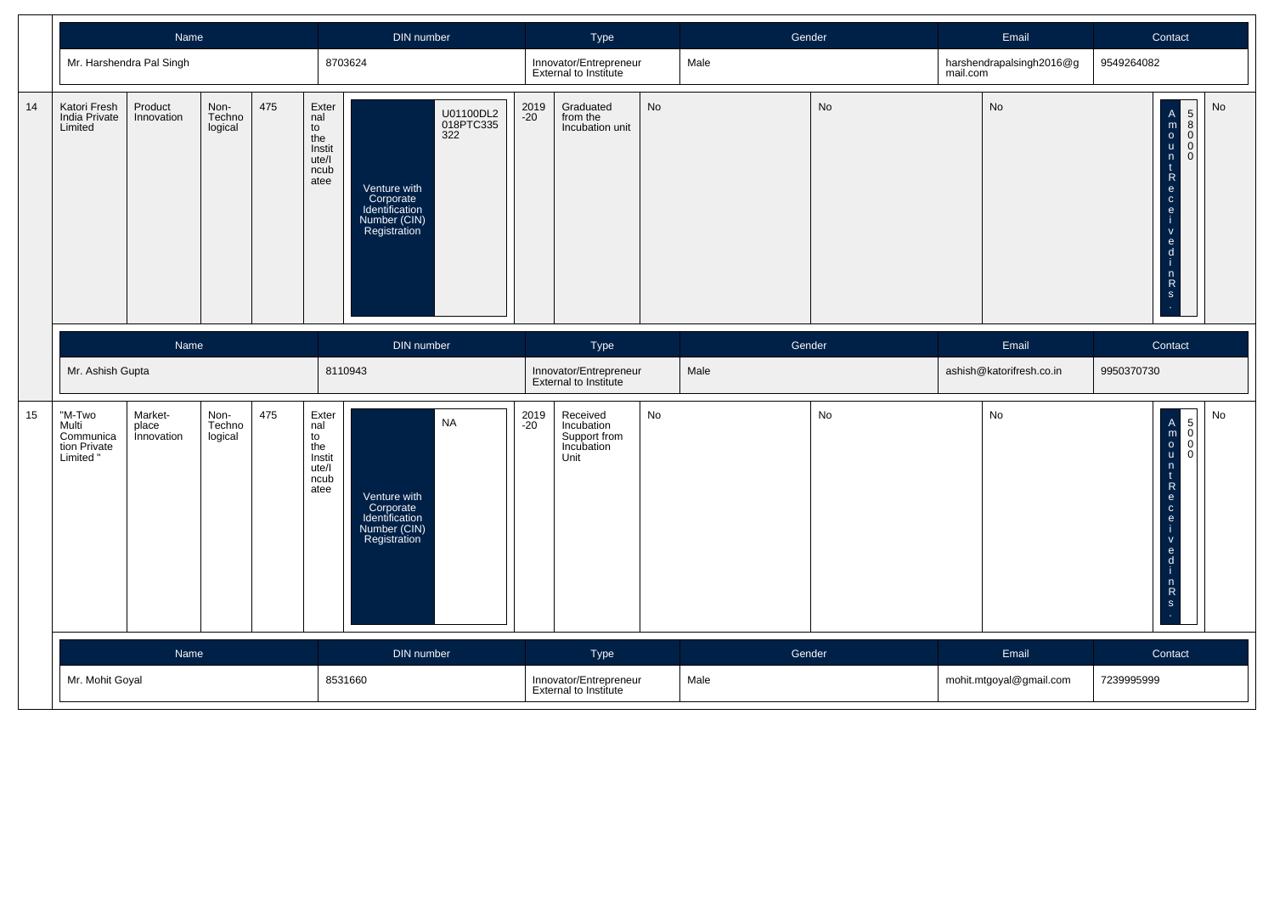|    |                                                          | Name                                  |                           |     |                                                              | DIN number                                                                  |                               |               | Type                                                         |    | Gender |    |          | Email                    | Contact                                                                                                                                                                                                                                                                                                                                                                                           |    |
|----|----------------------------------------------------------|---------------------------------------|---------------------------|-----|--------------------------------------------------------------|-----------------------------------------------------------------------------|-------------------------------|---------------|--------------------------------------------------------------|----|--------|----|----------|--------------------------|---------------------------------------------------------------------------------------------------------------------------------------------------------------------------------------------------------------------------------------------------------------------------------------------------------------------------------------------------------------------------------------------------|----|
|    |                                                          | Mr. Harshendra Pal Singh              |                           |     |                                                              | 8703624                                                                     |                               |               | Innovator/Entrepreneur<br>External to Institute              |    | Male   |    | mail.com | harshendrapalsingh2016@g | 9549264082                                                                                                                                                                                                                                                                                                                                                                                        |    |
| 14 | Katori Fresh<br>India Private<br>Limited                 | Product<br>Innovation                 | Non-<br>Techno<br>logical | 475 | Exter<br>nal<br>to<br>the<br>Instit<br>ute/l<br>ncub<br>atee | Venture with<br>Corporate<br>Identification<br>Number (CIN)<br>Registration | U01100DL2<br>018PTC335<br>322 | 2019<br>$-20$ | Graduated<br>from the<br>Incubation unit                     | No |        | No |          | No                       | A<br>R<br>R<br>R<br>R<br>R<br>R<br>R<br>R<br>R<br>R<br>R<br>R<br>5 <sup>5</sup><br>8 <sup>1</sup><br>$\Omega$<br>$\Omega$<br>$\Omega$<br>$-2$ $\alpha$ $\alpha$<br>$\frac{1}{2}$                                                                                                                                                                                                                  | No |
|    |                                                          | Name                                  |                           |     |                                                              | DIN number                                                                  |                               |               | Type                                                         |    | Gender |    |          | Email                    | Contact                                                                                                                                                                                                                                                                                                                                                                                           |    |
|    | Mr. Ashish Gupta                                         |                                       |                           |     |                                                              | 8110943                                                                     |                               |               | Innovator/Entrepreneur<br>External to Institute              |    | Male   |    |          | ashish@katorifresh.co.in | 9950370730                                                                                                                                                                                                                                                                                                                                                                                        |    |
| 15 | "M-Two<br>Multi<br>Communica<br>tion Private<br>Limited" | Market-<br>place<br><i>innovation</i> | Non-<br>Techno<br>logical | 475 | Exter<br>nal<br>to<br>the<br>Instit<br>ute/l<br>ncub<br>atee | Venture with<br>Corporate<br>Identification<br>Number (CIN)<br>Registration | <b>NA</b>                     | 2019<br>-20   | Received<br>Incubation<br>Support from<br>Incubation<br>Unit | No |        | No |          | No                       | -- @ c & B<br><br><br><br><br><br><br><br><br><br><br><br><br><br><br><br><br><br><br>$\mathcal{A} \xrightarrow{p} \mathcal{A} \xrightarrow{p} \mathcal{A} \xrightarrow{p} \mathcal{A} \xrightarrow{p} \mathcal{A} \xrightarrow{p} \mathcal{A} \xrightarrow{p} \mathcal{A} \xrightarrow{p} \mathcal{A} \xrightarrow{p} \math$<br>5<br> 0 <br>$\overline{0}$<br>$\Omega$<br>$-8a$<br>$\frac{1}{s}$ | No |
|    |                                                          | Name                                  |                           |     |                                                              | DIN number                                                                  |                               |               | Type                                                         |    | Gender |    |          | Email                    | Contact                                                                                                                                                                                                                                                                                                                                                                                           |    |
|    | Mr. Mohit Goyal                                          |                                       |                           |     |                                                              | 8531660                                                                     |                               |               | Innovator/Entrepreneur<br><b>External to Institute</b>       |    | Male   |    |          | mohit.mtgoyal@gmail.com  | 7239995999                                                                                                                                                                                                                                                                                                                                                                                        |    |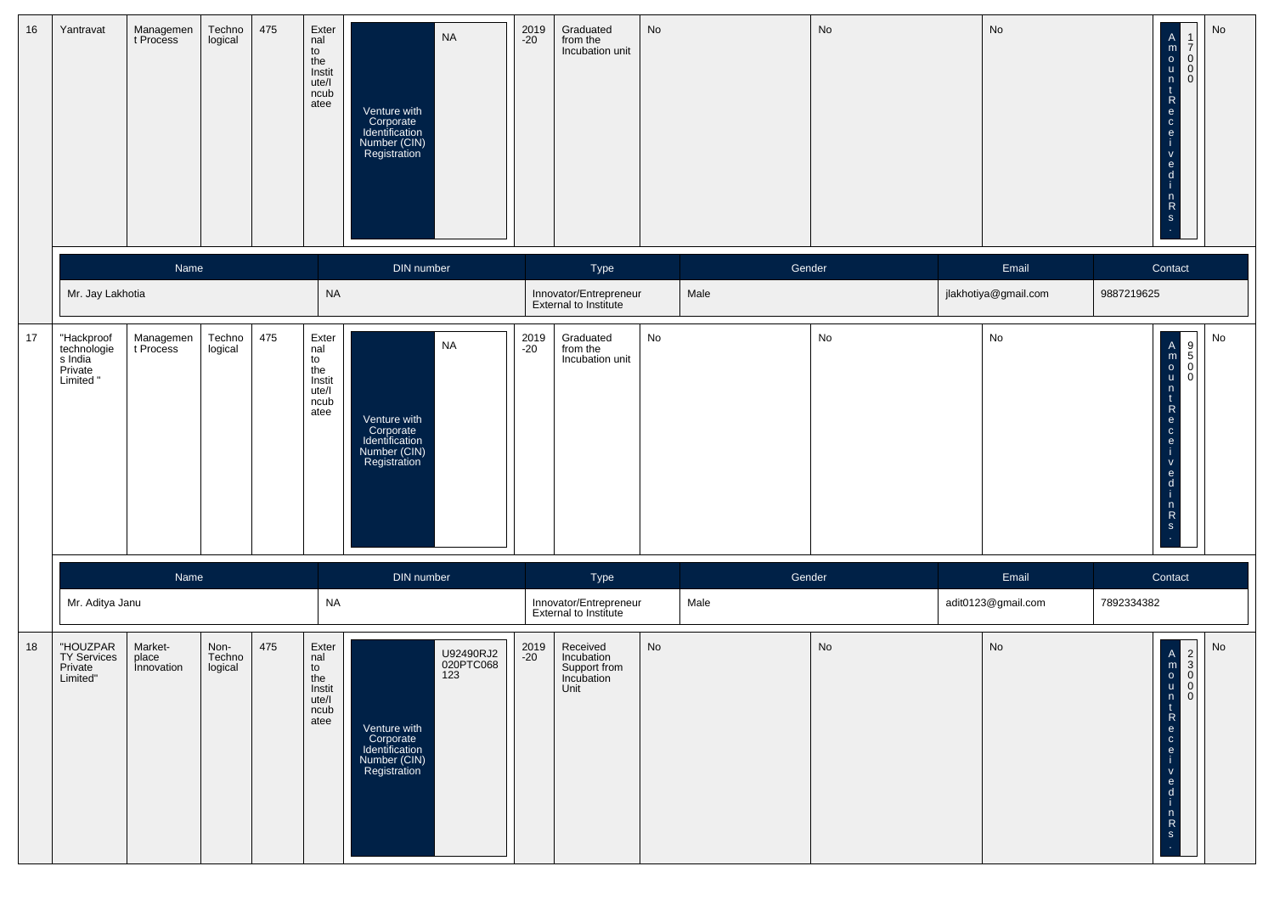| 16 | Yantravat                                                  | Managemen<br>t Process         | Techno<br>logical         | 475 | Exter<br>nal<br>to<br>the<br>Instit<br>ute/l<br>ncub<br>atee | <b>NA</b><br>Venture with<br>Corporate<br>Identification<br>Number (CIN)<br>Registration                     | 2019<br>-20   | Graduated<br>from the<br>Incubation unit                     | No |        | No                           | No                   | A<br>R<br>P<br>R<br>R<br>$rac{e}{i}$<br>$\mathbf V$<br>$\frac{e}{d}$<br>-i-<br>$\frac{n}{s}$                             | $\operatorname{\mathsf{No}}$<br>$\begin{bmatrix} 1 \\ 7 \\ 0 \\ 0 \\ 0 \end{bmatrix}$ |
|----|------------------------------------------------------------|--------------------------------|---------------------------|-----|--------------------------------------------------------------|--------------------------------------------------------------------------------------------------------------|---------------|--------------------------------------------------------------|----|--------|------------------------------|----------------------|--------------------------------------------------------------------------------------------------------------------------|---------------------------------------------------------------------------------------|
|    |                                                            | Name                           |                           |     |                                                              | DIN number                                                                                                   |               | Type                                                         |    | Gender |                              | Email                | Contact                                                                                                                  |                                                                                       |
|    | Mr. Jay Lakhotia                                           |                                |                           |     | $\sf NA$                                                     |                                                                                                              |               | Innovator/Entrepreneur<br>External to Institute              |    | Male   |                              | jlakhotiya@gmail.com | 9887219625                                                                                                               |                                                                                       |
| 17 | "Hackproof<br>technologie<br>s India<br>Private<br>Limited | Managemen<br>t Process         | Techno<br>logical         | 475 | Exter<br>nal<br>to<br>the<br>Instit<br>ute/l<br>ncub<br>atee | <b>NA</b><br>Venture with<br>Corporate<br>Identification<br>Number (CIN)<br>Registration                     | 2019<br>$-20$ | Graduated<br>from the<br>Incubation unit                     | No |        | $\operatorname{\mathsf{No}}$ | No                   | $\ddot{\mathbf{e}}$<br>$\mathsf V$<br>$\frac{e}{d}$<br>-i.<br>$\begin{bmatrix} n \\ R \end{bmatrix}$<br>$\mathbf{s}$     | ${\sf No}$                                                                            |
|    |                                                            | Name                           |                           |     |                                                              | DIN number                                                                                                   |               | Type                                                         |    | Gender |                              | Email                | Contact                                                                                                                  |                                                                                       |
|    | Mr. Aditya Janu                                            |                                |                           |     | <b>NA</b>                                                    |                                                                                                              |               | Innovator/Entrepreneur<br>External to Institute              |    | Male   |                              | adit0123@gmail.com   | 7892334382                                                                                                               |                                                                                       |
| 18 | "HOUZPAR<br>TY Services<br>Private<br>Limited"             | Market-<br>place<br>Innovation | Non-<br>Techno<br>logical | 475 | Exter<br>nal<br>to<br>the<br>Instit<br>ute/l<br>ncub<br>atee | U92490RJ2<br>020PTC068<br>123<br>Venture with<br>Corporate<br>Identification<br>Number (CIN)<br>Registration | 2019<br>$-20$ | Received<br>Incubation<br>Support from<br>Incubation<br>Unit | No |        | No                           | No                   | $\frac{t}{R}$<br>$\mathbf{e}$<br>$\frac{c}{e}$<br>$\mathsf{v}$<br>$\mathbf{e}$<br>d<br>n<br>$\mathsf{R}$<br>$\mathbf{s}$ | No<br>$\begin{array}{c}\nA \\ B \\ C \\ D \\ D\n\end{array}$<br> 0                    |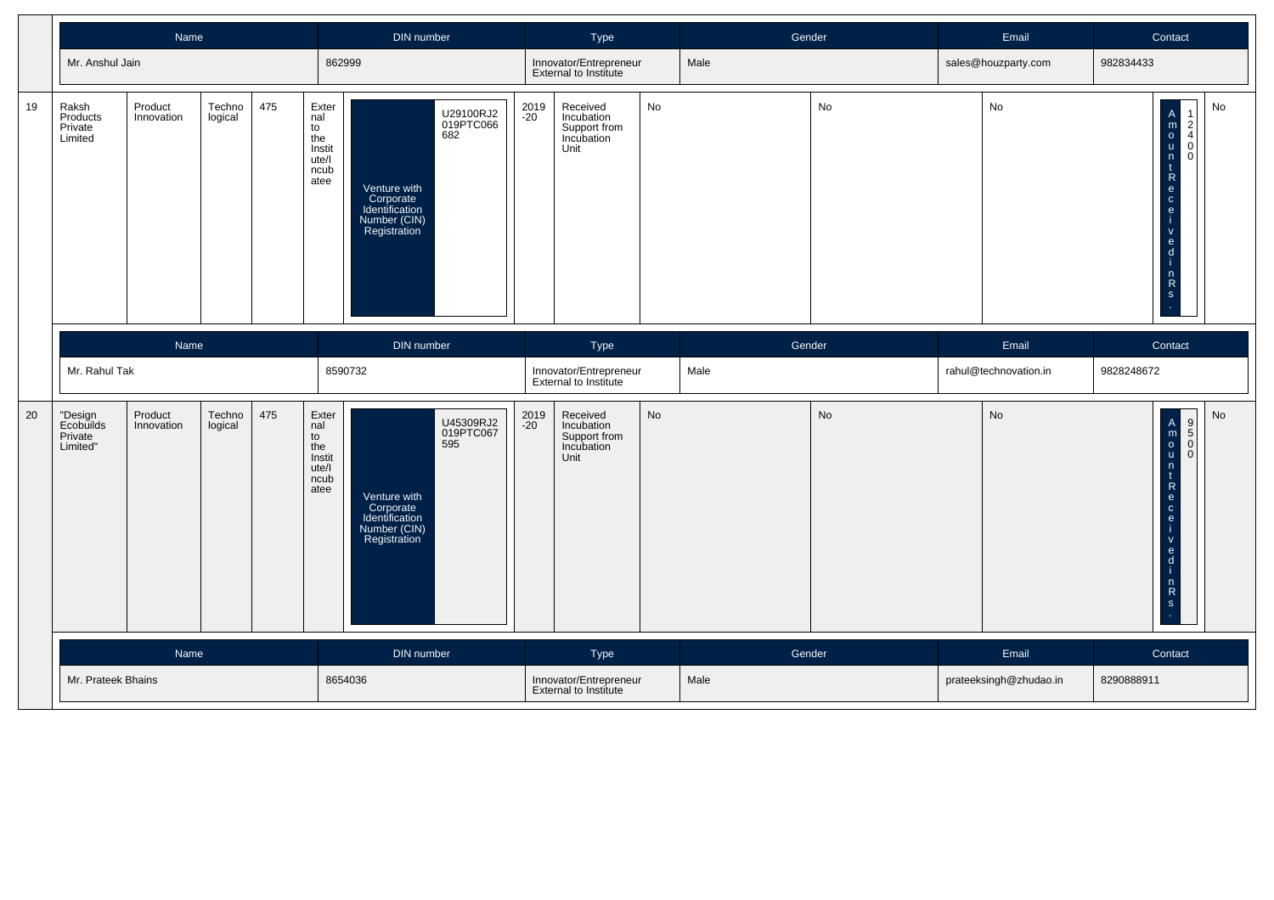|    |                                             | Name                  |                   |     |                                                              | DIN number                                                                                                   |               | Type                                                         |    | Gender |    | Email                  | Contact                                                                                       |                                                               |
|----|---------------------------------------------|-----------------------|-------------------|-----|--------------------------------------------------------------|--------------------------------------------------------------------------------------------------------------|---------------|--------------------------------------------------------------|----|--------|----|------------------------|-----------------------------------------------------------------------------------------------|---------------------------------------------------------------|
|    | Mr. Anshul Jain                             |                       |                   |     | 862999                                                       |                                                                                                              |               | Innovator/Entrepreneur<br><b>External to Institute</b>       |    | Male   |    | sales@houzparty.com    | 982834433                                                                                     |                                                               |
| 19 | Raksh<br>Products<br>Private<br>Limited     | Product<br>Innovation | Techno<br>logical | 475 | Exter<br>nal<br>to<br>the<br>Instit<br>ute/l<br>ncub<br>atee | U29100RJ2<br>019PTC066<br>682<br>Venture with<br>Corporate<br>Identification<br>Number (CIN)<br>Registration | 2019<br>$-20$ | Received<br>Incubation<br>Support from<br>Incubation<br>Unit | No |        | No | No                     | A<br>R<br>R<br>R<br>R<br>R<br>R<br>R<br>R<br>R<br>R<br>R<br>R<br>$rac{1}{1}$<br>$\frac{1}{s}$ | No<br>2<br>$\overline{4}$<br>$\Omega$<br>$\Omega$             |
|    |                                             | Name                  |                   |     |                                                              | DIN number                                                                                                   |               | Type                                                         |    | Gender |    | Email                  | Contact                                                                                       |                                                               |
|    | Mr. Rahul Tak                               |                       |                   |     |                                                              | 8590732                                                                                                      |               | Innovator/Entrepreneur<br>External to Institute              |    | Male   |    | rahul@technovation.in  | 9828248672                                                                                    |                                                               |
| 20 | "Design<br>Ecobuilds<br>Private<br>Limited" | Product<br>Innovation | Techno<br>logical | 475 | Exter<br>nal<br>to<br>the<br>Instit<br>ute/l<br>ncub<br>atee | U45309RJ2<br>019PTC067<br>595<br>Venture with<br>Corporate<br>Identification<br>Number (CIN)<br>Registration | 2019<br>-20   | Received<br>Incubation<br>Support from<br>Incubation<br>Unit | No |        | No | No                     | A<br>R<br>R<br>R<br>R<br>R<br>R<br>R<br>R<br>R<br>R<br>R<br>$\frac{6}{1}$<br>$\frac{n}{s}$    | No<br>$\begin{bmatrix} 9 \\ 5 \\ 0 \end{bmatrix}$<br>$\Omega$ |
|    |                                             | Name                  |                   |     |                                                              | DIN number                                                                                                   |               | Type                                                         |    | Gender |    | Email                  | Contact                                                                                       |                                                               |
|    | Mr. Prateek Bhains                          |                       |                   |     |                                                              | 8654036                                                                                                      |               | Innovator/Entrepreneur<br>External to Institute              |    | Male   |    | prateeksingh@zhudao.in | 8290888911                                                                                    |                                                               |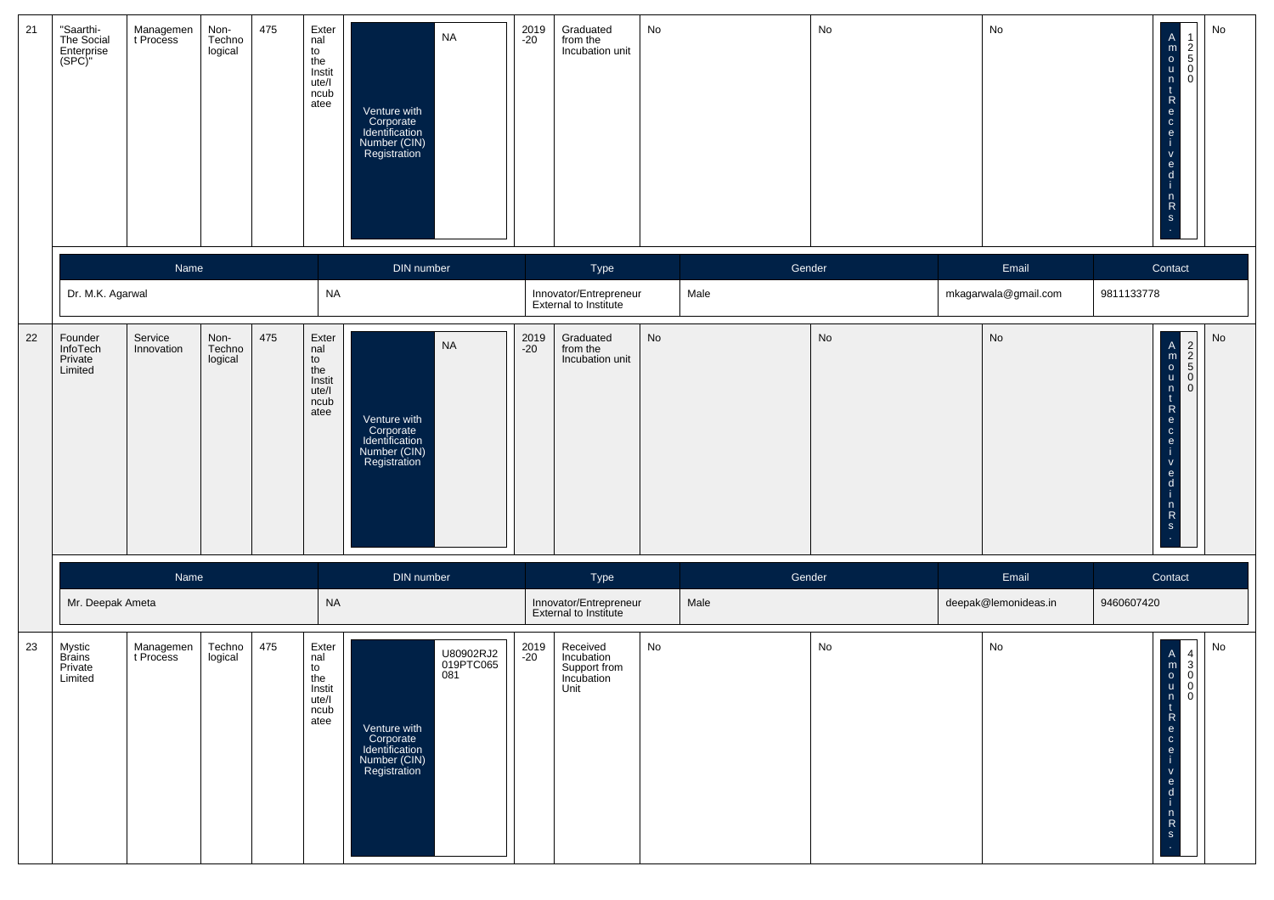| 21 | "Saarthi-<br>The Social<br>Enterprise<br>(SPC)"  | Managemen<br>t Process | Non-<br>Techno<br>logical | 475 | Exter<br>nal<br>to<br>the<br>Instit<br>ute/l<br>ncub<br>atee            | <b>NA</b><br>Venture with<br>Corporate<br>Identification<br>Number (CIN)<br>Registration                     | 2019<br>-20 | Graduated<br>from the<br>Incubation unit                     | No |        | No | No                   | No<br>$\begin{array}{c}\n1 \\ 2 \\ 0\n\end{array}$<br>A<br>R<br>R<br>R<br>R<br>R<br>R<br>R<br>R<br>R<br>R<br>R<br>j.<br>$\mathbf{V}$<br>$\frac{e}{d}$<br>$n \nR$<br>S                                                                                            |
|----|--------------------------------------------------|------------------------|---------------------------|-----|-------------------------------------------------------------------------|--------------------------------------------------------------------------------------------------------------|-------------|--------------------------------------------------------------|----|--------|----|----------------------|------------------------------------------------------------------------------------------------------------------------------------------------------------------------------------------------------------------------------------------------------------------|
|    |                                                  | Name                   |                           |     |                                                                         | DIN number                                                                                                   |             | Type                                                         |    | Gender |    | Email                | Contact                                                                                                                                                                                                                                                          |
|    | Dr. M.K. Agarwal                                 |                        |                           |     | <b>NA</b>                                                               |                                                                                                              |             | Innovator/Entrepreneur<br>External to Institute              |    | Male   |    | mkagarwala@gmail.com | 9811133778                                                                                                                                                                                                                                                       |
| 22 | Founder<br><b>InfoTech</b><br>Private<br>Limited | Service<br>Innovation  | Non-<br>Techno<br>logical | 475 | Exter<br>nal<br>to<br>the<br>Instit<br>ute/l<br>ncub<br>atee            | <b>NA</b><br>Venture with<br>Corporate<br>Identification<br>Number (CIN)<br>Registration                     | 2019<br>-20 | Graduated<br>from the<br>Incubation unit                     | No |        | No | No                   | No<br>OONN<br>A<br>M<br>O<br>u<br>n<br>t<br>R<br>e<br>C<br>$\mathsf{e}% _{0}\left( \mathsf{e}\right)$<br>-i-<br>$\mathbf{V}$<br>$\mathbf{e}$<br>$\mathsf{d}$<br>-i-<br>$n \nR$<br>S                                                                              |
|    |                                                  | Name                   |                           |     |                                                                         | DIN number                                                                                                   |             | Type                                                         |    | Gender |    | Email                | Contact                                                                                                                                                                                                                                                          |
|    | Mr. Deepak Ameta                                 |                        |                           |     | NA                                                                      |                                                                                                              |             | Innovator/Entrepreneur<br>External to Institute              |    | Male   |    | deepak@lemonideas.in | 9460607420                                                                                                                                                                                                                                                       |
| 23 | Mystic<br><b>Brains</b><br>Private<br>Limited    | Managemen<br>t Process | Techno<br>logical         | 475 | Exter<br>nal<br>$\mathsf{to}$<br>the<br>Instit<br>ute/l<br>ncub<br>atee | U80902RJ2<br>019PTC065<br>081<br>Venture with<br>Corporate<br>Identification<br>Number (CIN)<br>Registration | 2019<br>-20 | Received<br>Incubation<br>Support from<br>Incubation<br>Unit | No |        | No | No                   | No<br>$\begin{bmatrix} 4 \\ 3 \\ 0 \\ 0 \end{bmatrix}$<br>$\begin{bmatrix} A \\ m \\ o \\ u \end{bmatrix}$<br> 0 <br>  n<br>$\begin{array}{c} t \\ R \end{array}$<br> e <br>$\circ$<br>-i.<br>$\mathbf{V}$<br>$\mathbf{e}$<br>$\mathsf{d}$<br>-i<br>$n \nR$<br>S |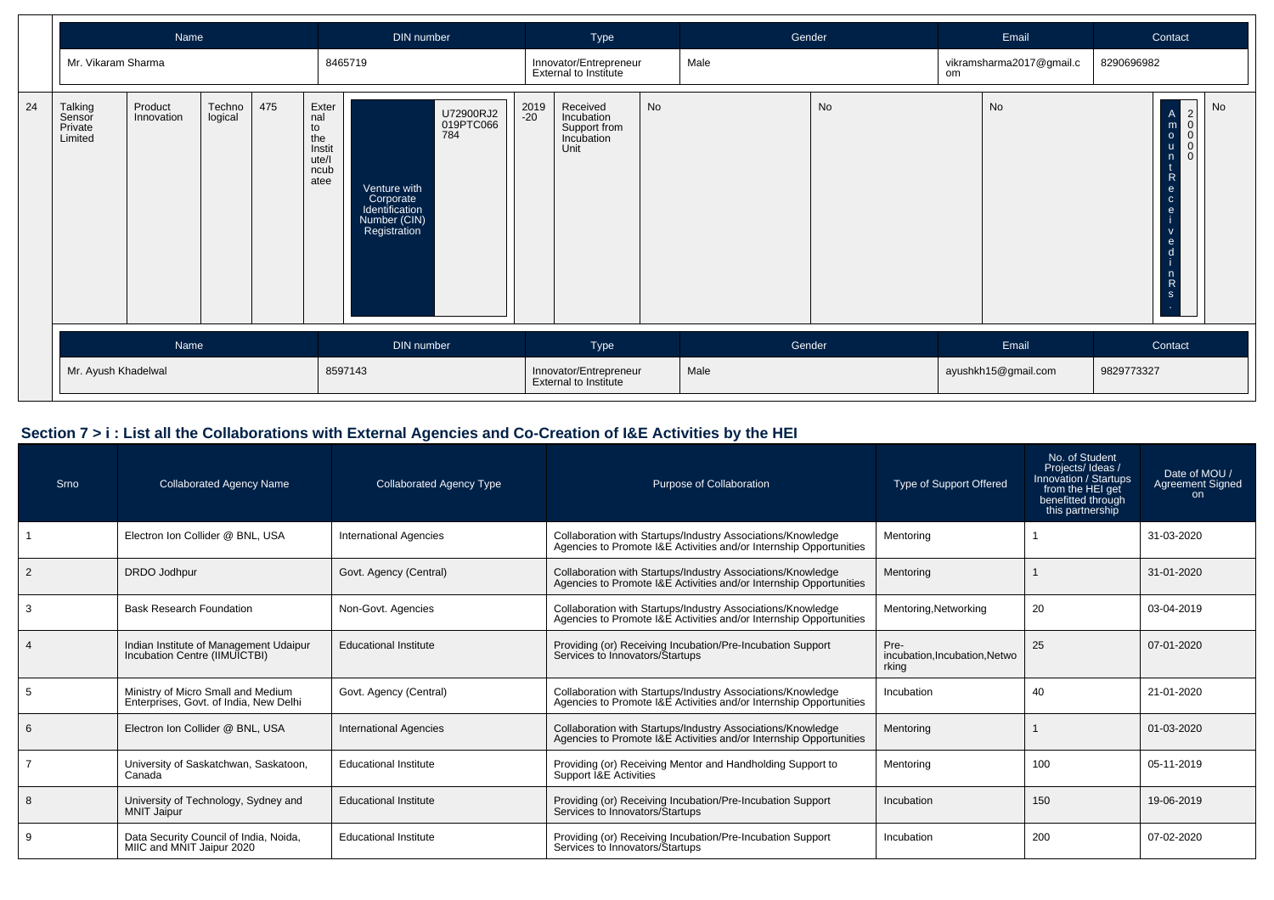|    |                                         | <b>Name</b><br>DIN number |                   |            | Type                                                         |                                                                             | Gender                        |                                                 | Email                                                        |        | Contact |                     |                                |            |                                                                                                                                                                                                                                      |                                                                        |
|----|-----------------------------------------|---------------------------|-------------------|------------|--------------------------------------------------------------|-----------------------------------------------------------------------------|-------------------------------|-------------------------------------------------|--------------------------------------------------------------|--------|---------|---------------------|--------------------------------|------------|--------------------------------------------------------------------------------------------------------------------------------------------------------------------------------------------------------------------------------------|------------------------------------------------------------------------|
|    |                                         | Mr. Vikaram Sharma        |                   |            |                                                              | 8465719                                                                     |                               |                                                 | Innovator/Entrepreneur<br>External to Institute              |        | Male    |                     | vikramsharma2017@gmail.c<br>om |            | 8290696982                                                                                                                                                                                                                           |                                                                        |
| 24 | Talking<br>Sensor<br>Private<br>Limited | Product<br>Innovation     | Techno<br>logical | 475        | Exter<br>nal<br>to<br>the<br>Instit<br>ute/l<br>ncub<br>atee | Venture with<br>Corporate<br>Identification<br>Number (CIN)<br>Registration | U72900RJ2<br>019PTC066<br>784 | 2019<br>-20                                     | Received<br>Incubation<br>Support from<br>Incubation<br>Unit | No     |         | No                  |                                | No         | $\mathsf{A}$<br>$\mathsf{m}$<br>$\overline{\mathbf{O}}$<br>$\mathbf{u}$<br>n<br>$\mathbf{t}$<br>$\begin{bmatrix} R \\ e \\ c \end{bmatrix}$<br>$\mathbf{e}$<br>$\mathbf{v}$<br>e<br>d<br>$\begin{array}{c} n \\ R \end{array}$<br>s. | <b>No</b><br>$\vert$ 2<br>$\begin{array}{c}\n0 \\ 0 \\ 0\n\end{array}$ |
|    | Name                                    |                           |                   | DIN number |                                                              |                                                                             |                               | Type                                            |                                                              | Gender |         | Email               |                                | Contact    |                                                                                                                                                                                                                                      |                                                                        |
|    | Mr. Ayush Khadelwal                     |                           |                   | 8597143    |                                                              |                                                                             |                               | Innovator/Entrepreneur<br>External to Institute |                                                              | Male   |         | ayushkh15@gmail.com |                                | 9829773327 |                                                                                                                                                                                                                                      |                                                                        |

### **Section 7 > i : List all the Collaborations with External Agencies and Co-Creation of I&E Activities by the HEI**

| Srno | <b>Collaborated Agency Name</b>                                              | <b>Collaborated Agency Type</b> | Purpose of Collaboration                                                                                                          | Type of Support Offered                        | No. of Student<br>Projects/Ideas/<br>Innovation / Startups<br>from the HEI get<br>benefitted through<br>this partnership | Date of MOU /<br><b>Agreement Signed</b><br>on. |
|------|------------------------------------------------------------------------------|---------------------------------|-----------------------------------------------------------------------------------------------------------------------------------|------------------------------------------------|--------------------------------------------------------------------------------------------------------------------------|-------------------------------------------------|
|      | Electron Ion Collider @ BNL, USA                                             | <b>International Agencies</b>   | Collaboration with Startups/Industry Associations/Knowledge<br>Agencies to Promote I&E Activities and/or Internship Opportunities | Mentoring                                      |                                                                                                                          | 31-03-2020                                      |
| 2    | <b>DRDO</b> Jodhpur                                                          | Govt. Agency (Central)          | Collaboration with Startups/Industry Associations/Knowledge<br>Agencies to Promote I&E Activities and/or Internship Opportunities | Mentoring                                      |                                                                                                                          | 31-01-2020                                      |
|      | <b>Bask Research Foundation</b>                                              | Non-Govt. Agencies              | Collaboration with Startups/Industry Associations/Knowledge<br>Agencies to Promote I&E Activities and/or Internship Opportunities | Mentoring, Networking                          | 20                                                                                                                       | 03-04-2019                                      |
|      | Indian Institute of Management Udaipur<br>Incubation Centre (IIMUICTBI)      | <b>Educational Institute</b>    | Providing (or) Receiving Incubation/Pre-Incubation Support<br>Services to Innovators/Startups                                     | Pre-<br>incubation, Incubation, Netwo<br>rking | 25                                                                                                                       | 07-01-2020                                      |
|      | Ministry of Micro Small and Medium<br>Enterprises, Govt. of India, New Delhi | Govt. Agency (Central)          | Collaboration with Startups/Industry Associations/Knowledge<br>Agencies to Promote I&E Activities and/or Internship Opportunities | Incubation                                     | 40                                                                                                                       | 21-01-2020                                      |
|      | Electron Ion Collider @ BNL, USA                                             | <b>International Agencies</b>   | Collaboration with Startups/Industry Associations/Knowledge<br>Agencies to Promote I&E Activities and/or Internship Opportunities | Mentoring                                      |                                                                                                                          | 01-03-2020                                      |
|      | University of Saskatchwan, Saskatoon,<br>Canada                              | <b>Educational Institute</b>    | Providing (or) Receiving Mentor and Handholding Support to<br>Support I&E Activities                                              | Mentoring                                      | 100                                                                                                                      | 05-11-2019                                      |
| 8    | University of Technology, Sydney and<br><b>MNIT Jaipur</b>                   | <b>Educational Institute</b>    | Providing (or) Receiving Incubation/Pre-Incubation Support<br>Services to Innovators/Startups                                     | Incubation                                     | 150                                                                                                                      | 19-06-2019                                      |
|      | Data Security Council of India, Noida,<br>MIIC and MNIT Jaipur 2020          | <b>Educational Institute</b>    | Providing (or) Receiving Incubation/Pre-Incubation Support<br>Services to Innovators/Startups                                     | Incubation                                     | 200                                                                                                                      | 07-02-2020                                      |